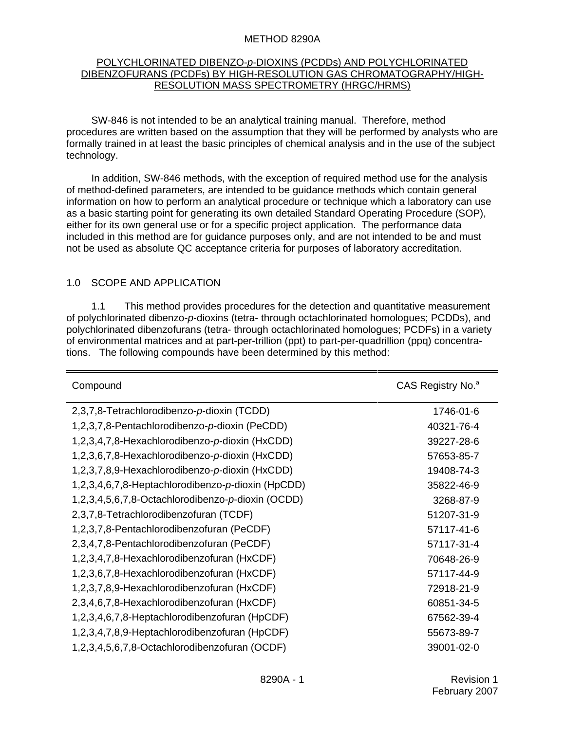#### METHOD 8290A

## POLYCHLORINATED DIBENZO-*p*-DIOXINS (PCDDs) AND POLYCHLORINATED DIBENZOFURANS (PCDFs) BY HIGH-RESOLUTION GAS CHROMATOGRAPHY/HIGH-RESOLUTION MASS SPECTROMETRY (HRGC/HRMS)

SW-846 is not intended to be an analytical training manual. Therefore, method procedures are written based on the assumption that they will be performed by analysts who are formally trained in at least the basic principles of chemical analysis and in the use of the subject technology.

In addition, SW-846 methods, with the exception of required method use for the analysis of method-defined parameters, are intended to be guidance methods which contain general information on how to perform an analytical procedure or technique which a laboratory can use as a basic starting point for generating its own detailed Standard Operating Procedure (SOP), either for its own general use or for a specific project application. The performance data included in this method are for guidance purposes only, and are not intended to be and must not be used as absolute QC acceptance criteria for purposes of laboratory accreditation.

## 1.0 SCOPE AND APPLICATION

1.1 This method provides procedures for the detection and quantitative measurement of polychlorinated dibenzo-*p*-dioxins (tetra- through octachlorinated homologues; PCDDs), and polychlorinated dibenzofurans (tetra- through octachlorinated homologues; PCDFs) in a variety of environmental matrices and at part-per-trillion (ppt) to part-per-quadrillion (ppq) concentrations. The following compounds have been determined by this method:

| Compound                                          | CAS Registry No. <sup>a</sup> |
|---------------------------------------------------|-------------------------------|
| 2,3,7,8-Tetrachlorodibenzo-p-dioxin (TCDD)        | 1746-01-6                     |
| 1,2,3,7,8-Pentachlorodibenzo-p-dioxin (PeCDD)     | 40321-76-4                    |
| 1,2,3,4,7,8-Hexachlorodibenzo-p-dioxin (HxCDD)    | 39227-28-6                    |
| 1,2,3,6,7,8-Hexachlorodibenzo-p-dioxin (HxCDD)    | 57653-85-7                    |
| 1,2,3,7,8,9-Hexachlorodibenzo-p-dioxin (HxCDD)    | 19408-74-3                    |
| 1,2,3,4,6,7,8-Heptachlorodibenzo-p-dioxin (HpCDD) | 35822-46-9                    |
| 1,2,3,4,5,6,7,8-Octachlorodibenzo-p-dioxin (OCDD) | 3268-87-9                     |
| 2,3,7,8-Tetrachlorodibenzofuran (TCDF)            | 51207-31-9                    |
| 1,2,3,7,8-Pentachlorodibenzofuran (PeCDF)         | 57117-41-6                    |
| 2,3,4,7,8-Pentachlorodibenzofuran (PeCDF)         | 57117-31-4                    |
| 1,2,3,4,7,8-Hexachlorodibenzofuran (HxCDF)        | 70648-26-9                    |
| 1,2,3,6,7,8-Hexachlorodibenzofuran (HxCDF)        | 57117-44-9                    |
| 1,2,3,7,8,9-Hexachlorodibenzofuran (HxCDF)        | 72918-21-9                    |
| 2,3,4,6,7,8-Hexachlorodibenzofuran (HxCDF)        | 60851-34-5                    |
| 1,2,3,4,6,7,8-Heptachlorodibenzofuran (HpCDF)     | 67562-39-4                    |
| 1,2,3,4,7,8,9-Heptachlorodibenzofuran (HpCDF)     | 55673-89-7                    |
| 1,2,3,4,5,6,7,8-Octachlorodibenzofuran (OCDF)     | 39001-02-0                    |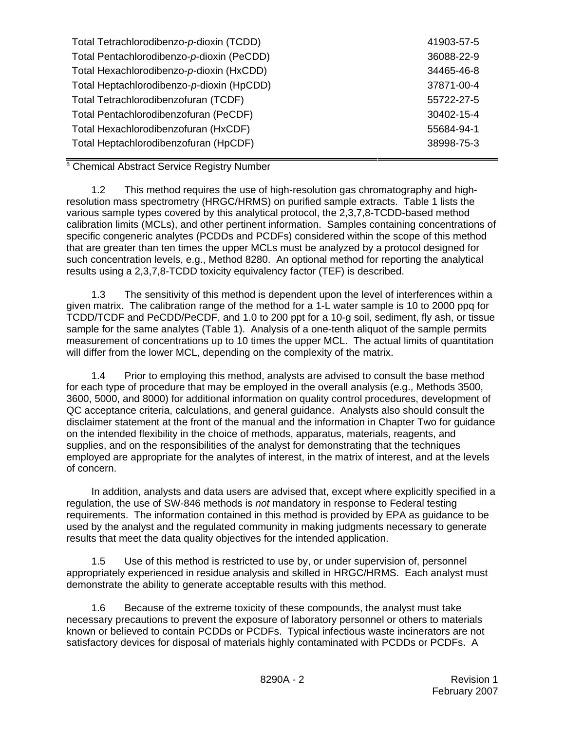| Total Tetrachlorodibenzo-p-dioxin (TCDD)  | 41903-57-5 |
|-------------------------------------------|------------|
| Total Pentachlorodibenzo-p-dioxin (PeCDD) | 36088-22-9 |
| Total Hexachlorodibenzo-p-dioxin (HxCDD)  | 34465-46-8 |
| Total Heptachlorodibenzo-p-dioxin (HpCDD) | 37871-00-4 |
| Total Tetrachlorodibenzofuran (TCDF)      | 55722-27-5 |
| Total Pentachlorodibenzofuran (PeCDF)     | 30402-15-4 |
| Total Hexachlorodibenzofuran (HxCDF)      | 55684-94-1 |
| Total Heptachlorodibenzofuran (HpCDF)     | 38998-75-3 |

<sup>a</sup> Chemical Abstract Service Registry Number

1.2 This method requires the use of high-resolution gas chromatography and highresolution mass spectrometry (HRGC/HRMS) on purified sample extracts. Table 1 lists the various sample types covered by this analytical protocol, the 2,3,7,8-TCDD-based method calibration limits (MCLs), and other pertinent information. Samples containing concentrations of specific congeneric analytes (PCDDs and PCDFs) considered within the scope of this method that are greater than ten times the upper MCLs must be analyzed by a protocol designed for such concentration levels, e.g., Method 8280. An optional method for reporting the analytical results using a 2,3,7,8-TCDD toxicity equivalency factor (TEF) is described.

1.3 The sensitivity of this method is dependent upon the level of interferences within a given matrix. The calibration range of the method for a 1-L water sample is 10 to 2000 ppq for TCDD/TCDF and PeCDD/PeCDF, and 1.0 to 200 ppt for a 10-g soil, sediment, fly ash, or tissue sample for the same analytes (Table 1). Analysis of a one-tenth aliquot of the sample permits measurement of concentrations up to 10 times the upper MCL. The actual limits of quantitation will differ from the lower MCL, depending on the complexity of the matrix.

1.4 Prior to employing this method, analysts are advised to consult the base method for each type of procedure that may be employed in the overall analysis (e.g., Methods 3500, 3600, 5000, and 8000) for additional information on quality control procedures, development of QC acceptance criteria, calculations, and general guidance. Analysts also should consult the disclaimer statement at the front of the manual and the information in Chapter Two for guidance on the intended flexibility in the choice of methods, apparatus, materials, reagents, and supplies, and on the responsibilities of the analyst for demonstrating that the techniques employed are appropriate for the analytes of interest, in the matrix of interest, and at the levels of concern.

In addition, analysts and data users are advised that, except where explicitly specified in a regulation, the use of SW-846 methods is *not* mandatory in response to Federal testing requirements. The information contained in this method is provided by EPA as guidance to be used by the analyst and the regulated community in making judgments necessary to generate results that meet the data quality objectives for the intended application.

1.5 Use of this method is restricted to use by, or under supervision of, personnel appropriately experienced in residue analysis and skilled in HRGC/HRMS. Each analyst must demonstrate the ability to generate acceptable results with this method.

1.6 Because of the extreme toxicity of these compounds, the analyst must take necessary precautions to prevent the exposure of laboratory personnel or others to materials known or believed to contain PCDDs or PCDFs. Typical infectious waste incinerators are not satisfactory devices for disposal of materials highly contaminated with PCDDs or PCDFs. A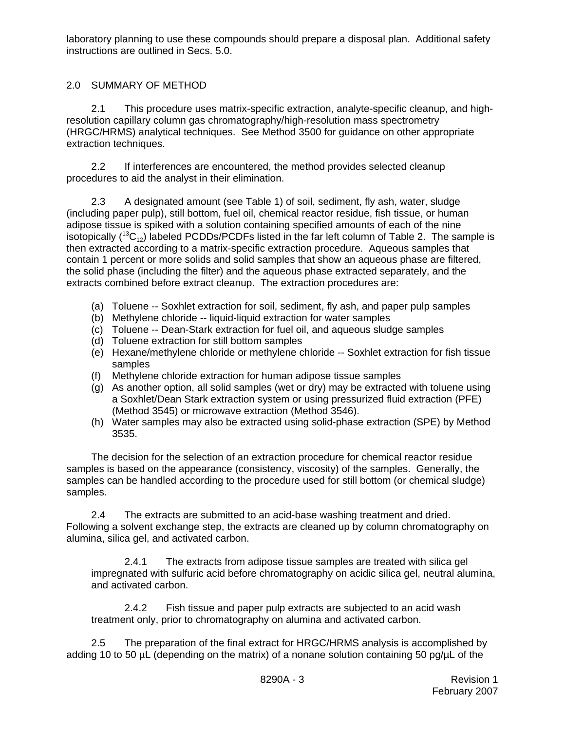laboratory planning to use these compounds should prepare a disposal plan. Additional safety instructions are outlined in Secs. 5.0.

# 2.0 SUMMARY OF METHOD

2.1 This procedure uses matrix-specific extraction, analyte-specific cleanup, and highresolution capillary column gas chromatography/high-resolution mass spectrometry (HRGC/HRMS) analytical techniques. See Method 3500 for guidance on other appropriate extraction techniques.

2.2 If interferences are encountered, the method provides selected cleanup procedures to aid the analyst in their elimination.

2.3 A designated amount (see Table 1) of soil, sediment, fly ash, water, sludge (including paper pulp), still bottom, fuel oil, chemical reactor residue, fish tissue, or human adipose tissue is spiked with a solution containing specified amounts of each of the nine isotopically  $(^{13}C_{12})$  labeled PCDDs/PCDFs listed in the far left column of Table 2. The sample is then extracted according to a matrix-specific extraction procedure. Aqueous samples that contain 1 percent or more solids and solid samples that show an aqueous phase are filtered, the solid phase (including the filter) and the aqueous phase extracted separately, and the extracts combined before extract cleanup. The extraction procedures are:

- (a) Toluene -- Soxhlet extraction for soil, sediment, fly ash, and paper pulp samples
- (b) Methylene chloride -- liquid-liquid extraction for water samples
- (c) Toluene -- Dean-Stark extraction for fuel oil, and aqueous sludge samples
- (d) Toluene extraction for still bottom samples
- (e) Hexane/methylene chloride or methylene chloride -- Soxhlet extraction for fish tissue samples
- (f) Methylene chloride extraction for human adipose tissue samples
- (g) As another option, all solid samples (wet or dry) may be extracted with toluene using a Soxhlet/Dean Stark extraction system or using pressurized fluid extraction (PFE) (Method 3545) or microwave extraction (Method 3546).
- (h) Water samples may also be extracted using solid-phase extraction (SPE) by Method 3535.

The decision for the selection of an extraction procedure for chemical reactor residue samples is based on the appearance (consistency, viscosity) of the samples. Generally, the samples can be handled according to the procedure used for still bottom (or chemical sludge) samples.

2.4 The extracts are submitted to an acid-base washing treatment and dried. Following a solvent exchange step, the extracts are cleaned up by column chromatography on alumina, silica gel, and activated carbon.

2.4.1 The extracts from adipose tissue samples are treated with silica gel impregnated with sulfuric acid before chromatography on acidic silica gel, neutral alumina, and activated carbon.

2.4.2 Fish tissue and paper pulp extracts are subjected to an acid wash treatment only, prior to chromatography on alumina and activated carbon.

2.5 The preparation of the final extract for HRGC/HRMS analysis is accomplished by adding 10 to 50 µL (depending on the matrix) of a nonane solution containing 50 pg/µL of the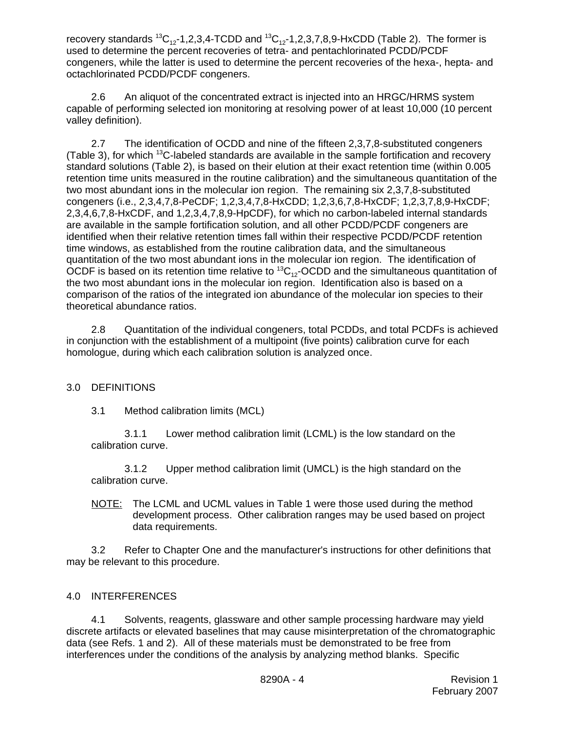recovery standards  ${}^{13}C_{12}$ -1,2,3,4-TCDD and  ${}^{13}C_{12}$ -1,2,3,7,8,9-HxCDD (Table 2). The former is used to determine the percent recoveries of tetra- and pentachlorinated PCDD/PCDF congeners, while the latter is used to determine the percent recoveries of the hexa-, hepta- and octachlorinated PCDD/PCDF congeners.

2.6 An aliquot of the concentrated extract is injected into an HRGC/HRMS system capable of performing selected ion monitoring at resolving power of at least 10,000 (10 percent valley definition).

2.7 The identification of OCDD and nine of the fifteen 2,3,7,8-substituted congeners (Table 3), for which  $^{13}$ C-labeled standards are available in the sample fortification and recovery standard solutions (Table 2), is based on their elution at their exact retention time (within 0.005 retention time units measured in the routine calibration) and the simultaneous quantitation of the two most abundant ions in the molecular ion region. The remaining six 2,3,7,8-substituted congeners (i.e., 2,3,4,7,8-PeCDF; 1,2,3,4,7,8-HxCDD; 1,2,3,6,7,8-HxCDF; 1,2,3,7,8,9-HxCDF; 2,3,4,6,7,8-HxCDF, and 1,2,3,4,7,8,9-HpCDF), for which no carbon-labeled internal standards are available in the sample fortification solution, and all other PCDD/PCDF congeners are identified when their relative retention times fall within their respective PCDD/PCDF retention time windows, as established from the routine calibration data, and the simultaneous quantitation of the two most abundant ions in the molecular ion region. The identification of OCDF is based on its retention time relative to  ${}^{13}C_{12}$ -OCDD and the simultaneous quantitation of the two most abundant ions in the molecular ion region. Identification also is based on a comparison of the ratios of the integrated ion abundance of the molecular ion species to their theoretical abundance ratios.

2.8 Quantitation of the individual congeners, total PCDDs, and total PCDFs is achieved in conjunction with the establishment of a multipoint (five points) calibration curve for each homologue, during which each calibration solution is analyzed once.

# 3.0 DEFINITIONS

3.1 Method calibration limits (MCL)

3.1.1 Lower method calibration limit (LCML) is the low standard on the calibration curve.

3.1.2 Upper method calibration limit (UMCL) is the high standard on the calibration curve.

NOTE: The LCML and UCML values in Table 1 were those used during the method development process. Other calibration ranges may be used based on project data requirements.

3.2 Refer to Chapter One and the manufacturer's instructions for other definitions that may be relevant to this procedure.

# 4.0 INTERFERENCES

4.1 Solvents, reagents, glassware and other sample processing hardware may yield discrete artifacts or elevated baselines that may cause misinterpretation of the chromatographic data (see Refs. 1 and 2). All of these materials must be demonstrated to be free from interferences under the conditions of the analysis by analyzing method blanks. Specific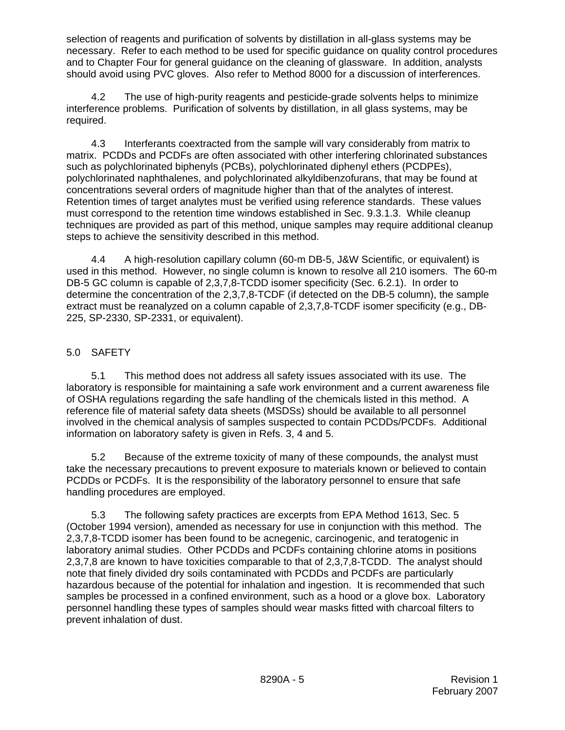selection of reagents and purification of solvents by distillation in all-glass systems may be necessary. Refer to each method to be used for specific guidance on quality control procedures and to Chapter Four for general guidance on the cleaning of glassware. In addition, analysts should avoid using PVC gloves. Also refer to Method 8000 for a discussion of interferences.

4.2 The use of high-purity reagents and pesticide-grade solvents helps to minimize interference problems. Purification of solvents by distillation, in all glass systems, may be required.

4.3 Interferants coextracted from the sample will vary considerably from matrix to matrix. PCDDs and PCDFs are often associated with other interfering chlorinated substances such as polychlorinated biphenyls (PCBs), polychlorinated diphenyl ethers (PCDPEs), polychlorinated naphthalenes, and polychlorinated alkyldibenzofurans, that may be found at concentrations several orders of magnitude higher than that of the analytes of interest. Retention times of target analytes must be verified using reference standards. These values must correspond to the retention time windows established in Sec. 9.3.1.3. While cleanup techniques are provided as part of this method, unique samples may require additional cleanup steps to achieve the sensitivity described in this method.

4.4 A high-resolution capillary column (60-m DB-5, J&W Scientific, or equivalent) is used in this method. However, no single column is known to resolve all 210 isomers. The 60-m DB-5 GC column is capable of 2,3,7,8-TCDD isomer specificity (Sec. 6.2.1). In order to determine the concentration of the 2,3,7,8-TCDF (if detected on the DB-5 column), the sample extract must be reanalyzed on a column capable of 2,3,7,8-TCDF isomer specificity (e.g., DB-225, SP-2330, SP-2331, or equivalent).

# 5.0 SAFETY

5.1 This method does not address all safety issues associated with its use. The laboratory is responsible for maintaining a safe work environment and a current awareness file of OSHA regulations regarding the safe handling of the chemicals listed in this method. A reference file of material safety data sheets (MSDSs) should be available to all personnel involved in the chemical analysis of samples suspected to contain PCDDs/PCDFs. Additional information on laboratory safety is given in Refs. 3, 4 and 5.

5.2 Because of the extreme toxicity of many of these compounds, the analyst must take the necessary precautions to prevent exposure to materials known or believed to contain PCDDs or PCDFs. It is the responsibility of the laboratory personnel to ensure that safe handling procedures are employed.

5.3 The following safety practices are excerpts from EPA Method 1613, Sec. 5 (October 1994 version), amended as necessary for use in conjunction with this method. The 2,3,7,8-TCDD isomer has been found to be acnegenic, carcinogenic, and teratogenic in laboratory animal studies. Other PCDDs and PCDFs containing chlorine atoms in positions 2,3,7,8 are known to have toxicities comparable to that of 2,3,7,8-TCDD. The analyst should note that finely divided dry soils contaminated with PCDDs and PCDFs are particularly hazardous because of the potential for inhalation and ingestion. It is recommended that such samples be processed in a confined environment, such as a hood or a glove box. Laboratory personnel handling these types of samples should wear masks fitted with charcoal filters to prevent inhalation of dust.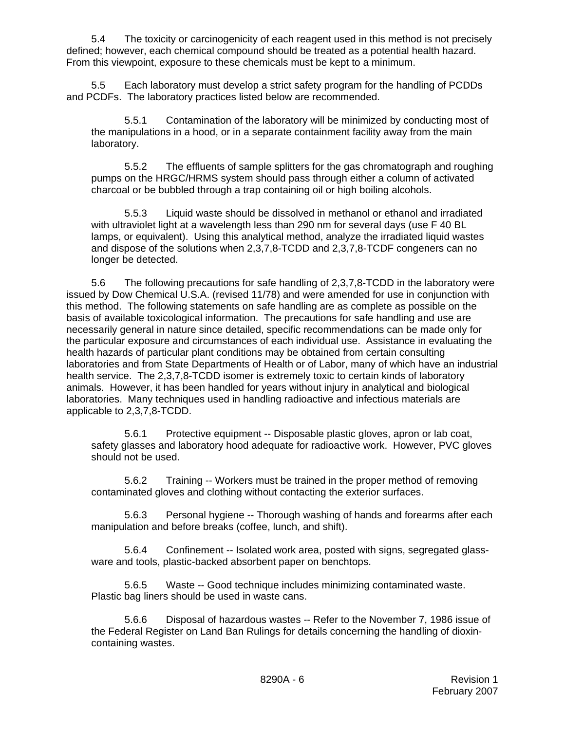5.4 The toxicity or carcinogenicity of each reagent used in this method is not precisely defined; however, each chemical compound should be treated as a potential health hazard. From this viewpoint, exposure to these chemicals must be kept to a minimum.

5.5 Each laboratory must develop a strict safety program for the handling of PCDDs and PCDFs. The laboratory practices listed below are recommended.

5.5.1 Contamination of the laboratory will be minimized by conducting most of the manipulations in a hood, or in a separate containment facility away from the main laboratory.

5.5.2 The effluents of sample splitters for the gas chromatograph and roughing pumps on the HRGC/HRMS system should pass through either a column of activated charcoal or be bubbled through a trap containing oil or high boiling alcohols.

5.5.3 Liquid waste should be dissolved in methanol or ethanol and irradiated with ultraviolet light at a wavelength less than 290 nm for several days (use F 40 BL lamps, or equivalent). Using this analytical method, analyze the irradiated liquid wastes and dispose of the solutions when 2,3,7,8-TCDD and 2,3,7,8-TCDF congeners can no longer be detected.

5.6 The following precautions for safe handling of 2,3,7,8-TCDD in the laboratory were issued by Dow Chemical U.S.A. (revised 11/78) and were amended for use in conjunction with this method. The following statements on safe handling are as complete as possible on the basis of available toxicological information. The precautions for safe handling and use are necessarily general in nature since detailed, specific recommendations can be made only for the particular exposure and circumstances of each individual use. Assistance in evaluating the health hazards of particular plant conditions may be obtained from certain consulting laboratories and from State Departments of Health or of Labor, many of which have an industrial health service. The 2,3,7,8-TCDD isomer is extremely toxic to certain kinds of laboratory animals. However, it has been handled for years without injury in analytical and biological laboratories. Many techniques used in handling radioactive and infectious materials are applicable to 2,3,7,8-TCDD.

5.6.1 Protective equipment -- Disposable plastic gloves, apron or lab coat, safety glasses and laboratory hood adequate for radioactive work. However, PVC gloves should not be used.

5.6.2 Training -- Workers must be trained in the proper method of removing contaminated gloves and clothing without contacting the exterior surfaces.

5.6.3 Personal hygiene -- Thorough washing of hands and forearms after each manipulation and before breaks (coffee, lunch, and shift).

5.6.4 Confinement -- Isolated work area, posted with signs, segregated glassware and tools, plastic-backed absorbent paper on benchtops.

5.6.5 Waste -- Good technique includes minimizing contaminated waste. Plastic bag liners should be used in waste cans.

5.6.6 Disposal of hazardous wastes -- Refer to the November 7, 1986 issue of the Federal Register on Land Ban Rulings for details concerning the handling of dioxincontaining wastes.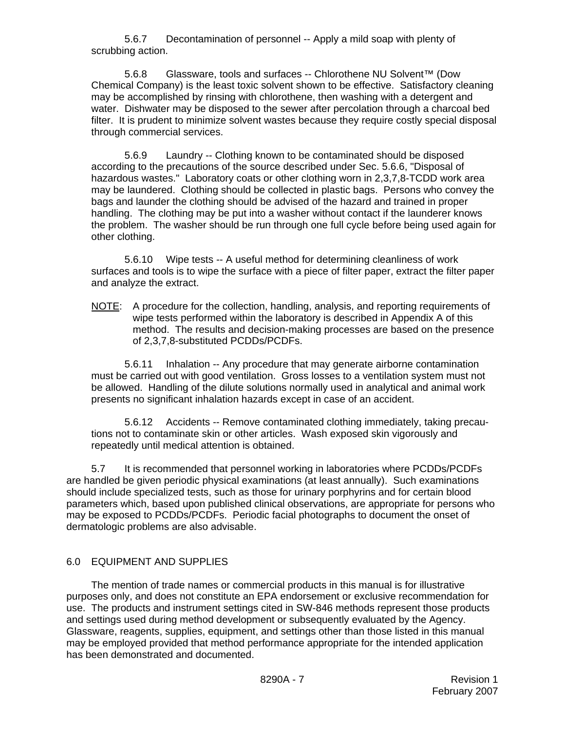5.6.7 Decontamination of personnel -- Apply a mild soap with plenty of scrubbing action.

5.6.8 Glassware, tools and surfaces -- Chlorothene NU Solvent™ (Dow Chemical Company) is the least toxic solvent shown to be effective. Satisfactory cleaning may be accomplished by rinsing with chlorothene, then washing with a detergent and water. Dishwater may be disposed to the sewer after percolation through a charcoal bed filter. It is prudent to minimize solvent wastes because they require costly special disposal through commercial services.

5.6.9 Laundry -- Clothing known to be contaminated should be disposed according to the precautions of the source described under Sec. 5.6.6, "Disposal of hazardous wastes." Laboratory coats or other clothing worn in 2,3,7,8-TCDD work area may be laundered. Clothing should be collected in plastic bags. Persons who convey the bags and launder the clothing should be advised of the hazard and trained in proper handling. The clothing may be put into a washer without contact if the launderer knows the problem. The washer should be run through one full cycle before being used again for other clothing.

5.6.10 Wipe tests -- A useful method for determining cleanliness of work surfaces and tools is to wipe the surface with a piece of filter paper, extract the filter paper and analyze the extract.

NOTE: A procedure for the collection, handling, analysis, and reporting requirements of wipe tests performed within the laboratory is described in Appendix A of this method. The results and decision-making processes are based on the presence of 2,3,7,8-substituted PCDDs/PCDFs.

5.6.11 Inhalation -- Any procedure that may generate airborne contamination must be carried out with good ventilation. Gross losses to a ventilation system must not be allowed. Handling of the dilute solutions normally used in analytical and animal work presents no significant inhalation hazards except in case of an accident.

5.6.12 Accidents -- Remove contaminated clothing immediately, taking precautions not to contaminate skin or other articles. Wash exposed skin vigorously and repeatedly until medical attention is obtained.

5.7 It is recommended that personnel working in laboratories where PCDDs/PCDFs are handled be given periodic physical examinations (at least annually). Such examinations should include specialized tests, such as those for urinary porphyrins and for certain blood parameters which, based upon published clinical observations, are appropriate for persons who may be exposed to PCDDs/PCDFs. Periodic facial photographs to document the onset of dermatologic problems are also advisable.

## 6.0 EQUIPMENT AND SUPPLIES

The mention of trade names or commercial products in this manual is for illustrative purposes only, and does not constitute an EPA endorsement or exclusive recommendation for use. The products and instrument settings cited in SW-846 methods represent those products and settings used during method development or subsequently evaluated by the Agency. Glassware, reagents, supplies, equipment, and settings other than those listed in this manual may be employed provided that method performance appropriate for the intended application has been demonstrated and documented.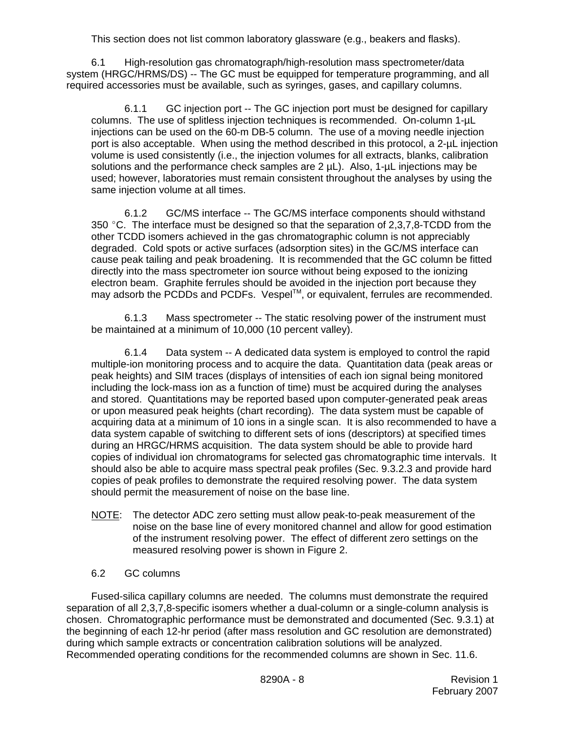This section does not list common laboratory glassware (e.g., beakers and flasks).

6.1 High-resolution gas chromatograph/high-resolution mass spectrometer/data system (HRGC/HRMS/DS) -- The GC must be equipped for temperature programming, and all required accessories must be available, such as syringes, gases, and capillary columns.

6.1.1 GC injection port -- The GC injection port must be designed for capillary columns. The use of splitless injection techniques is recommended. On-column 1-µL injections can be used on the 60-m DB-5 column. The use of a moving needle injection port is also acceptable. When using the method described in this protocol, a 2-uL injection volume is used consistently (i.e., the injection volumes for all extracts, blanks, calibration solutions and the performance check samples are 2  $\mu$ L). Also, 1- $\mu$ L injections may be used; however, laboratories must remain consistent throughout the analyses by using the same injection volume at all times.

6.1.2 GC/MS interface -- The GC/MS interface components should withstand 350 °C. The interface must be designed so that the separation of  $2,3,7,8$ -TCDD from the other TCDD isomers achieved in the gas chromatographic column is not appreciably degraded. Cold spots or active surfaces (adsorption sites) in the GC/MS interface can cause peak tailing and peak broadening. It is recommended that the GC column be fitted directly into the mass spectrometer ion source without being exposed to the ionizing electron beam. Graphite ferrules should be avoided in the injection port because they may adsorb the PCDDs and PCDFs. Vespel™, or equivalent, ferrules are recommended.

6.1.3 Mass spectrometer -- The static resolving power of the instrument must be maintained at a minimum of 10,000 (10 percent valley).

6.1.4 Data system -- A dedicated data system is employed to control the rapid multiple-ion monitoring process and to acquire the data. Quantitation data (peak areas or peak heights) and SIM traces (displays of intensities of each ion signal being monitored including the lock-mass ion as a function of time) must be acquired during the analyses and stored. Quantitations may be reported based upon computer-generated peak areas or upon measured peak heights (chart recording). The data system must be capable of acquiring data at a minimum of 10 ions in a single scan. It is also recommended to have a data system capable of switching to different sets of ions (descriptors) at specified times during an HRGC/HRMS acquisition. The data system should be able to provide hard copies of individual ion chromatograms for selected gas chromatographic time intervals. It should also be able to acquire mass spectral peak profiles (Sec. 9.3.2.3 and provide hard copies of peak profiles to demonstrate the required resolving power. The data system should permit the measurement of noise on the base line.

NOTE: The detector ADC zero setting must allow peak-to-peak measurement of the noise on the base line of every monitored channel and allow for good estimation of the instrument resolving power. The effect of different zero settings on the measured resolving power is shown in Figure 2.

## 6.2 GC columns

Fused-silica capillary columns are needed. The columns must demonstrate the required separation of all 2,3,7,8-specific isomers whether a dual-column or a single-column analysis is chosen. Chromatographic performance must be demonstrated and documented (Sec. 9.3.1) at the beginning of each 12-hr period (after mass resolution and GC resolution are demonstrated) during which sample extracts or concentration calibration solutions will be analyzed. Recommended operating conditions for the recommended columns are shown in Sec. 11.6.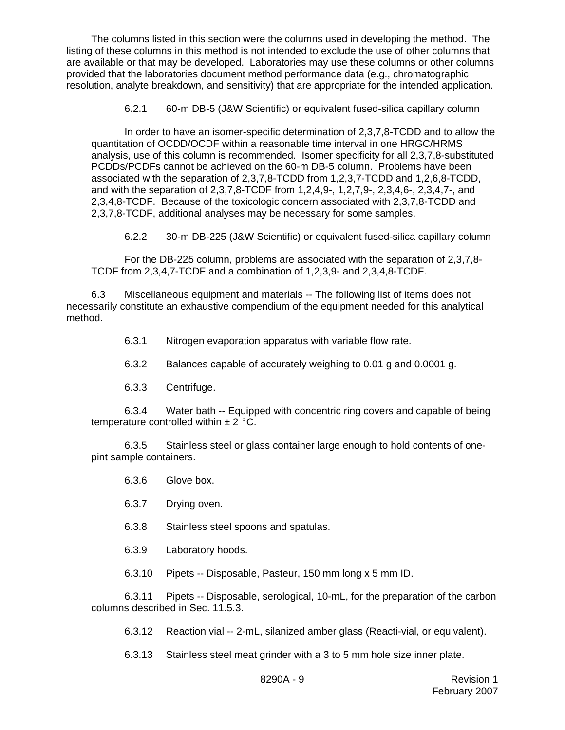The columns listed in this section were the columns used in developing the method. The listing of these columns in this method is not intended to exclude the use of other columns that are available or that may be developed. Laboratories may use these columns or other columns provided that the laboratories document method performance data (e.g., chromatographic resolution, analyte breakdown, and sensitivity) that are appropriate for the intended application.

6.2.1 60-m DB-5 (J&W Scientific) or equivalent fused-silica capillary column

In order to have an isomer-specific determination of 2,3,7,8-TCDD and to allow the quantitation of OCDD/OCDF within a reasonable time interval in one HRGC/HRMS analysis, use of this column is recommended. Isomer specificity for all 2,3,7,8-substituted PCDDs/PCDFs cannot be achieved on the 60-m DB-5 column. Problems have been associated with the separation of 2,3,7,8-TCDD from 1,2,3,7-TCDD and 1,2,6,8-TCDD, and with the separation of 2,3,7,8-TCDF from 1,2,4,9-, 1,2,7,9-, 2,3,4,6-, 2,3,4,7-, and 2,3,4,8-TCDF. Because of the toxicologic concern associated with 2,3,7,8-TCDD and 2,3,7,8-TCDF, additional analyses may be necessary for some samples.

6.2.2 30-m DB-225 (J&W Scientific) or equivalent fused-silica capillary column

For the DB-225 column, problems are associated with the separation of 2,3,7,8- TCDF from 2,3,4,7-TCDF and a combination of 1,2,3,9- and 2,3,4,8-TCDF.

6.3 Miscellaneous equipment and materials -- The following list of items does not necessarily constitute an exhaustive compendium of the equipment needed for this analytical method.

6.3.1 Nitrogen evaporation apparatus with variable flow rate.

- 6.3.2 Balances capable of accurately weighing to 0.01 g and 0.0001 g.
- 6.3.3 Centrifuge.

6.3.4 Water bath -- Equipped with concentric ring covers and capable of being temperature controlled within  $\pm 2$  °C.

6.3.5 Stainless steel or glass container large enough to hold contents of onepint sample containers.

- 6.3.6 Glove box.
- 6.3.7 Drying oven.
- 6.3.8 Stainless steel spoons and spatulas.
- 6.3.9 Laboratory hoods.

6.3.10 Pipets -- Disposable, Pasteur, 150 mm long x 5 mm ID.

6.3.11 Pipets -- Disposable, serological, 10-mL, for the preparation of the carbon columns described in Sec. 11.5.3.

6.3.12 Reaction vial -- 2-mL, silanized amber glass (Reacti-vial, or equivalent).

6.3.13 Stainless steel meat grinder with a 3 to 5 mm hole size inner plate.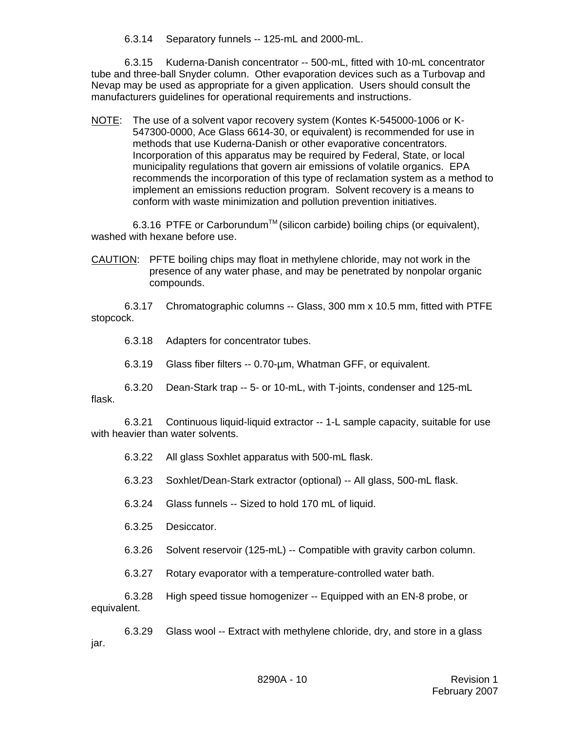6.3.14 Separatory funnels -- 125-mL and 2000-mL.

6.3.15 Kuderna-Danish concentrator -- 500-mL, fitted with 10-mL concentrator tube and three-ball Snyder column. Other evaporation devices such as a Turbovap and Nevap may be used as appropriate for a given application. Users should consult the manufacturers guidelines for operational requirements and instructions.

NOTE: The use of a solvent vapor recovery system (Kontes K-545000-1006 or K-547300-0000, Ace Glass 6614-30, or equivalent) is recommended for use in methods that use Kuderna-Danish or other evaporative concentrators. Incorporation of this apparatus may be required by Federal, State, or local municipality regulations that govern air emissions of volatile organics. EPA recommends the incorporation of this type of reclamation system as a method to implement an emissions reduction program. Solvent recovery is a means to conform with waste minimization and pollution prevention initiatives.

6.3.16 PTFE or Carborundum<sup>™</sup> (silicon carbide) boiling chips (or equivalent), washed with hexane before use.

CAUTION: PFTE boiling chips may float in methylene chloride, may not work in the presence of any water phase, and may be penetrated by nonpolar organic compounds.

6.3.17 Chromatographic columns -- Glass, 300 mm x 10.5 mm, fitted with PTFE stopcock.

6.3.18 Adapters for concentrator tubes.

6.3.19 Glass fiber filters -- 0.70-µm, Whatman GFF, or equivalent.

6.3.20 Dean-Stark trap -- 5- or 10-mL, with T-joints, condenser and 125-mL flask.

6.3.21 Continuous liquid-liquid extractor -- 1-L sample capacity, suitable for use with heavier than water solvents.

6.3.22 All glass Soxhlet apparatus with 500-mL flask.

6.3.23 Soxhlet/Dean-Stark extractor (optional) -- All glass, 500-mL flask.

6.3.24 Glass funnels -- Sized to hold 170 mL of liquid.

6.3.25 Desiccator.

6.3.26 Solvent reservoir (125-mL) -- Compatible with gravity carbon column.

6.3.27 Rotary evaporator with a temperature-controlled water bath.

6.3.28 High speed tissue homogenizer -- Equipped with an EN-8 probe, or equivalent.

6.3.29 Glass wool -- Extract with methylene chloride, dry, and store in a glass jar.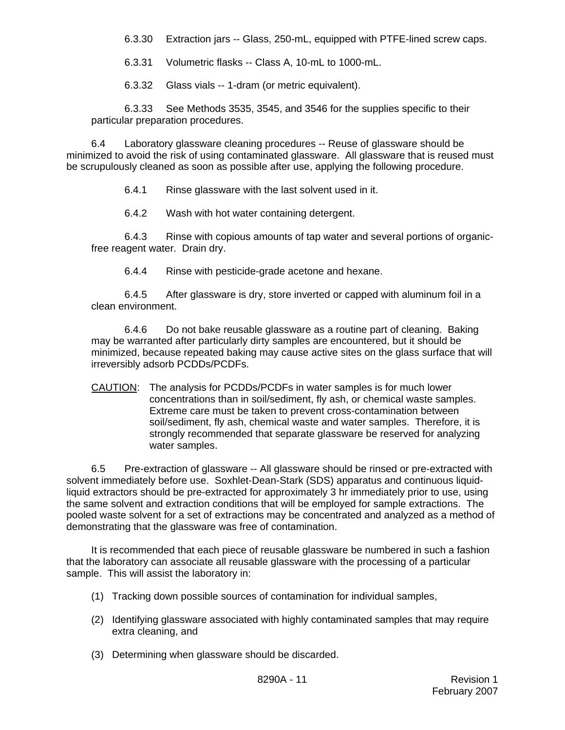- 6.3.30 Extraction jars -- Glass, 250-mL, equipped with PTFE-lined screw caps.
- 6.3.31 Volumetric flasks -- Class A, 10-mL to 1000-mL.
- 6.3.32 Glass vials -- 1-dram (or metric equivalent).

6.3.33 See Methods 3535, 3545, and 3546 for the supplies specific to their particular preparation procedures.

6.4 Laboratory glassware cleaning procedures -- Reuse of glassware should be minimized to avoid the risk of using contaminated glassware. All glassware that is reused must be scrupulously cleaned as soon as possible after use, applying the following procedure.

6.4.1 Rinse glassware with the last solvent used in it.

6.4.2 Wash with hot water containing detergent.

6.4.3 Rinse with copious amounts of tap water and several portions of organicfree reagent water. Drain dry.

6.4.4 Rinse with pesticide-grade acetone and hexane.

6.4.5 After glassware is dry, store inverted or capped with aluminum foil in a clean environment.

6.4.6 Do not bake reusable glassware as a routine part of cleaning. Baking may be warranted after particularly dirty samples are encountered, but it should be minimized, because repeated baking may cause active sites on the glass surface that will irreversibly adsorb PCDDs/PCDFs.

CAUTION: The analysis for PCDDs/PCDFs in water samples is for much lower concentrations than in soil/sediment, fly ash, or chemical waste samples. Extreme care must be taken to prevent cross-contamination between soil/sediment, fly ash, chemical waste and water samples. Therefore, it is strongly recommended that separate glassware be reserved for analyzing water samples.

6.5 Pre-extraction of glassware -- All glassware should be rinsed or pre-extracted with solvent immediately before use. Soxhlet-Dean-Stark (SDS) apparatus and continuous liquidliquid extractors should be pre-extracted for approximately 3 hr immediately prior to use, using the same solvent and extraction conditions that will be employed for sample extractions. The pooled waste solvent for a set of extractions may be concentrated and analyzed as a method of demonstrating that the glassware was free of contamination.

It is recommended that each piece of reusable glassware be numbered in such a fashion that the laboratory can associate all reusable glassware with the processing of a particular sample. This will assist the laboratory in:

- (1) Tracking down possible sources of contamination for individual samples,
- (2) Identifying glassware associated with highly contaminated samples that may require extra cleaning, and
- (3) Determining when glassware should be discarded.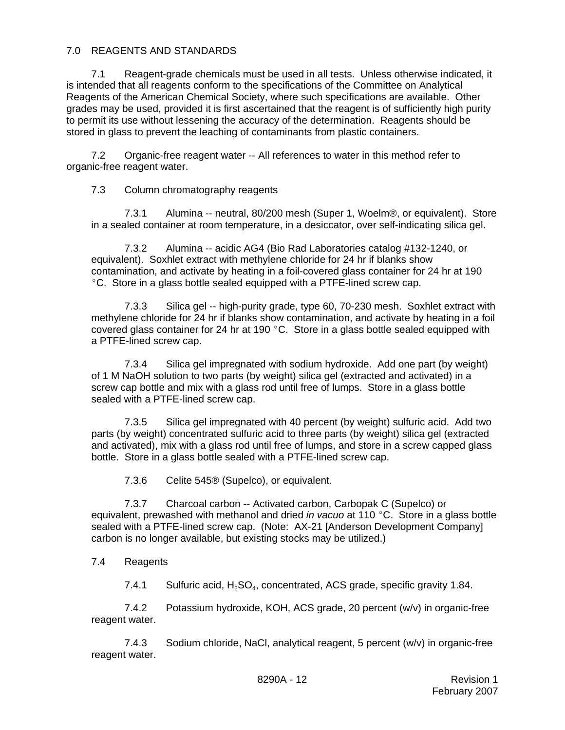## 7.0 REAGENTS AND STANDARDS

7.1 Reagent-grade chemicals must be used in all tests. Unless otherwise indicated, it is intended that all reagents conform to the specifications of the Committee on Analytical Reagents of the American Chemical Society, where such specifications are available. Other grades may be used, provided it is first ascertained that the reagent is of sufficiently high purity to permit its use without lessening the accuracy of the determination. Reagents should be stored in glass to prevent the leaching of contaminants from plastic containers.

7.2 Organic-free reagent water -- All references to water in this method refer to organic-free reagent water.

7.3 Column chromatography reagents

7.3.1 Alumina -- neutral, 80/200 mesh (Super 1, Woelm®, or equivalent). Store in a sealed container at room temperature, in a desiccator, over self-indicating silica gel.

7.3.2 Alumina -- acidic AG4 (Bio Rad Laboratories catalog #132-1240, or equivalent). Soxhlet extract with methylene chloride for 24 hr if blanks show contamination, and activate by heating in a foil-covered glass container for 24 hr at 190 <sup>o</sup>C. Store in a glass bottle sealed equipped with a PTFE-lined screw cap.

7.3.3 Silica gel -- high-purity grade, type 60, 70-230 mesh. Soxhlet extract with methylene chloride for 24 hr if blanks show contamination, and activate by heating in a foil covered glass container for 24 hr at 190 $\degree$ C. Store in a glass bottle sealed equipped with a PTFE-lined screw cap.

7.3.4 Silica gel impregnated with sodium hydroxide. Add one part (by weight) of 1 M NaOH solution to two parts (by weight) silica gel (extracted and activated) in a screw cap bottle and mix with a glass rod until free of lumps. Store in a glass bottle sealed with a PTFE-lined screw cap.

7.3.5 Silica gel impregnated with 40 percent (by weight) sulfuric acid. Add two parts (by weight) concentrated sulfuric acid to three parts (by weight) silica gel (extracted and activated), mix with a glass rod until free of lumps, and store in a screw capped glass bottle. Store in a glass bottle sealed with a PTFE-lined screw cap.

7.3.6 Celite 545® (Supelco), or equivalent.

7.3.7 Charcoal carbon -- Activated carbon, Carbopak C (Supelco) or equivalent, prewashed with methanol and dried *in vacuo* at 110 °C. Store in a glass bottle sealed with a PTFE-lined screw cap. (Note: AX-21 [Anderson Development Company] carbon is no longer available, but existing stocks may be utilized.)

7.4 Reagents

7.4.1 Sulfuric acid,  $H_2SO_4$ , concentrated, ACS grade, specific gravity 1.84.

7.4.2 Potassium hydroxide, KOH, ACS grade, 20 percent (w/v) in organic-free reagent water.

7.4.3 Sodium chloride, NaCl, analytical reagent, 5 percent (w/v) in organic-free reagent water.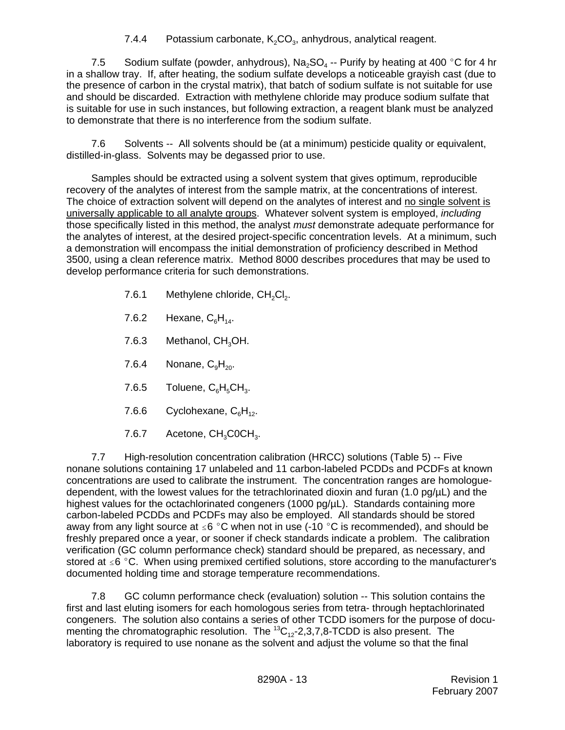7.4.4 Potassium carbonate,  $K_2CO_3$ , anhydrous, analytical reagent.

7.5 Sodium sulfate (powder, anhydrous),  $Na<sub>2</sub>SO<sub>4</sub>$  -- Purify by heating at 400 °C for 4 hr in a shallow tray. If, after heating, the sodium sulfate develops a noticeable grayish cast (due to the presence of carbon in the crystal matrix), that batch of sodium sulfate is not suitable for use and should be discarded. Extraction with methylene chloride may produce sodium sulfate that is suitable for use in such instances, but following extraction, a reagent blank must be analyzed to demonstrate that there is no interference from the sodium sulfate.

7.6 Solvents -- All solvents should be (at a minimum) pesticide quality or equivalent, distilled-in-glass. Solvents may be degassed prior to use.

Samples should be extracted using a solvent system that gives optimum, reproducible recovery of the analytes of interest from the sample matrix, at the concentrations of interest. The choice of extraction solvent will depend on the analytes of interest and no single solvent is universally applicable to all analyte groups. Whatever solvent system is employed, *including* those specifically listed in this method, the analyst *must* demonstrate adequate performance for the analytes of interest, at the desired project-specific concentration levels. At a minimum, such a demonstration will encompass the initial demonstration of proficiency described in Method 3500, using a clean reference matrix. Method 8000 describes procedures that may be used to develop performance criteria for such demonstrations.

- 7.6.1 Methylene chloride,  $CH_2Cl_2$ .
- 7.6.2 Hexane,  $C_6H_{14}$ .
- 7.6.3 Methanol, CH<sub>2</sub>OH.
- 7.6.4 Nonane,  $C_9H_{20}$ .
- 7.6.5 Toluene,  $C_6H_5CH_3$ .
- 7.6.6 Cyclohexane,  $C_6H_{12}$ .
- 7.6.7 Acetone,  $CH<sub>3</sub>COCH<sub>3</sub>$ .

7.7 High-resolution concentration calibration (HRCC) solutions (Table 5) -- Five nonane solutions containing 17 unlabeled and 11 carbon-labeled PCDDs and PCDFs at known concentrations are used to calibrate the instrument. The concentration ranges are homologuedependent, with the lowest values for the tetrachlorinated dioxin and furan  $(1.0 \text{ pg/µL})$  and the highest values for the octachlorinated congeners (1000 pg/uL). Standards containing more carbon-labeled PCDDs and PCDFs may also be employed. All standards should be stored away from any light source at  $\leq 6$  °C when not in use (-10 °C is recommended), and should be freshly prepared once a year, or sooner if check standards indicate a problem. The calibration verification (GC column performance check) standard should be prepared, as necessary, and stored at  $\leq 6$  °C. When using premixed certified solutions, store according to the manufacturer's documented holding time and storage temperature recommendations.

7.8 GC column performance check (evaluation) solution -- This solution contains the first and last eluting isomers for each homologous series from tetra- through heptachlorinated congeners. The solution also contains a series of other TCDD isomers for the purpose of documenting the chromatographic resolution. The  ${}^{13}C_{12}$ -2,3,7,8-TCDD is also present. The laboratory is required to use nonane as the solvent and adjust the volume so that the final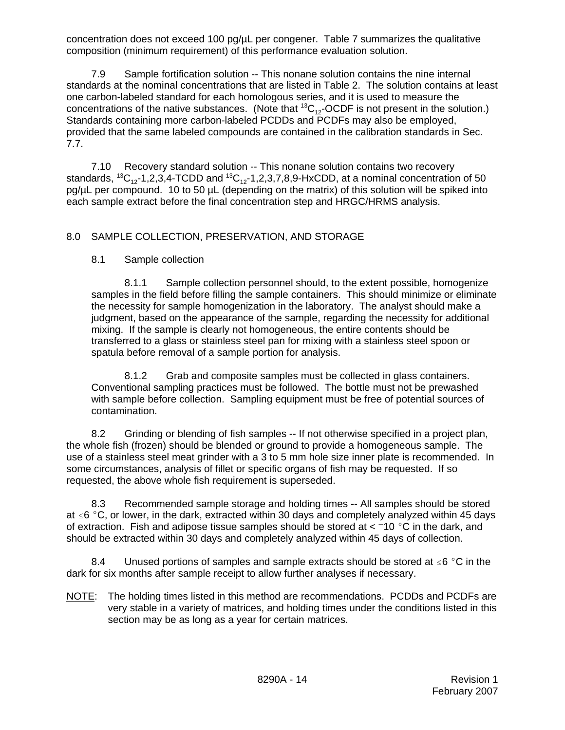concentration does not exceed 100 pg/uL per congener. Table 7 summarizes the qualitative composition (minimum requirement) of this performance evaluation solution.

7.9 Sample fortification solution -- This nonane solution contains the nine internal standards at the nominal concentrations that are listed in Table 2. The solution contains at least one carbon-labeled standard for each homologous series, and it is used to measure the concentrations of the native substances. (Note that  ${}^{13}C_{12}$ -OCDF is not present in the solution.) Standards containing more carbon-labeled PCDDs and PCDFs may also be employed, provided that the same labeled compounds are contained in the calibration standards in Sec. 7.7.

7.10 Recovery standard solution -- This nonane solution contains two recovery standards,  ${}^{13}C_{12}$ -1,2,3,4-TCDD and  ${}^{13}C_{12}$ -1,2,3,7,8,9-HxCDD, at a nominal concentration of 50 pg/µL per compound. 10 to 50 µL (depending on the matrix) of this solution will be spiked into each sample extract before the final concentration step and HRGC/HRMS analysis.

# 8.0 SAMPLE COLLECTION, PRESERVATION, AND STORAGE

# 8.1 Sample collection

8.1.1 Sample collection personnel should, to the extent possible, homogenize samples in the field before filling the sample containers. This should minimize or eliminate the necessity for sample homogenization in the laboratory. The analyst should make a judgment, based on the appearance of the sample, regarding the necessity for additional mixing. If the sample is clearly not homogeneous, the entire contents should be transferred to a glass or stainless steel pan for mixing with a stainless steel spoon or spatula before removal of a sample portion for analysis.

8.1.2 Grab and composite samples must be collected in glass containers. Conventional sampling practices must be followed. The bottle must not be prewashed with sample before collection. Sampling equipment must be free of potential sources of contamination.

8.2 Grinding or blending of fish samples -- If not otherwise specified in a project plan, the whole fish (frozen) should be blended or ground to provide a homogeneous sample. The use of a stainless steel meat grinder with a 3 to 5 mm hole size inner plate is recommended. In some circumstances, analysis of fillet or specific organs of fish may be requested. If so requested, the above whole fish requirement is superseded.

8.3 Recommended sample storage and holding times -- All samples should be stored at  $\leq 6$  °C, or lower, in the dark, extracted within 30 days and completely analyzed within 45 days of extraction. Fish and adipose tissue samples should be stored at  $<$  -10 °C in the dark, and should be extracted within 30 days and completely analyzed within 45 days of collection.

8.4 Unused portions of samples and sample extracts should be stored at  $\leq 6$  °C in the dark for six months after sample receipt to allow further analyses if necessary.

NOTE: The holding times listed in this method are recommendations. PCDDs and PCDFs are very stable in a variety of matrices, and holding times under the conditions listed in this section may be as long as a year for certain matrices.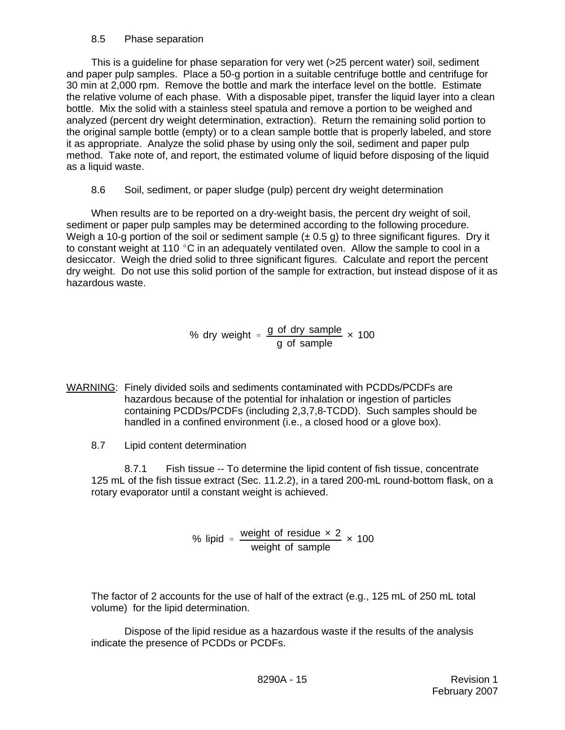## 8.5 Phase separation

This is a guideline for phase separation for very wet (>25 percent water) soil, sediment and paper pulp samples. Place a 50-g portion in a suitable centrifuge bottle and centrifuge for 30 min at 2,000 rpm. Remove the bottle and mark the interface level on the bottle. Estimate the relative volume of each phase. With a disposable pipet, transfer the liquid layer into a clean bottle. Mix the solid with a stainless steel spatula and remove a portion to be weighed and analyzed (percent dry weight determination, extraction). Return the remaining solid portion to the original sample bottle (empty) or to a clean sample bottle that is properly labeled, and store it as appropriate. Analyze the solid phase by using only the soil, sediment and paper pulp method. Take note of, and report, the estimated volume of liquid before disposing of the liquid as a liquid waste.

8.6 Soil, sediment, or paper sludge (pulp) percent dry weight determination

When results are to be reported on a dry-weight basis, the percent dry weight of soil, sediment or paper pulp samples may be determined according to the following procedure. Weigh a 10-g portion of the soil or sediment sample  $(\pm 0.5 \text{ g})$  to three significant figures. Dry it to constant weight at 110  $\degree$ C in an adequately ventilated oven. Allow the sample to cool in a desiccator. Weigh the dried solid to three significant figures. Calculate and report the percent dry weight. Do not use this solid portion of the sample for extraction, but instead dispose of it as hazardous waste.

> % dry weight  $=$   $\frac{g \text{ of }$  dry sample g of sample × 100

- WARNING: Finely divided soils and sediments contaminated with PCDDs/PCDFs are hazardous because of the potential for inhalation or ingestion of particles containing PCDDs/PCDFs (including 2,3,7,8-TCDD). Such samples should be handled in a confined environment (i.e., a closed hood or a glove box).
	- 8.7 Lipid content determination

8.7.1 Fish tissue -- To determine the lipid content of fish tissue, concentrate 125 mL of the fish tissue extract (Sec. 11.2.2), in a tared 200-mL round-bottom flask, on a rotary evaporator until a constant weight is achieved.

> % lipid =  $\frac{\text{weight of residue} \times 2}{\frac{1}{2}}$ weight of sample × 100

The factor of 2 accounts for the use of half of the extract (e.g., 125 mL of 250 mL total volume) for the lipid determination.

Dispose of the lipid residue as a hazardous waste if the results of the analysis indicate the presence of PCDDs or PCDFs.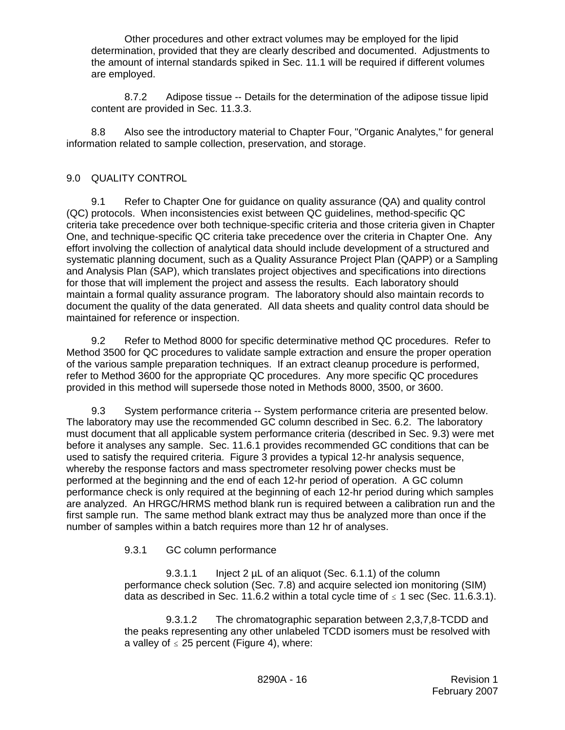Other procedures and other extract volumes may be employed for the lipid determination, provided that they are clearly described and documented. Adjustments to the amount of internal standards spiked in Sec. 11.1 will be required if different volumes are employed.

8.7.2 Adipose tissue -- Details for the determination of the adipose tissue lipid content are provided in Sec. 11.3.3.

8.8 Also see the introductory material to Chapter Four, "Organic Analytes," for general information related to sample collection, preservation, and storage.

## 9.0 QUALITY CONTROL

9.1 Refer to Chapter One for guidance on quality assurance (QA) and quality control (QC) protocols. When inconsistencies exist between QC guidelines, method-specific QC criteria take precedence over both technique-specific criteria and those criteria given in Chapter One, and technique-specific QC criteria take precedence over the criteria in Chapter One. Any effort involving the collection of analytical data should include development of a structured and systematic planning document, such as a Quality Assurance Project Plan (QAPP) or a Sampling and Analysis Plan (SAP), which translates project objectives and specifications into directions for those that will implement the project and assess the results. Each laboratory should maintain a formal quality assurance program. The laboratory should also maintain records to document the quality of the data generated. All data sheets and quality control data should be maintained for reference or inspection.

9.2 Refer to Method 8000 for specific determinative method QC procedures. Refer to Method 3500 for QC procedures to validate sample extraction and ensure the proper operation of the various sample preparation techniques. If an extract cleanup procedure is performed, refer to Method 3600 for the appropriate QC procedures. Any more specific QC procedures provided in this method will supersede those noted in Methods 8000, 3500, or 3600.

 9.3 System performance criteria -- System performance criteria are presented below. The laboratory may use the recommended GC column described in Sec. 6.2. The laboratory must document that all applicable system performance criteria (described in Sec. 9.3) were met before it analyses any sample. Sec. 11.6.1 provides recommended GC conditions that can be used to satisfy the required criteria. Figure 3 provides a typical 12-hr analysis sequence, whereby the response factors and mass spectrometer resolving power checks must be performed at the beginning and the end of each 12-hr period of operation. A GC column performance check is only required at the beginning of each 12-hr period during which samples are analyzed. An HRGC/HRMS method blank run is required between a calibration run and the first sample run. The same method blank extract may thus be analyzed more than once if the number of samples within a batch requires more than 12 hr of analyses.

# 9.3.1 GC column performance

9.3.1.1 Inject 2 µL of an aliquot (Sec. 6.1.1) of the column performance check solution (Sec. 7.8) and acquire selected ion monitoring (SIM) data as described in Sec. 11.6.2 within a total cycle time of  $\leq 1$  sec (Sec. 11.6.3.1).

9.3.1.2 The chromatographic separation between 2,3,7,8-TCDD and the peaks representing any other unlabeled TCDD isomers must be resolved with a valley of  $\leq$  25 percent (Figure 4), where: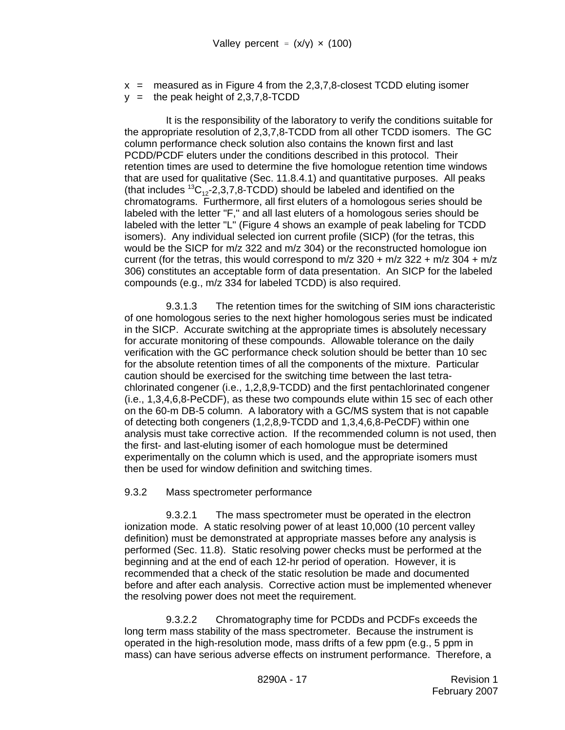$x =$  measured as in Figure 4 from the 2,3,7,8-closest TCDD eluting isomer  $y =$  the peak height of 2,3,7,8-TCDD

It is the responsibility of the laboratory to verify the conditions suitable for the appropriate resolution of 2,3,7,8-TCDD from all other TCDD isomers. The GC column performance check solution also contains the known first and last PCDD/PCDF eluters under the conditions described in this protocol. Their retention times are used to determine the five homologue retention time windows that are used for qualitative (Sec. 11.8.4.1) and quantitative purposes. All peaks (that includes  ${}^{13}C_{12}$ -2,3,7,8-TCDD) should be labeled and identified on the chromatograms. Furthermore, all first eluters of a homologous series should be labeled with the letter "F," and all last eluters of a homologous series should be labeled with the letter "L" (Figure 4 shows an example of peak labeling for TCDD isomers). Any individual selected ion current profile (SICP) (for the tetras, this would be the SICP for m/z 322 and m/z 304) or the reconstructed homologue ion current (for the tetras, this would correspond to  $m/z$  320 +  $m/z$  322 +  $m/z$  304 +  $m/z$ 306) constitutes an acceptable form of data presentation. An SICP for the labeled compounds (e.g., m/z 334 for labeled TCDD) is also required.

9.3.1.3 The retention times for the switching of SIM ions characteristic of one homologous series to the next higher homologous series must be indicated in the SICP. Accurate switching at the appropriate times is absolutely necessary for accurate monitoring of these compounds. Allowable tolerance on the daily verification with the GC performance check solution should be better than 10 sec for the absolute retention times of all the components of the mixture. Particular caution should be exercised for the switching time between the last tetrachlorinated congener (i.e., 1,2,8,9-TCDD) and the first pentachlorinated congener (i.e., 1,3,4,6,8-PeCDF), as these two compounds elute within 15 sec of each other on the 60-m DB-5 column. A laboratory with a GC/MS system that is not capable of detecting both congeners (1,2,8,9-TCDD and 1,3,4,6,8-PeCDF) within one analysis must take corrective action. If the recommended column is not used, then the first- and last-eluting isomer of each homologue must be determined experimentally on the column which is used, and the appropriate isomers must then be used for window definition and switching times.

## 9.3.2 Mass spectrometer performance

9.3.2.1 The mass spectrometer must be operated in the electron ionization mode. A static resolving power of at least 10,000 (10 percent valley definition) must be demonstrated at appropriate masses before any analysis is performed (Sec. 11.8). Static resolving power checks must be performed at the beginning and at the end of each 12-hr period of operation. However, it is recommended that a check of the static resolution be made and documented before and after each analysis. Corrective action must be implemented whenever the resolving power does not meet the requirement.

9.3.2.2 Chromatography time for PCDDs and PCDFs exceeds the long term mass stability of the mass spectrometer. Because the instrument is operated in the high-resolution mode, mass drifts of a few ppm (e.g., 5 ppm in mass) can have serious adverse effects on instrument performance. Therefore, a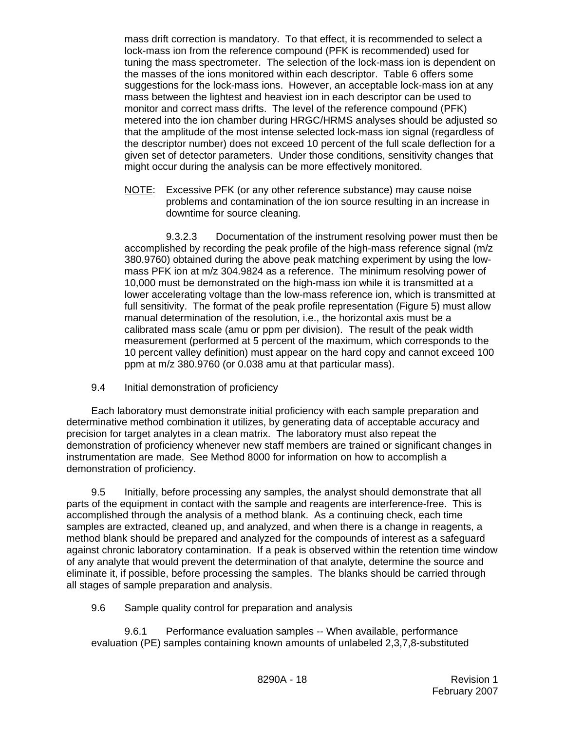mass drift correction is mandatory. To that effect, it is recommended to select a lock-mass ion from the reference compound (PFK is recommended) used for tuning the mass spectrometer. The selection of the lock-mass ion is dependent on the masses of the ions monitored within each descriptor. Table 6 offers some suggestions for the lock-mass ions. However, an acceptable lock-mass ion at any mass between the lightest and heaviest ion in each descriptor can be used to monitor and correct mass drifts. The level of the reference compound (PFK) metered into the ion chamber during HRGC/HRMS analyses should be adjusted so that the amplitude of the most intense selected lock-mass ion signal (regardless of the descriptor number) does not exceed 10 percent of the full scale deflection for a given set of detector parameters. Under those conditions, sensitivity changes that might occur during the analysis can be more effectively monitored.

NOTE: Excessive PFK (or any other reference substance) may cause noise problems and contamination of the ion source resulting in an increase in downtime for source cleaning.

9.3.2.3 Documentation of the instrument resolving power must then be accomplished by recording the peak profile of the high-mass reference signal (m/z 380.9760) obtained during the above peak matching experiment by using the lowmass PFK ion at m/z 304.9824 as a reference. The minimum resolving power of 10,000 must be demonstrated on the high-mass ion while it is transmitted at a lower accelerating voltage than the low-mass reference ion, which is transmitted at full sensitivity. The format of the peak profile representation (Figure 5) must allow manual determination of the resolution, i.e., the horizontal axis must be a calibrated mass scale (amu or ppm per division). The result of the peak width measurement (performed at 5 percent of the maximum, which corresponds to the 10 percent valley definition) must appear on the hard copy and cannot exceed 100 ppm at m/z 380.9760 (or 0.038 amu at that particular mass).

9.4 Initial demonstration of proficiency

Each laboratory must demonstrate initial proficiency with each sample preparation and determinative method combination it utilizes, by generating data of acceptable accuracy and precision for target analytes in a clean matrix. The laboratory must also repeat the demonstration of proficiency whenever new staff members are trained or significant changes in instrumentation are made. See Method 8000 for information on how to accomplish a demonstration of proficiency.

9.5 Initially, before processing any samples, the analyst should demonstrate that all parts of the equipment in contact with the sample and reagents are interference-free. This is accomplished through the analysis of a method blank. As a continuing check, each time samples are extracted, cleaned up, and analyzed, and when there is a change in reagents, a method blank should be prepared and analyzed for the compounds of interest as a safeguard against chronic laboratory contamination. If a peak is observed within the retention time window of any analyte that would prevent the determination of that analyte, determine the source and eliminate it, if possible, before processing the samples. The blanks should be carried through all stages of sample preparation and analysis.

9.6 Sample quality control for preparation and analysis

9.6.1 Performance evaluation samples -- When available, performance evaluation (PE) samples containing known amounts of unlabeled 2,3,7,8-substituted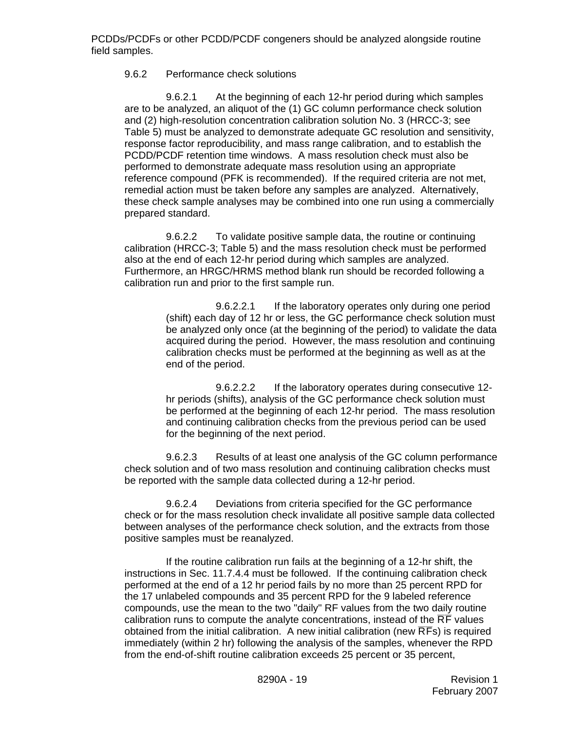## 9.6.2 Performance check solutions

9.6.2.1 At the beginning of each 12-hr period during which samples are to be analyzed, an aliquot of the (1) GC column performance check solution and (2) high-resolution concentration calibration solution No. 3 (HRCC-3; see Table 5) must be analyzed to demonstrate adequate GC resolution and sensitivity, response factor reproducibility, and mass range calibration, and to establish the PCDD/PCDF retention time windows. A mass resolution check must also be performed to demonstrate adequate mass resolution using an appropriate reference compound (PFK is recommended). If the required criteria are not met, remedial action must be taken before any samples are analyzed. Alternatively, these check sample analyses may be combined into one run using a commercially prepared standard.

9.6.2.2 To validate positive sample data, the routine or continuing calibration (HRCC-3; Table 5) and the mass resolution check must be performed also at the end of each 12-hr period during which samples are analyzed. Furthermore, an HRGC/HRMS method blank run should be recorded following a calibration run and prior to the first sample run.

> 9.6.2.2.1 If the laboratory operates only during one period (shift) each day of 12 hr or less, the GC performance check solution must be analyzed only once (at the beginning of the period) to validate the data acquired during the period. However, the mass resolution and continuing calibration checks must be performed at the beginning as well as at the end of the period.

> 9.6.2.2.2 If the laboratory operates during consecutive 12 hr periods (shifts), analysis of the GC performance check solution must be performed at the beginning of each 12-hr period. The mass resolution and continuing calibration checks from the previous period can be used for the beginning of the next period.

9.6.2.3 Results of at least one analysis of the GC column performance check solution and of two mass resolution and continuing calibration checks must be reported with the sample data collected during a 12-hr period.

9.6.2.4 Deviations from criteria specified for the GC performance check or for the mass resolution check invalidate all positive sample data collected between analyses of the performance check solution, and the extracts from those positive samples must be reanalyzed.

If the routine calibration run fails at the beginning of a 12-hr shift, the instructions in Sec. 11.7.4.4 must be followed. If the continuing calibration check performed at the end of a 12 hr period fails by no more than 25 percent RPD for the 17 unlabeled compounds and 35 percent RPD for the 9 labeled reference compounds, use the mean to the two "daily" RF values from the two daily routine calibration runs to compute the analyte concentrations, instead of the  $\overline{\text{RF}}$  values obtained from the initial calibration. A new initial calibration (new  $\overline{\text{RF}}$ s) is required immediately (within 2 hr) following the analysis of the samples, whenever the RPD from the end-of-shift routine calibration exceeds 25 percent or 35 percent,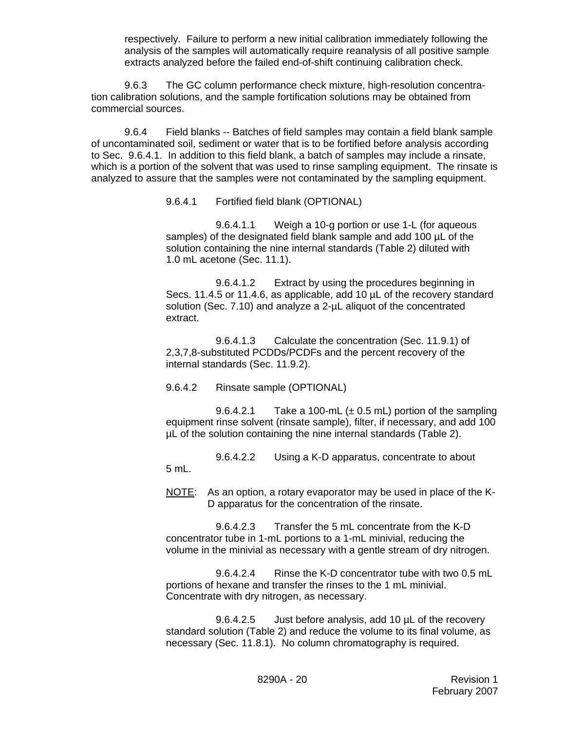respectively. Failure to perform a new initial calibration immediately following the analysis of the samples will automatically require reanalysis of all positive sample extracts analyzed before the failed end-of-shift continuing calibration check.

9.6.3 The GC column performance check mixture, high-resolution concentration calibration solutions, and the sample fortification solutions may be obtained from commercial sources.

9.6.4 Field blanks -- Batches of field samples may contain a field blank sample of uncontaminated soil, sediment or water that is to be fortified before analysis according to Sec. 9.6.4.1. In addition to this field blank, a batch of samples may include a rinsate, which is a portion of the solvent that was used to rinse sampling equipment. The rinsate is analyzed to assure that the samples were not contaminated by the sampling equipment.

9.6.4.1 Fortified field blank (OPTIONAL)

9.6.4.1.1 Weigh a 10-g portion or use 1-L (for aqueous samples) of the designated field blank sample and add 100  $\mu$ L of the solution containing the nine internal standards (Table 2) diluted with 1.0 mL acetone (Sec. 11.1).

9.6.4.1.2 Extract by using the procedures beginning in Secs. 11.4.5 or 11.4.6, as applicable, add 10  $\mu$ L of the recovery standard solution (Sec. 7.10) and analyze a 2-uL aliquot of the concentrated extract.

9.6.4.1.3 Calculate the concentration (Sec. 11.9.1) of 2,3,7,8-substituted PCDDs/PCDFs and the percent recovery of the internal standards (Sec. 11.9.2).

## 9.6.4.2 Rinsate sample (OPTIONAL)

9.6.4.2.1 Take a 100-mL  $(\pm 0.5$  mL) portion of the sampling equipment rinse solvent (rinsate sample), filter, if necessary, and add 100 µL of the solution containing the nine internal standards (Table 2).

9.6.4.2.2 Using a K-D apparatus, concentrate to about 5 mL.

NOTE: As an option, a rotary evaporator may be used in place of the K-D apparatus for the concentration of the rinsate.

9.6.4.2.3 Transfer the 5 mL concentrate from the K-D concentrator tube in 1-mL portions to a 1-mL minivial, reducing the volume in the minivial as necessary with a gentle stream of dry nitrogen.

9.6.4.2.4 Rinse the K-D concentrator tube with two 0.5 mL portions of hexane and transfer the rinses to the 1 mL minivial. Concentrate with dry nitrogen, as necessary.

9.6.4.2.5 Just before analysis, add 10 µL of the recovery standard solution (Table 2) and reduce the volume to its final volume, as necessary (Sec. 11.8.1). No column chromatography is required.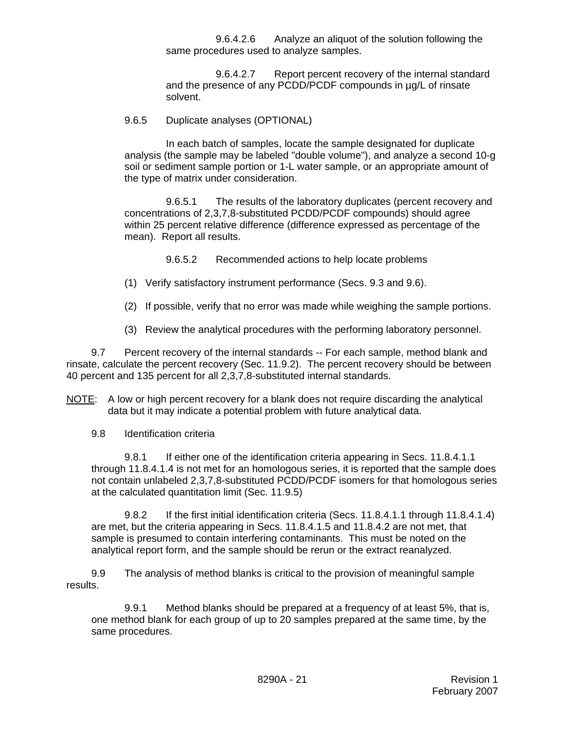9.6.4.2.6 Analyze an aliquot of the solution following the same procedures used to analyze samples.

9.6.4.2.7 Report percent recovery of the internal standard and the presence of any PCDD/PCDF compounds in µg/L of rinsate solvent.

### 9.6.5 Duplicate analyses (OPTIONAL)

In each batch of samples, locate the sample designated for duplicate analysis (the sample may be labeled "double volume"), and analyze a second 10-g soil or sediment sample portion or 1-L water sample, or an appropriate amount of the type of matrix under consideration.

9.6.5.1 The results of the laboratory duplicates (percent recovery and concentrations of 2,3,7,8-substituted PCDD/PCDF compounds) should agree within 25 percent relative difference (difference expressed as percentage of the mean). Report all results.

9.6.5.2 Recommended actions to help locate problems

- (1) Verify satisfactory instrument performance (Secs. 9.3 and 9.6).
- (2) If possible, verify that no error was made while weighing the sample portions.
- (3) Review the analytical procedures with the performing laboratory personnel.

9.7 Percent recovery of the internal standards -- For each sample, method blank and rinsate, calculate the percent recovery (Sec. 11.9.2). The percent recovery should be between 40 percent and 135 percent for all 2,3,7,8-substituted internal standards.

NOTE: A low or high percent recovery for a blank does not require discarding the analytical data but it may indicate a potential problem with future analytical data.

9.8 Identification criteria

9.8.1 If either one of the identification criteria appearing in Secs. 11.8.4.1.1 through 11.8.4.1.4 is not met for an homologous series, it is reported that the sample does not contain unlabeled 2,3,7,8-substituted PCDD/PCDF isomers for that homologous series at the calculated quantitation limit (Sec. 11.9.5)

9.8.2 If the first initial identification criteria (Secs. 11.8.4.1.1 through 11.8.4.1.4) are met, but the criteria appearing in Secs. 11.8.4.1.5 and 11.8.4.2 are not met, that sample is presumed to contain interfering contaminants. This must be noted on the analytical report form, and the sample should be rerun or the extract reanalyzed.

 9.9 The analysis of method blanks is critical to the provision of meaningful sample results.

9.9.1 Method blanks should be prepared at a frequency of at least 5%, that is, one method blank for each group of up to 20 samples prepared at the same time, by the same procedures.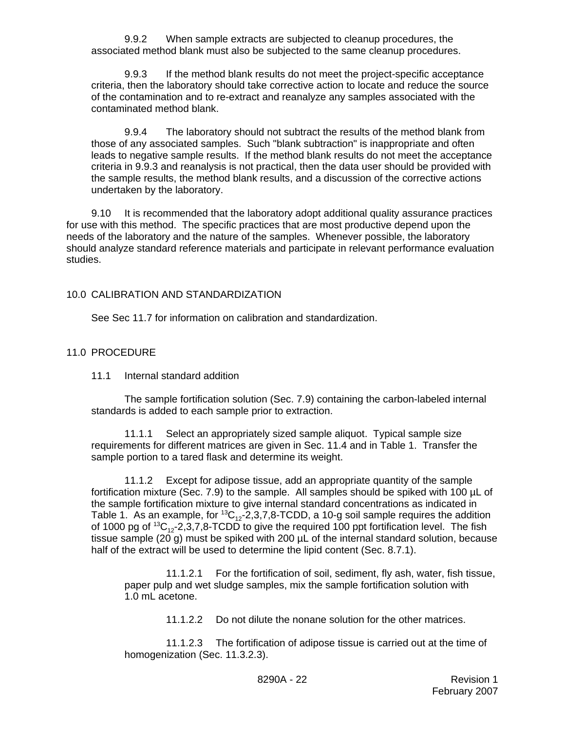9.9.2 When sample extracts are subjected to cleanup procedures, the associated method blank must also be subjected to the same cleanup procedures.

9.9.3 If the method blank results do not meet the project-specific acceptance criteria, then the laboratory should take corrective action to locate and reduce the source of the contamination and to re-extract and reanalyze any samples associated with the contaminated method blank.

9.9.4 The laboratory should not subtract the results of the method blank from those of any associated samples. Such "blank subtraction" is inappropriate and often leads to negative sample results. If the method blank results do not meet the acceptance criteria in 9.9.3 and reanalysis is not practical, then the data user should be provided with the sample results, the method blank results, and a discussion of the corrective actions undertaken by the laboratory.

9.10 It is recommended that the laboratory adopt additional quality assurance practices for use with this method. The specific practices that are most productive depend upon the needs of the laboratory and the nature of the samples. Whenever possible, the laboratory should analyze standard reference materials and participate in relevant performance evaluation studies.

## 10.0 CALIBRATION AND STANDARDIZATION

See Sec 11.7 for information on calibration and standardization.

#### 11.0 PROCEDURE

#### 11.1 Internal standard addition

The sample fortification solution (Sec. 7.9) containing the carbon-labeled internal standards is added to each sample prior to extraction.

11.1.1 Select an appropriately sized sample aliquot. Typical sample size requirements for different matrices are given in Sec. 11.4 and in Table 1. Transfer the sample portion to a tared flask and determine its weight.

11.1.2 Except for adipose tissue, add an appropriate quantity of the sample fortification mixture (Sec. 7.9) to the sample. All samples should be spiked with 100 µL of the sample fortification mixture to give internal standard concentrations as indicated in Table 1. As an example, for  ${}^{13}C_{12}$ -2,3,7,8-TCDD, a 10-g soil sample requires the addition of 1000 pg of  ${}^{13}C_{12}$ -2,3,7,8-TCDD to give the required 100 ppt fortification level. The fish tissue sample (20 g) must be spiked with 200 µL of the internal standard solution, because half of the extract will be used to determine the lipid content (Sec. 8.7.1).

11.1.2.1 For the fortification of soil, sediment, fly ash, water, fish tissue, paper pulp and wet sludge samples, mix the sample fortification solution with 1.0 mL acetone.

11.1.2.2 Do not dilute the nonane solution for the other matrices.

11.1.2.3 The fortification of adipose tissue is carried out at the time of homogenization (Sec. 11.3.2.3).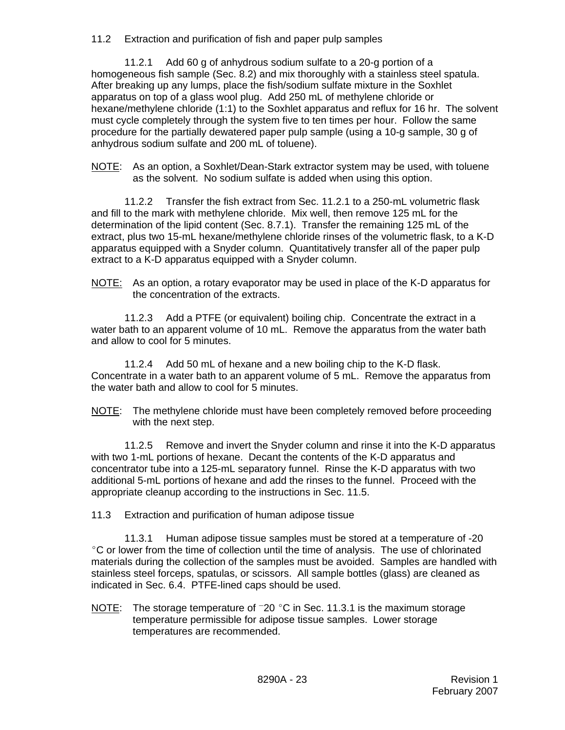11.2 Extraction and purification of fish and paper pulp samples

11.2.1 Add 60 g of anhydrous sodium sulfate to a 20-g portion of a homogeneous fish sample (Sec. 8.2) and mix thoroughly with a stainless steel spatula. After breaking up any lumps, place the fish/sodium sulfate mixture in the Soxhlet apparatus on top of a glass wool plug. Add 250 mL of methylene chloride or hexane/methylene chloride (1:1) to the Soxhlet apparatus and reflux for 16 hr. The solvent must cycle completely through the system five to ten times per hour. Follow the same procedure for the partially dewatered paper pulp sample (using a 10-g sample, 30 g of anhydrous sodium sulfate and 200 mL of toluene).

NOTE: As an option, a Soxhlet/Dean-Stark extractor system may be used, with toluene as the solvent. No sodium sulfate is added when using this option.

11.2.2 Transfer the fish extract from Sec. 11.2.1 to a 250-mL volumetric flask and fill to the mark with methylene chloride. Mix well, then remove 125 mL for the determination of the lipid content (Sec. 8.7.1). Transfer the remaining 125 mL of the extract, plus two 15-mL hexane/methylene chloride rinses of the volumetric flask, to a K-D apparatus equipped with a Snyder column. Quantitatively transfer all of the paper pulp extract to a K-D apparatus equipped with a Snyder column.

NOTE: As an option, a rotary evaporator may be used in place of the K-D apparatus for the concentration of the extracts.

11.2.3 Add a PTFE (or equivalent) boiling chip. Concentrate the extract in a water bath to an apparent volume of 10 mL. Remove the apparatus from the water bath and allow to cool for 5 minutes.

11.2.4 Add 50 mL of hexane and a new boiling chip to the K-D flask. Concentrate in a water bath to an apparent volume of 5 mL. Remove the apparatus from the water bath and allow to cool for 5 minutes.

NOTE: The methylene chloride must have been completely removed before proceeding with the next step.

11.2.5 Remove and invert the Snyder column and rinse it into the K-D apparatus with two 1-mL portions of hexane. Decant the contents of the K-D apparatus and concentrator tube into a 125-mL separatory funnel. Rinse the K-D apparatus with two additional 5-mL portions of hexane and add the rinses to the funnel. Proceed with the appropriate cleanup according to the instructions in Sec. 11.5.

11.3 Extraction and purification of human adipose tissue

11.3.1 Human adipose tissue samples must be stored at a temperature of -20 <sup>o</sup>C or lower from the time of collection until the time of analysis. The use of chlorinated materials during the collection of the samples must be avoided. Samples are handled with stainless steel forceps, spatulas, or scissors. All sample bottles (glass) are cleaned as indicated in Sec. 6.4. PTFE-lined caps should be used.

NOTE: The storage temperature of  $-20$  °C in Sec. 11.3.1 is the maximum storage temperature permissible for adipose tissue samples. Lower storage temperatures are recommended.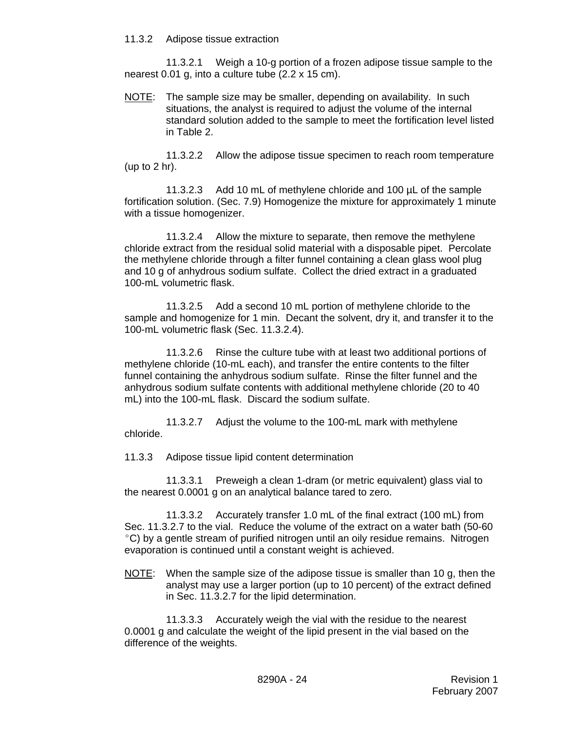#### 11.3.2 Adipose tissue extraction

11.3.2.1 Weigh a 10-g portion of a frozen adipose tissue sample to the nearest 0.01 g, into a culture tube (2.2 x 15 cm).

NOTE: The sample size may be smaller, depending on availability. In such situations, the analyst is required to adjust the volume of the internal standard solution added to the sample to meet the fortification level listed in Table 2.

11.3.2.2 Allow the adipose tissue specimen to reach room temperature (up to 2 hr).

11.3.2.3 Add 10 mL of methylene chloride and 100 µL of the sample fortification solution. (Sec. 7.9) Homogenize the mixture for approximately 1 minute with a tissue homogenizer.

11.3.2.4 Allow the mixture to separate, then remove the methylene chloride extract from the residual solid material with a disposable pipet. Percolate the methylene chloride through a filter funnel containing a clean glass wool plug and 10 g of anhydrous sodium sulfate. Collect the dried extract in a graduated 100-mL volumetric flask.

11.3.2.5 Add a second 10 mL portion of methylene chloride to the sample and homogenize for 1 min. Decant the solvent, dry it, and transfer it to the 100-mL volumetric flask (Sec. 11.3.2.4).

11.3.2.6 Rinse the culture tube with at least two additional portions of methylene chloride (10-mL each), and transfer the entire contents to the filter funnel containing the anhydrous sodium sulfate. Rinse the filter funnel and the anhydrous sodium sulfate contents with additional methylene chloride (20 to 40 mL) into the 100-mL flask. Discard the sodium sulfate.

11.3.2.7 Adjust the volume to the 100-mL mark with methylene chloride.

11.3.3 Adipose tissue lipid content determination

11.3.3.1 Preweigh a clean 1-dram (or metric equivalent) glass vial to the nearest 0.0001 g on an analytical balance tared to zero.

11.3.3.2 Accurately transfer 1.0 mL of the final extract (100 mL) from Sec. 11.3.2.7 to the vial. Reduce the volume of the extract on a water bath (50-60 <sup>o</sup>C) by a gentle stream of purified nitrogen until an oily residue remains. Nitrogen evaporation is continued until a constant weight is achieved.

NOTE: When the sample size of the adipose tissue is smaller than 10 g, then the analyst may use a larger portion (up to 10 percent) of the extract defined in Sec. 11.3.2.7 for the lipid determination.

11.3.3.3 Accurately weigh the vial with the residue to the nearest 0.0001 g and calculate the weight of the lipid present in the vial based on the difference of the weights.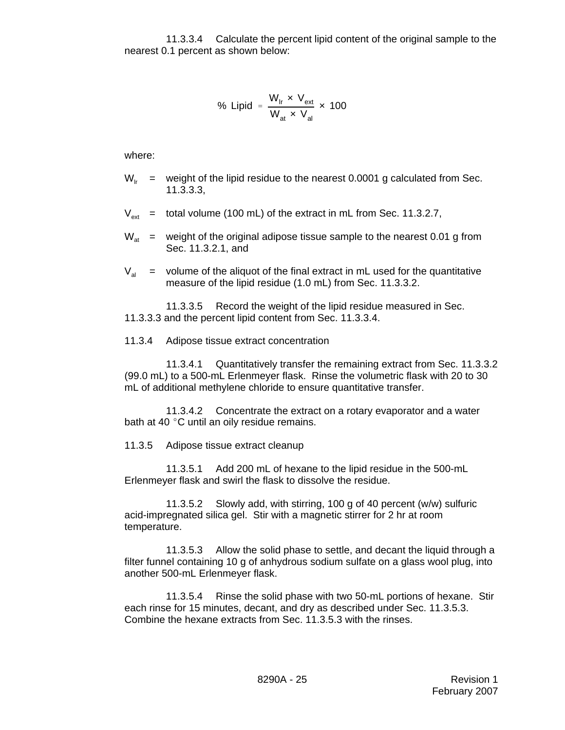11.3.3.4 Calculate the percent lipid content of the original sample to the nearest 0.1 percent as shown below:

% Lipid = 
$$
\frac{W_{ir} \times V_{ext}}{W_{at} \times V_{al}} \times 100
$$

where:

- $W_{1r}$  = weight of the lipid residue to the nearest 0.0001 g calculated from Sec. 11.3.3.3,
- $V_{\text{avt}}$  = total volume (100 mL) of the extract in mL from Sec. 11.3.2.7,
- $W_{at}$  = weight of the original adipose tissue sample to the nearest 0.01 g from Sec. 11.3.2.1, and
- $V_{\text{at}}$  = volume of the aliquot of the final extract in mL used for the quantitative measure of the lipid residue (1.0 mL) from Sec. 11.3.3.2.

11.3.3.5 Record the weight of the lipid residue measured in Sec. 11.3.3.3 and the percent lipid content from Sec. 11.3.3.4.

11.3.4 Adipose tissue extract concentration

11.3.4.1 Quantitatively transfer the remaining extract from Sec. 11.3.3.2 (99.0 mL) to a 500-mL Erlenmeyer flask. Rinse the volumetric flask with 20 to 30 mL of additional methylene chloride to ensure quantitative transfer.

11.3.4.2 Concentrate the extract on a rotary evaporator and a water bath at 40 $^{\circ}$ C until an oily residue remains.

11.3.5 Adipose tissue extract cleanup

11.3.5.1 Add 200 mL of hexane to the lipid residue in the 500-mL Erlenmeyer flask and swirl the flask to dissolve the residue.

11.3.5.2 Slowly add, with stirring, 100 g of 40 percent (w/w) sulfuric acid-impregnated silica gel. Stir with a magnetic stirrer for 2 hr at room temperature.

11.3.5.3 Allow the solid phase to settle, and decant the liquid through a filter funnel containing 10 g of anhydrous sodium sulfate on a glass wool plug, into another 500-mL Erlenmeyer flask.

11.3.5.4 Rinse the solid phase with two 50-mL portions of hexane. Stir each rinse for 15 minutes, decant, and dry as described under Sec. 11.3.5.3. Combine the hexane extracts from Sec. 11.3.5.3 with the rinses.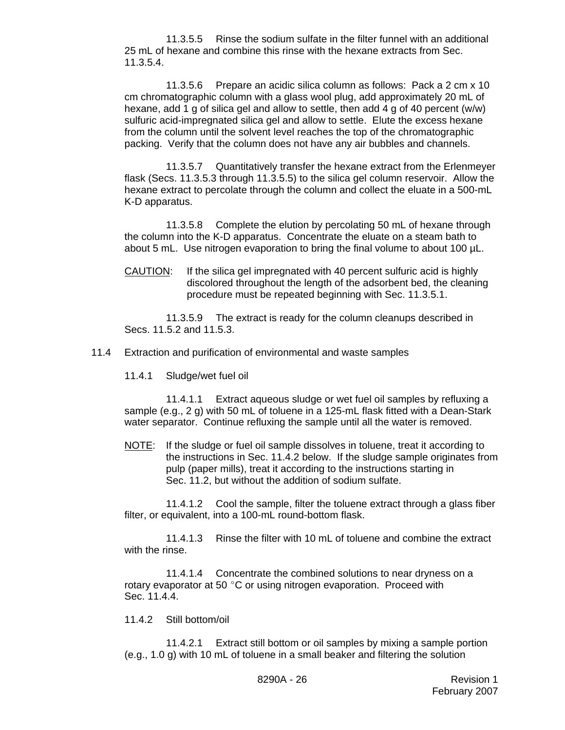11.3.5.5 Rinse the sodium sulfate in the filter funnel with an additional 25 mL of hexane and combine this rinse with the hexane extracts from Sec. 11.3.5.4.

11.3.5.6 Prepare an acidic silica column as follows: Pack a 2 cm x 10 cm chromatographic column with a glass wool plug, add approximately 20 mL of hexane, add 1 g of silica gel and allow to settle, then add 4 g of 40 percent (w/w) sulfuric acid-impregnated silica gel and allow to settle. Elute the excess hexane from the column until the solvent level reaches the top of the chromatographic packing. Verify that the column does not have any air bubbles and channels.

11.3.5.7 Quantitatively transfer the hexane extract from the Erlenmeyer flask (Secs. 11.3.5.3 through 11.3.5.5) to the silica gel column reservoir. Allow the hexane extract to percolate through the column and collect the eluate in a 500-mL K-D apparatus.

11.3.5.8 Complete the elution by percolating 50 mL of hexane through the column into the K-D apparatus. Concentrate the eluate on a steam bath to about 5 mL. Use nitrogen evaporation to bring the final volume to about 100 µL.

CAUTION: If the silica gel impregnated with 40 percent sulfuric acid is highly discolored throughout the length of the adsorbent bed, the cleaning procedure must be repeated beginning with Sec. 11.3.5.1.

11.3.5.9 The extract is ready for the column cleanups described in Secs. 11.5.2 and 11.5.3.

11.4 Extraction and purification of environmental and waste samples

11.4.1 Sludge/wet fuel oil

11.4.1.1 Extract aqueous sludge or wet fuel oil samples by refluxing a sample (e.g., 2 g) with 50 mL of toluene in a 125-mL flask fitted with a Dean-Stark water separator. Continue refluxing the sample until all the water is removed.

NOTE: If the sludge or fuel oil sample dissolves in toluene, treat it according to the instructions in Sec. 11.4.2 below. If the sludge sample originates from pulp (paper mills), treat it according to the instructions starting in Sec. 11.2, but without the addition of sodium sulfate.

11.4.1.2 Cool the sample, filter the toluene extract through a glass fiber filter, or equivalent, into a 100-mL round-bottom flask.

11.4.1.3 Rinse the filter with 10 mL of toluene and combine the extract with the rinse.

11.4.1.4 Concentrate the combined solutions to near dryness on a rotary evaporator at 50 $\degree$ C or using nitrogen evaporation. Proceed with Sec. 11.4.4.

#### 11.4.2 Still bottom/oil

11.4.2.1 Extract still bottom or oil samples by mixing a sample portion (e.g., 1.0 g) with 10 mL of toluene in a small beaker and filtering the solution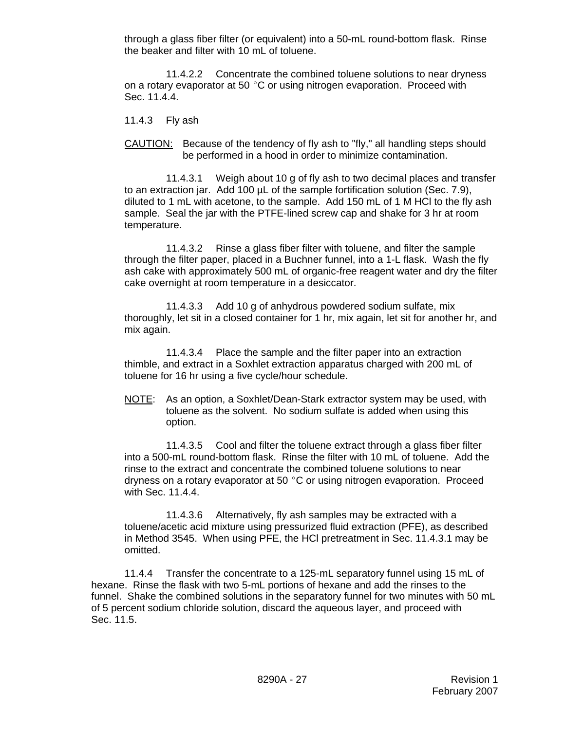through a glass fiber filter (or equivalent) into a 50-mL round-bottom flask. Rinse the beaker and filter with 10 mL of toluene.

11.4.2.2 Concentrate the combined toluene solutions to near dryness on a rotary evaporator at 50 $\degree$ C or using nitrogen evaporation. Proceed with Sec. 11.4.4.

11.4.3 Fly ash

CAUTION: Because of the tendency of fly ash to "fly," all handling steps should be performed in a hood in order to minimize contamination.

11.4.3.1 Weigh about 10 g of fly ash to two decimal places and transfer to an extraction jar. Add 100  $\mu$ L of the sample fortification solution (Sec. 7.9), diluted to 1 mL with acetone, to the sample. Add 150 mL of 1 M HCl to the fly ash sample. Seal the jar with the PTFE-lined screw cap and shake for 3 hr at room temperature.

11.4.3.2 Rinse a glass fiber filter with toluene, and filter the sample through the filter paper, placed in a Buchner funnel, into a 1-L flask. Wash the fly ash cake with approximately 500 mL of organic-free reagent water and dry the filter cake overnight at room temperature in a desiccator.

11.4.3.3 Add 10 g of anhydrous powdered sodium sulfate, mix thoroughly, let sit in a closed container for 1 hr, mix again, let sit for another hr, and mix again.

11.4.3.4 Place the sample and the filter paper into an extraction thimble, and extract in a Soxhlet extraction apparatus charged with 200 mL of toluene for 16 hr using a five cycle/hour schedule.

NOTE: As an option, a Soxhlet/Dean-Stark extractor system may be used, with toluene as the solvent. No sodium sulfate is added when using this option.

11.4.3.5 Cool and filter the toluene extract through a glass fiber filter into a 500-mL round-bottom flask. Rinse the filter with 10 mL of toluene. Add the rinse to the extract and concentrate the combined toluene solutions to near dryness on a rotary evaporator at 50 $\degree$ C or using nitrogen evaporation. Proceed with Sec. 11.4.4.

11.4.3.6 Alternatively, fly ash samples may be extracted with a toluene/acetic acid mixture using pressurized fluid extraction (PFE), as described in Method 3545. When using PFE, the HCl pretreatment in Sec. 11.4.3.1 may be omitted.

11.4.4 Transfer the concentrate to a 125-mL separatory funnel using 15 mL of hexane. Rinse the flask with two 5-mL portions of hexane and add the rinses to the funnel. Shake the combined solutions in the separatory funnel for two minutes with 50 mL of 5 percent sodium chloride solution, discard the aqueous layer, and proceed with Sec. 11.5.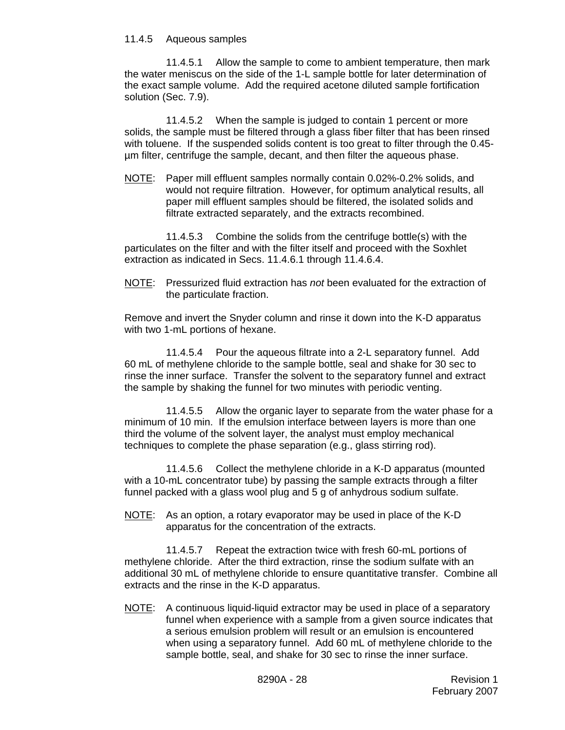#### 11.4.5 Aqueous samples

11.4.5.1 Allow the sample to come to ambient temperature, then mark the water meniscus on the side of the 1-L sample bottle for later determination of the exact sample volume. Add the required acetone diluted sample fortification solution (Sec. 7.9).

11.4.5.2 When the sample is judged to contain 1 percent or more solids, the sample must be filtered through a glass fiber filter that has been rinsed with toluene. If the suspended solids content is too great to filter through the 0.45 µm filter, centrifuge the sample, decant, and then filter the aqueous phase.

NOTE: Paper mill effluent samples normally contain 0.02%-0.2% solids, and would not require filtration. However, for optimum analytical results, all paper mill effluent samples should be filtered, the isolated solids and filtrate extracted separately, and the extracts recombined.

11.4.5.3 Combine the solids from the centrifuge bottle(s) with the particulates on the filter and with the filter itself and proceed with the Soxhlet extraction as indicated in Secs. 11.4.6.1 through 11.4.6.4.

NOTE: Pressurized fluid extraction has *not* been evaluated for the extraction of the particulate fraction.

Remove and invert the Snyder column and rinse it down into the K-D apparatus with two 1-mL portions of hexane.

11.4.5.4 Pour the aqueous filtrate into a 2-L separatory funnel. Add 60 mL of methylene chloride to the sample bottle, seal and shake for 30 sec to rinse the inner surface. Transfer the solvent to the separatory funnel and extract the sample by shaking the funnel for two minutes with periodic venting.

11.4.5.5 Allow the organic layer to separate from the water phase for a minimum of 10 min. If the emulsion interface between layers is more than one third the volume of the solvent layer, the analyst must employ mechanical techniques to complete the phase separation (e.g., glass stirring rod).

11.4.5.6 Collect the methylene chloride in a K-D apparatus (mounted with a 10-mL concentrator tube) by passing the sample extracts through a filter funnel packed with a glass wool plug and 5 g of anhydrous sodium sulfate.

NOTE: As an option, a rotary evaporator may be used in place of the K-D apparatus for the concentration of the extracts.

11.4.5.7 Repeat the extraction twice with fresh 60-mL portions of methylene chloride. After the third extraction, rinse the sodium sulfate with an additional 30 mL of methylene chloride to ensure quantitative transfer. Combine all extracts and the rinse in the K-D apparatus.

NOTE: A continuous liquid-liquid extractor may be used in place of a separatory funnel when experience with a sample from a given source indicates that a serious emulsion problem will result or an emulsion is encountered when using a separatory funnel. Add 60 mL of methylene chloride to the sample bottle, seal, and shake for 30 sec to rinse the inner surface.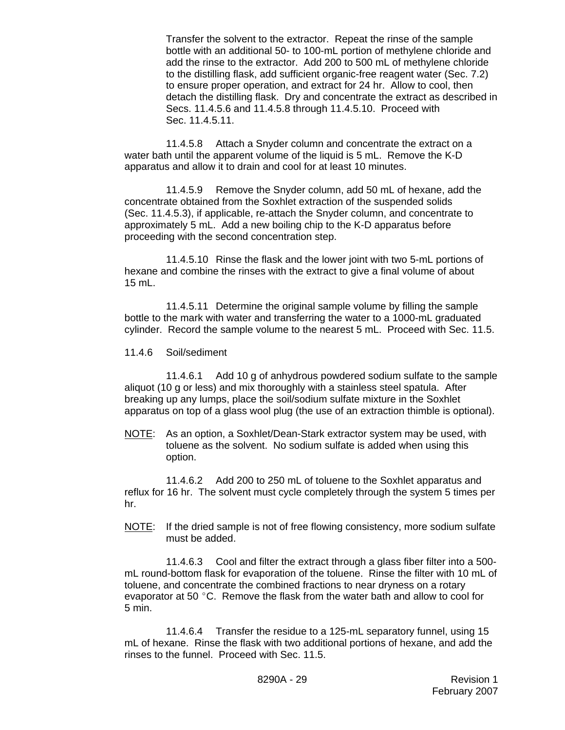Transfer the solvent to the extractor. Repeat the rinse of the sample bottle with an additional 50- to 100-mL portion of methylene chloride and add the rinse to the extractor. Add 200 to 500 mL of methylene chloride to the distilling flask, add sufficient organic-free reagent water (Sec. 7.2) to ensure proper operation, and extract for 24 hr. Allow to cool, then detach the distilling flask. Dry and concentrate the extract as described in Secs. 11.4.5.6 and 11.4.5.8 through 11.4.5.10. Proceed with Sec. 11.4.5.11.

11.4.5.8 Attach a Snyder column and concentrate the extract on a water bath until the apparent volume of the liquid is 5 mL. Remove the K-D apparatus and allow it to drain and cool for at least 10 minutes.

11.4.5.9 Remove the Snyder column, add 50 mL of hexane, add the concentrate obtained from the Soxhlet extraction of the suspended solids (Sec. 11.4.5.3), if applicable, re-attach the Snyder column, and concentrate to approximately 5 mL. Add a new boiling chip to the K-D apparatus before proceeding with the second concentration step.

11.4.5.10 Rinse the flask and the lower joint with two 5-mL portions of hexane and combine the rinses with the extract to give a final volume of about 15 mL.

11.4.5.11 Determine the original sample volume by filling the sample bottle to the mark with water and transferring the water to a 1000-mL graduated cylinder. Record the sample volume to the nearest 5 mL. Proceed with Sec. 11.5.

11.4.6 Soil/sediment

11.4.6.1 Add 10 g of anhydrous powdered sodium sulfate to the sample aliquot (10 g or less) and mix thoroughly with a stainless steel spatula. After breaking up any lumps, place the soil/sodium sulfate mixture in the Soxhlet apparatus on top of a glass wool plug (the use of an extraction thimble is optional).

NOTE: As an option, a Soxhlet/Dean-Stark extractor system may be used, with toluene as the solvent. No sodium sulfate is added when using this option.

11.4.6.2 Add 200 to 250 mL of toluene to the Soxhlet apparatus and reflux for 16 hr. The solvent must cycle completely through the system 5 times per hr.

NOTE: If the dried sample is not of free flowing consistency, more sodium sulfate must be added.

11.4.6.3 Cool and filter the extract through a glass fiber filter into a 500 mL round-bottom flask for evaporation of the toluene. Rinse the filter with 10 mL of toluene, and concentrate the combined fractions to near dryness on a rotary evaporator at 50 $\degree$ C. Remove the flask from the water bath and allow to cool for 5 min.

11.4.6.4 Transfer the residue to a 125-mL separatory funnel, using 15 mL of hexane. Rinse the flask with two additional portions of hexane, and add the rinses to the funnel. Proceed with Sec. 11.5.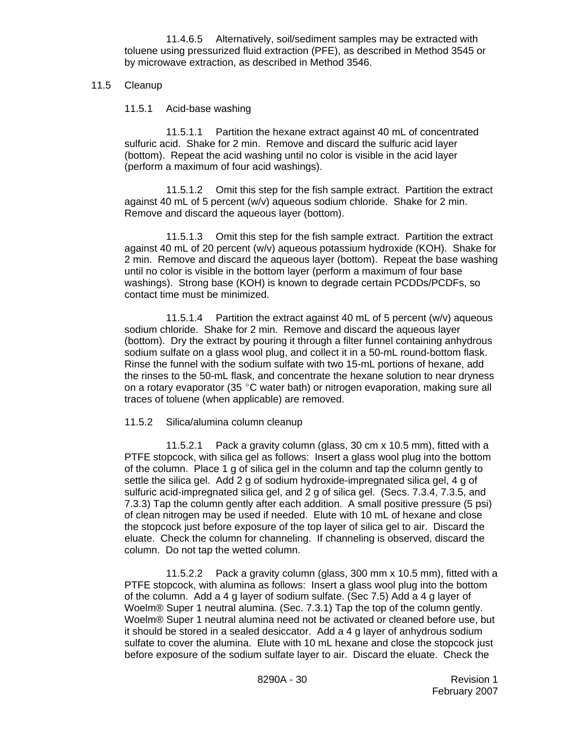11.4.6.5 Alternatively, soil/sediment samples may be extracted with toluene using pressurized fluid extraction (PFE), as described in Method 3545 or by microwave extraction, as described in Method 3546.

### 11.5 Cleanup

11.5.1 Acid-base washing

11.5.1.1 Partition the hexane extract against 40 mL of concentrated sulfuric acid. Shake for 2 min. Remove and discard the sulfuric acid layer (bottom). Repeat the acid washing until no color is visible in the acid layer (perform a maximum of four acid washings).

11.5.1.2 Omit this step for the fish sample extract. Partition the extract against 40 mL of 5 percent (w/v) aqueous sodium chloride. Shake for 2 min. Remove and discard the aqueous layer (bottom).

11.5.1.3 Omit this step for the fish sample extract. Partition the extract against 40 mL of 20 percent (w/v) aqueous potassium hydroxide (KOH). Shake for 2 min. Remove and discard the aqueous layer (bottom). Repeat the base washing until no color is visible in the bottom layer (perform a maximum of four base washings). Strong base (KOH) is known to degrade certain PCDDs/PCDFs, so contact time must be minimized.

11.5.1.4 Partition the extract against 40 mL of 5 percent (w/v) aqueous sodium chloride. Shake for 2 min. Remove and discard the aqueous layer (bottom). Dry the extract by pouring it through a filter funnel containing anhydrous sodium sulfate on a glass wool plug, and collect it in a 50-mL round-bottom flask. Rinse the funnel with the sodium sulfate with two 15-mL portions of hexane, add the rinses to the 50-mL flask, and concentrate the hexane solution to near dryness on a rotary evaporator (35  $^{\circ}$ C water bath) or nitrogen evaporation, making sure all traces of toluene (when applicable) are removed.

#### 11.5.2 Silica/alumina column cleanup

11.5.2.1 Pack a gravity column (glass, 30 cm x 10.5 mm), fitted with a PTFE stopcock, with silica gel as follows: Insert a glass wool plug into the bottom of the column. Place 1 g of silica gel in the column and tap the column gently to settle the silica gel. Add 2 g of sodium hydroxide-impregnated silica gel, 4 g of sulfuric acid-impregnated silica gel, and 2 g of silica gel. (Secs. 7.3.4, 7.3.5, and 7.3.3) Tap the column gently after each addition. A small positive pressure (5 psi) of clean nitrogen may be used if needed. Elute with 10 mL of hexane and close the stopcock just before exposure of the top layer of silica gel to air. Discard the eluate. Check the column for channeling. If channeling is observed, discard the column. Do not tap the wetted column.

11.5.2.2 Pack a gravity column (glass, 300 mm x 10.5 mm), fitted with a PTFE stopcock, with alumina as follows: Insert a glass wool plug into the bottom of the column. Add a 4 g layer of sodium sulfate. (Sec 7.5) Add a 4 g layer of Woelm® Super 1 neutral alumina. (Sec. 7.3.1) Tap the top of the column gently. Woelm® Super 1 neutral alumina need not be activated or cleaned before use, but it should be stored in a sealed desiccator. Add a 4 g layer of anhydrous sodium sulfate to cover the alumina. Elute with 10 mL hexane and close the stopcock just before exposure of the sodium sulfate layer to air. Discard the eluate. Check the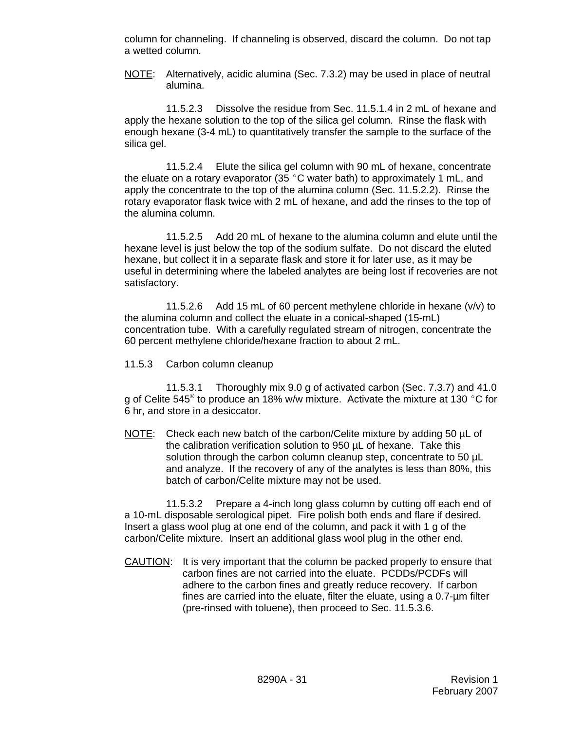column for channeling. If channeling is observed, discard the column. Do not tap a wetted column.

NOTE: Alternatively, acidic alumina (Sec. 7.3.2) may be used in place of neutral alumina.

11.5.2.3 Dissolve the residue from Sec. 11.5.1.4 in 2 mL of hexane and apply the hexane solution to the top of the silica gel column. Rinse the flask with enough hexane (3-4 mL) to quantitatively transfer the sample to the surface of the silica gel.

11.5.2.4 Elute the silica gel column with 90 mL of hexane, concentrate the eluate on a rotary evaporator (35  $^{\circ}$ C water bath) to approximately 1 mL, and apply the concentrate to the top of the alumina column (Sec. 11.5.2.2). Rinse the rotary evaporator flask twice with 2 mL of hexane, and add the rinses to the top of the alumina column.

11.5.2.5 Add 20 mL of hexane to the alumina column and elute until the hexane level is just below the top of the sodium sulfate. Do not discard the eluted hexane, but collect it in a separate flask and store it for later use, as it may be useful in determining where the labeled analytes are being lost if recoveries are not satisfactory.

11.5.2.6 Add 15 mL of 60 percent methylene chloride in hexane (v/v) to the alumina column and collect the eluate in a conical-shaped (15-mL) concentration tube. With a carefully regulated stream of nitrogen, concentrate the 60 percent methylene chloride/hexane fraction to about 2 mL.

11.5.3 Carbon column cleanup

11.5.3.1 Thoroughly mix 9.0 g of activated carbon (Sec. 7.3.7) and 41.0 g of Celite 545<sup>®</sup> to produce an 18% w/w mixture. Activate the mixture at 130  $\degree$ C for 6 hr, and store in a desiccator.

NOTE: Check each new batch of the carbon/Celite mixture by adding 50 µL of the calibration verification solution to 950 µL of hexane. Take this solution through the carbon column cleanup step, concentrate to 50 µL and analyze. If the recovery of any of the analytes is less than 80%, this batch of carbon/Celite mixture may not be used.

11.5.3.2 Prepare a 4-inch long glass column by cutting off each end of a 10-mL disposable serological pipet. Fire polish both ends and flare if desired. Insert a glass wool plug at one end of the column, and pack it with 1 g of the carbon/Celite mixture. Insert an additional glass wool plug in the other end.

CAUTION: It is very important that the column be packed properly to ensure that carbon fines are not carried into the eluate. PCDDs/PCDFs will adhere to the carbon fines and greatly reduce recovery. If carbon fines are carried into the eluate, filter the eluate, using a 0.7-µm filter (pre-rinsed with toluene), then proceed to Sec. 11.5.3.6.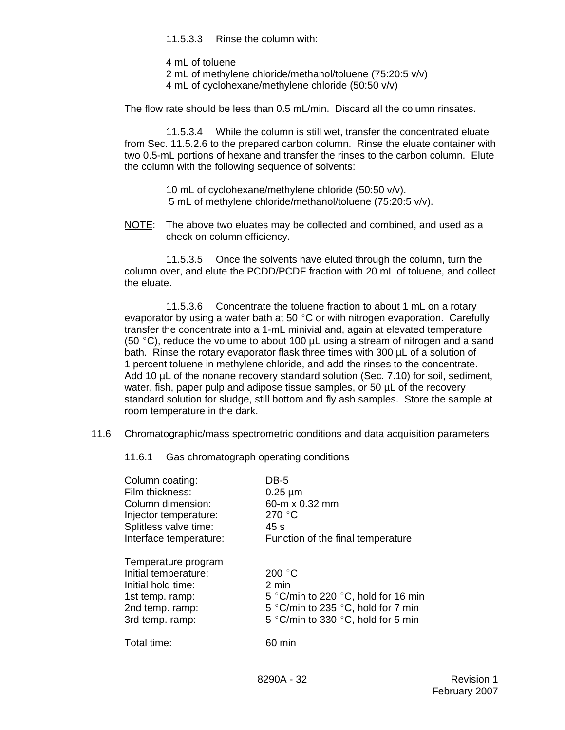11.5.3.3 Rinse the column with:

4 mL of toluene

- 2 mL of methylene chloride/methanol/toluene (75:20:5 v/v)
- 4 mL of cyclohexane/methylene chloride (50:50 v/v)

The flow rate should be less than 0.5 mL/min. Discard all the column rinsates.

11.5.3.4 While the column is still wet, transfer the concentrated eluate from Sec. 11.5.2.6 to the prepared carbon column. Rinse the eluate container with two 0.5-mL portions of hexane and transfer the rinses to the carbon column. Elute the column with the following sequence of solvents:

> 10 mL of cyclohexane/methylene chloride (50:50 v/v). 5 mL of methylene chloride/methanol/toluene (75:20:5 v/v).

NOTE: The above two eluates may be collected and combined, and used as a check on column efficiency.

11.5.3.5 Once the solvents have eluted through the column, turn the column over, and elute the PCDD/PCDF fraction with 20 mL of toluene, and collect the eluate.

11.5.3.6 Concentrate the toluene fraction to about 1 mL on a rotary evaporator by using a water bath at 50  $^{\circ}$ C or with nitrogen evaporation. Carefully transfer the concentrate into a 1-mL minivial and, again at elevated temperature (50  $^{\circ}$ C), reduce the volume to about 100 µL using a stream of nitrogen and a sand bath. Rinse the rotary evaporator flask three times with 300 µL of a solution of 1 percent toluene in methylene chloride, and add the rinses to the concentrate. Add 10 µL of the nonane recovery standard solution (Sec. 7.10) for soil, sediment, water, fish, paper pulp and adipose tissue samples, or 50  $\mu$ L of the recovery standard solution for sludge, still bottom and fly ash samples. Store the sample at room temperature in the dark.

11.6 Chromatographic/mass spectrometric conditions and data acquisition parameters

11.6.1 Gas chromatograph operating conditions

| Column coating:        | DB-5                                |
|------------------------|-------------------------------------|
| Film thickness:        | $0.25 \mu m$                        |
| Column dimension:      | 60-m x 0.32 mm                      |
| Injector temperature:  | 270 $\degree$ C                     |
| Splitless valve time:  | 45 s                                |
| Interface temperature: | Function of the final temperature   |
| Temperature program    |                                     |
| Initial temperature:   | 200 $\degree$ C                     |
| Initial hold time:     | 2 min                               |
| 1st temp. ramp:        | 5 °C/min to 220 °C, hold for 16 min |
| 2nd temp. ramp:        | 5 °C/min to 235 °C, hold for 7 min  |
| 3rd temp. ramp:        | 5 °C/min to 330 °C, hold for 5 min  |
| Total time:            | 60 min                              |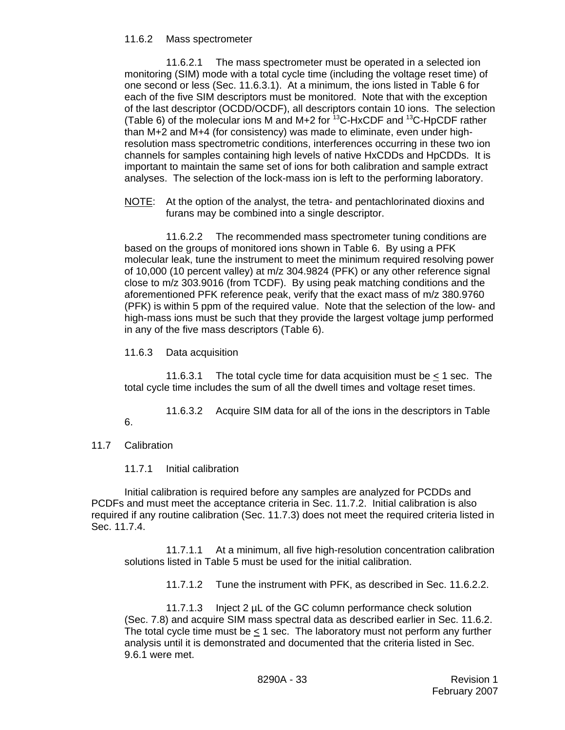#### 11.6.2 Mass spectrometer

11.6.2.1 The mass spectrometer must be operated in a selected ion monitoring (SIM) mode with a total cycle time (including the voltage reset time) of one second or less (Sec. 11.6.3.1). At a minimum, the ions listed in Table 6 for each of the five SIM descriptors must be monitored. Note that with the exception of the last descriptor (OCDD/OCDF), all descriptors contain 10 ions. The selection (Table 6) of the molecular ions M and M+2 for  $13C$ -HxCDF and  $13C$ -HpCDF rather than M+2 and M+4 (for consistency) was made to eliminate, even under highresolution mass spectrometric conditions, interferences occurring in these two ion channels for samples containing high levels of native HxCDDs and HpCDDs. It is important to maintain the same set of ions for both calibration and sample extract analyses. The selection of the lock-mass ion is left to the performing laboratory.

NOTE: At the option of the analyst, the tetra- and pentachlorinated dioxins and furans may be combined into a single descriptor.

11.6.2.2 The recommended mass spectrometer tuning conditions are based on the groups of monitored ions shown in Table 6. By using a PFK molecular leak, tune the instrument to meet the minimum required resolving power of 10,000 (10 percent valley) at m/z 304.9824 (PFK) or any other reference signal close to m/z 303.9016 (from TCDF). By using peak matching conditions and the aforementioned PFK reference peak, verify that the exact mass of m/z 380.9760 (PFK) is within 5 ppm of the required value. Note that the selection of the low- and high-mass ions must be such that they provide the largest voltage jump performed in any of the five mass descriptors (Table 6).

11.6.3 Data acquisition

11.6.3.1 The total cycle time for data acquisition must be  $<$  1 sec. The total cycle time includes the sum of all the dwell times and voltage reset times.

11.6.3.2 Acquire SIM data for all of the ions in the descriptors in Table 6.

11.7 Calibration

11.7.1 Initial calibration

Initial calibration is required before any samples are analyzed for PCDDs and PCDFs and must meet the acceptance criteria in Sec. 11.7.2. Initial calibration is also required if any routine calibration (Sec. 11.7.3) does not meet the required criteria listed in Sec. 11.7.4.

11.7.1.1 At a minimum, all five high-resolution concentration calibration solutions listed in Table 5 must be used for the initial calibration.

11.7.1.2 Tune the instrument with PFK, as described in Sec. 11.6.2.2.

11.7.1.3 Inject 2 µL of the GC column performance check solution (Sec. 7.8) and acquire SIM mass spectral data as described earlier in Sec. 11.6.2. The total cycle time must be  $\leq 1$  sec. The laboratory must not perform any further analysis until it is demonstrated and documented that the criteria listed in Sec. 9.6.1 were met.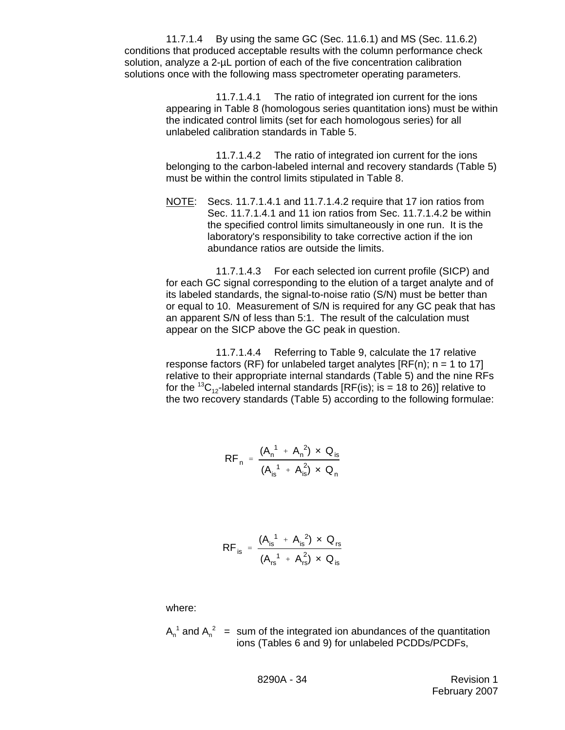11.7.1.4 By using the same GC (Sec. 11.6.1) and MS (Sec. 11.6.2) conditions that produced acceptable results with the column performance check solution, analyze a 2-uL portion of each of the five concentration calibration solutions once with the following mass spectrometer operating parameters.

> 11.7.1.4.1 The ratio of integrated ion current for the ions appearing in Table 8 (homologous series quantitation ions) must be within the indicated control limits (set for each homologous series) for all unlabeled calibration standards in Table 5.

> 11.7.1.4.2 The ratio of integrated ion current for the ions belonging to the carbon-labeled internal and recovery standards (Table 5) must be within the control limits stipulated in Table 8.

NOTE: Secs. 11.7.1.4.1 and 11.7.1.4.2 require that 17 ion ratios from Sec. 11.7.1.4.1 and 11 ion ratios from Sec. 11.7.1.4.2 be within the specified control limits simultaneously in one run. It is the laboratory's responsibility to take corrective action if the ion abundance ratios are outside the limits.

11.7.1.4.3 For each selected ion current profile (SICP) and for each GC signal corresponding to the elution of a target analyte and of its labeled standards, the signal-to-noise ratio (S/N) must be better than or equal to 10. Measurement of S/N is required for any GC peak that has an apparent S/N of less than 5:1. The result of the calculation must appear on the SICP above the GC peak in question.

11.7.1.4.4 Referring to Table 9, calculate the 17 relative response factors (RF) for unlabeled target analytes  $[RF(n)]$ ; n = 1 to 17] relative to their appropriate internal standards (Table 5) and the nine RFs for the <sup>13</sup>C<sub>12</sub>-labeled internal standards [RF(is); is = 18 to 26)] relative to the two recovery standards (Table 5) according to the following formulae:

$$
RF_{n} = \frac{(A_{n}^{1} + A_{n}^{2}) \times Q_{is}}{(A_{is}^{1} + A_{is}^{2}) \times Q_{n}}
$$

$$
RF_{is} = \frac{(A_{is}^{1} + A_{is}^{2}) \times Q_{rs}}{(A_{rs}^{1} + A_{rs}^{2}) \times Q_{is}}
$$

where:

 $A_n^1$  and  $A_n^2$  = sum of the integrated ion abundances of the quantitation ions (Tables 6 and 9) for unlabeled PCDDs/PCDFs,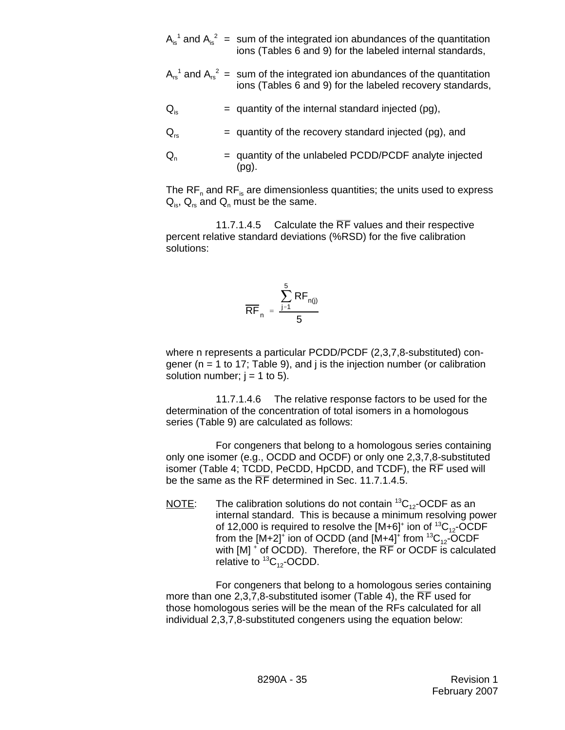$A_{is}^{-1}$  and  $A_{is}^{-2}$  = sum of the integrated ion abundances of the quantitation ions (Tables 6 and 9) for the labeled internal standards,

- $A_{rs}^{-1}$  and  $A_{rs}^{-2}$  = sum of the integrated ion abundances of the quantitation ions (Tables 6 and 9) for the labeled recovery standards,
- $Q_{i\sigma}$  = quantity of the internal standard injected (pg),
- $Q_{rs}$  = quantity of the recovery standard injected (pg), and
- $Q_n$  = quantity of the unlabeled PCDD/PCDF analyte injected (pg).

The  $\text{RF}_{n}$  and  $\text{RF}_{is}$  are dimensionless quantities; the units used to express  $Q_{is}$ ,  $Q_{rs}$  and  $Q_{n}$  must be the same.

11.7.1.4.5 Calculate the  $\overline{RF}$  values and their respective percent relative standard deviations (%RSD) for the five calibration solutions:

$$
\overline{RF}_n = \frac{\sum_{j=1}^5 RF_{n(j)}}{5}
$$

where n represents a particular PCDD/PCDF (2,3,7,8-substituted) congener ( $n = 1$  to 17; Table 9), and j is the injection number (or calibration solution number;  $j = 1$  to 5).

11.7.1.4.6 The relative response factors to be used for the determination of the concentration of total isomers in a homologous series (Table 9) are calculated as follows:

For congeners that belong to a homologous series containing only one isomer (e.g., OCDD and OCDF) or only one 2,3,7,8-substituted isomer (Table 4; TCDD, PeCDD, HpCDD, and TCDF), the  $\overline{RF}$  used will be the same as the  $\overline{RF}$  determined in Sec. 11.7.1.4.5.

NOTE: The calibration solutions do not contain  ${}^{13}C_{12}$ -OCDF as an internal standard. This is because a minimum resolving power of 12,000 is required to resolve the [M+6] $^+$  ion of  $^{13}\mathrm{C}_{\mathrm{12}}$ -OCDF from the [M+2] $^{\dagger}$  ion of OCDD (and [M+4] $^{\dagger}$  from  $^{13} \text{C}_{12}$ -OCDF with  $[M]$  + of OCDD). Therefore, the  $\overline{\mathsf{RF}}$  or OCDF is calculated relative to  ${}^{13}C_{12}$ -OCDD.

For congeners that belong to a homologous series containing more than one 2,3,7,8-substituted isomer (Table 4), the  $\overline{RF}$  used for those homologous series will be the mean of the RFs calculated for all individual 2,3,7,8-substituted congeners using the equation below: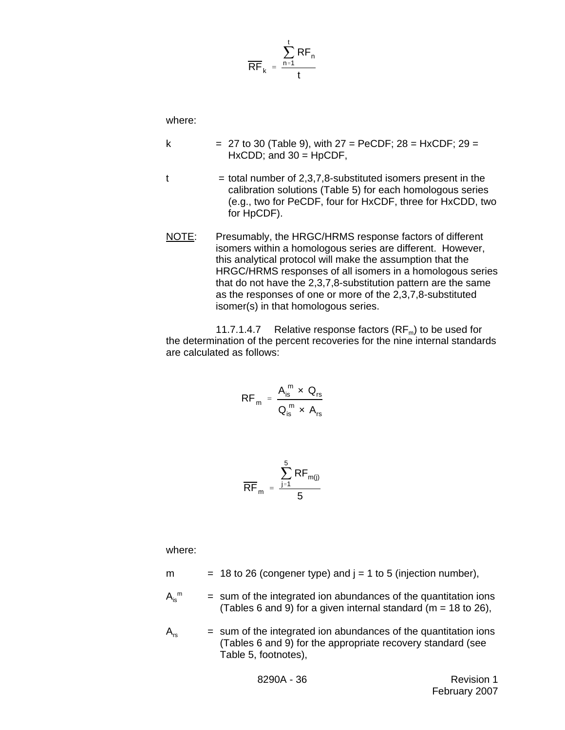$$
\frac{\sum_{n=1}^{t} RF_n}{t}
$$

where:

- k  $= 27$  to 30 (Table 9), with  $27 = PeCDF$ ;  $28 = HxCDF$ ;  $29 =$  $HxCDD$ ; and  $30 = HpCDF$ ,  $t =$  total number of 2,3,7,8-substituted isomers present in the
	- calibration solutions (Table 5) for each homologous series (e.g., two for PeCDF, four for HxCDF, three for HxCDD, two for HpCDF).
- NOTE: Presumably, the HRGC/HRMS response factors of different isomers within a homologous series are different. However, this analytical protocol will make the assumption that the HRGC/HRMS responses of all isomers in a homologous series that do not have the 2,3,7,8-substitution pattern are the same as the responses of one or more of the 2,3,7,8-substituted isomer(s) in that homologous series.

11.7.1.4.7 Relative response factors  $(RF_m)$  to be used for the determination of the percent recoveries for the nine internal standards are calculated as follows:

$$
RF_m = \frac{A_{is}^m \times Q_{rs}}{Q_{is}^m \times A_{rs}}
$$

$$
\overline{\text{RF}}_{m} = \frac{\sum_{j=1}^{5} \text{RF}_{m(j)}}{5}
$$

where:

- m  $= 18$  to 26 (congener type) and  $j = 1$  to 5 (injection number),
- $A_i^m$  $=$  sum of the integrated ion abundances of the quantitation ions (Tables 6 and 9) for a given internal standard ( $m = 18$  to 26),
- $A_{rs}$  = sum of the integrated ion abundances of the quantitation ions (Tables 6 and 9) for the appropriate recovery standard (see Table 5, footnotes),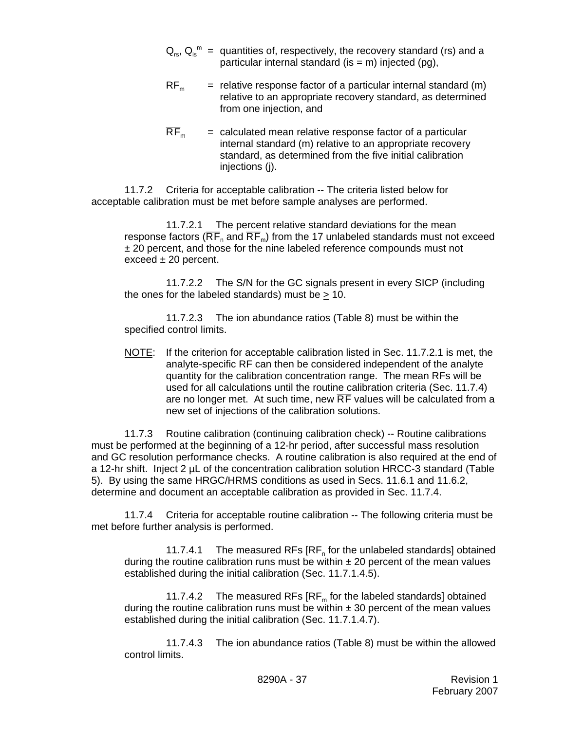- $\mathsf{Q}_{\scriptscriptstyle{\text{rs}}}$ ,  $\mathsf{Q}_{\scriptscriptstyle{\text{is}}}^{\scriptscriptstyle{\text{m}}}$  = quantities of, respectively, the recovery standard (rs) and a particular internal standard (is  $=$  m) injected (pq),
- $RF<sub>m</sub>$  = relative response factor of a particular internal standard (m) relative to an appropriate recovery standard, as determined from one injection, and
- $\overline{RF}_m$  = calculated mean relative response factor of a particular internal standard (m) relative to an appropriate recovery standard, as determined from the five initial calibration injections (j).

11.7.2 Criteria for acceptable calibration -- The criteria listed below for acceptable calibration must be met before sample analyses are performed.

11.7.2.1 The percent relative standard deviations for the mean response factors ( $\overline{RF}_n$  and  $\overline{RF}_m$ ) from the 17 unlabeled standards must not exceed ± 20 percent, and those for the nine labeled reference compounds must not exceed  $\pm$  20 percent.

11.7.2.2 The S/N for the GC signals present in every SICP (including the ones for the labeled standards) must be  $\geq 10$ .

11.7.2.3 The ion abundance ratios (Table 8) must be within the specified control limits.

NOTE: If the criterion for acceptable calibration listed in Sec. 11.7.2.1 is met, the analyte-specific RF can then be considered independent of the analyte quantity for the calibration concentration range. The mean RFs will be used for all calculations until the routine calibration criteria (Sec. 11.7.4) are no longer met. At such time, new  $\overline{RF}$  values will be calculated from a new set of injections of the calibration solutions.

11.7.3 Routine calibration (continuing calibration check) -- Routine calibrations must be performed at the beginning of a 12-hr period, after successful mass resolution and GC resolution performance checks. A routine calibration is also required at the end of a 12-hr shift. Inject 2 µL of the concentration calibration solution HRCC-3 standard (Table 5). By using the same HRGC/HRMS conditions as used in Secs. 11.6.1 and 11.6.2, determine and document an acceptable calibration as provided in Sec. 11.7.4.

11.7.4 Criteria for acceptable routine calibration -- The following criteria must be met before further analysis is performed.

11.7.4.1 The measured RFs  $[RF_n$  for the unlabeled standards] obtained during the routine calibration runs must be within  $\pm 20$  percent of the mean values established during the initial calibration (Sec. 11.7.1.4.5).

11.7.4.2 The measured RFs  $[RF_m$  for the labeled standards] obtained during the routine calibration runs must be within  $\pm$  30 percent of the mean values established during the initial calibration (Sec. 11.7.1.4.7).

11.7.4.3 The ion abundance ratios (Table 8) must be within the allowed control limits.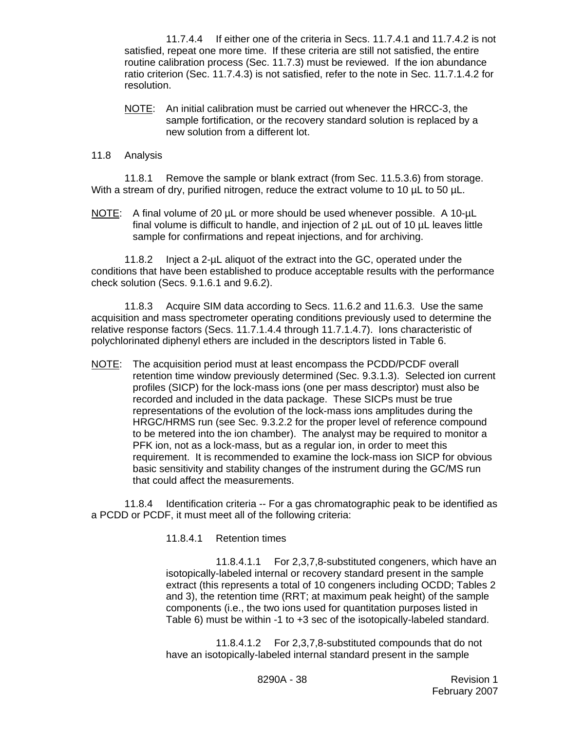11.7.4.4 If either one of the criteria in Secs. 11.7.4.1 and 11.7.4.2 is not satisfied, repeat one more time. If these criteria are still not satisfied, the entire routine calibration process (Sec. 11.7.3) must be reviewed. If the ion abundance ratio criterion (Sec. 11.7.4.3) is not satisfied, refer to the note in Sec. 11.7.1.4.2 for resolution.

NOTE: An initial calibration must be carried out whenever the HRCC-3, the sample fortification, or the recovery standard solution is replaced by a new solution from a different lot.

#### 11.8 Analysis

11.8.1 Remove the sample or blank extract (from Sec. 11.5.3.6) from storage. With a stream of dry, purified nitrogen, reduce the extract volume to 10  $\mu$ L to 50  $\mu$ L.

NOTE: A final volume of 20 µL or more should be used whenever possible. A 10-µL final volume is difficult to handle, and injection of 2 µL out of 10 µL leaves little sample for confirmations and repeat injections, and for archiving.

11.8.2 Inject a 2-µL aliquot of the extract into the GC, operated under the conditions that have been established to produce acceptable results with the performance check solution (Secs. 9.1.6.1 and 9.6.2).

11.8.3 Acquire SIM data according to Secs. 11.6.2 and 11.6.3. Use the same acquisition and mass spectrometer operating conditions previously used to determine the relative response factors (Secs. 11.7.1.4.4 through 11.7.1.4.7). Ions characteristic of polychlorinated diphenyl ethers are included in the descriptors listed in Table 6.

NOTE: The acquisition period must at least encompass the PCDD/PCDF overall retention time window previously determined (Sec. 9.3.1.3). Selected ion current profiles (SICP) for the lock-mass ions (one per mass descriptor) must also be recorded and included in the data package. These SICPs must be true representations of the evolution of the lock-mass ions amplitudes during the HRGC/HRMS run (see Sec. 9.3.2.2 for the proper level of reference compound to be metered into the ion chamber). The analyst may be required to monitor a PFK ion, not as a lock-mass, but as a regular ion, in order to meet this requirement. It is recommended to examine the lock-mass ion SICP for obvious basic sensitivity and stability changes of the instrument during the GC/MS run that could affect the measurements.

11.8.4 Identification criteria -- For a gas chromatographic peak to be identified as a PCDD or PCDF, it must meet all of the following criteria:

11.8.4.1 Retention times

11.8.4.1.1 For 2,3,7,8-substituted congeners, which have an isotopically-labeled internal or recovery standard present in the sample extract (this represents a total of 10 congeners including OCDD; Tables 2 and 3), the retention time (RRT; at maximum peak height) of the sample components (i.e., the two ions used for quantitation purposes listed in Table 6) must be within -1 to +3 sec of the isotopically-labeled standard.

11.8.4.1.2 For 2,3,7,8-substituted compounds that do not have an isotopically-labeled internal standard present in the sample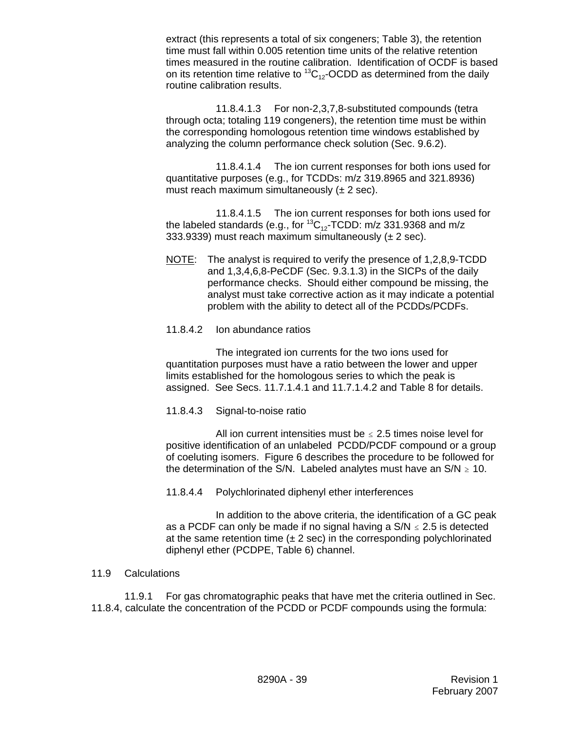extract (this represents a total of six congeners; Table 3), the retention time must fall within 0.005 retention time units of the relative retention times measured in the routine calibration. Identification of OCDF is based on its retention time relative to  ${}^{13}C_{12}$ -OCDD as determined from the daily routine calibration results.

11.8.4.1.3 For non-2,3,7,8-substituted compounds (tetra through octa; totaling 119 congeners), the retention time must be within the corresponding homologous retention time windows established by analyzing the column performance check solution (Sec. 9.6.2).

11.8.4.1.4 The ion current responses for both ions used for quantitative purposes (e.g., for TCDDs: m/z 319.8965 and 321.8936) must reach maximum simultaneously  $(\pm 2 \text{ sec})$ .

11.8.4.1.5 The ion current responses for both ions used for the labeled standards (e.g., for  ${}^{13}C_{12}$ -TCDD: m/z 331.9368 and m/z 333.9339) must reach maximum simultaneously  $(\pm 2 \text{ sec})$ .

- NOTE: The analyst is required to verify the presence of 1,2,8,9-TCDD and 1,3,4,6,8-PeCDF (Sec. 9.3.1.3) in the SICPs of the daily performance checks. Should either compound be missing, the analyst must take corrective action as it may indicate a potential problem with the ability to detect all of the PCDDs/PCDFs.
- 11.8.4.2 Ion abundance ratios

The integrated ion currents for the two ions used for quantitation purposes must have a ratio between the lower and upper limits established for the homologous series to which the peak is assigned. See Secs. 11.7.1.4.1 and 11.7.1.4.2 and Table 8 for details.

11.8.4.3 Signal-to-noise ratio

All ion current intensities must be  $\leq$  2.5 times noise level for positive identification of an unlabeled PCDD/PCDF compound or a group of coeluting isomers. Figure 6 describes the procedure to be followed for the determination of the S/N. Labeled analytes must have an  $S/N \ge 10$ .

11.8.4.4 Polychlorinated diphenyl ether interferences

In addition to the above criteria, the identification of a GC peak as a PCDF can only be made if no signal having a  $S/N \le 2.5$  is detected at the same retention time  $(\pm 2 \text{ sec})$  in the corresponding polychlorinated diphenyl ether (PCDPE, Table 6) channel.

### 11.9 Calculations

11.9.1 For gas chromatographic peaks that have met the criteria outlined in Sec. 11.8.4, calculate the concentration of the PCDD or PCDF compounds using the formula: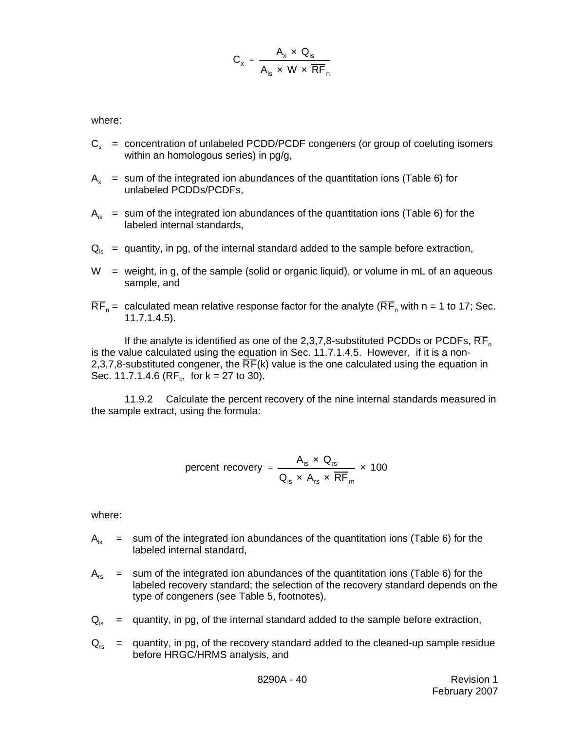$$
C_x = \frac{A_x \times Q_{is}}{A_{is} \times W \times \overline{RF}_n}
$$

where:

- $C_x$  = concentration of unlabeled PCDD/PCDF congeners (or group of coeluting isomers within an homologous series) in pg/g,
- $A<sub>x</sub>$  = sum of the integrated ion abundances of the quantitation ions (Table 6) for unlabeled PCDDs/PCDFs,
- $A_{iS}$  = sum of the integrated ion abundances of the quantitation ions (Table 6) for the labeled internal standards,
- $Q_{iS}$  = quantity, in pg, of the internal standard added to the sample before extraction,
- $W =$  weight, in g, of the sample (solid or organic liquid), or volume in mL of an aqueous sample, and
- $\overline{RF}_n =$  calculated mean relative response factor for the analyte ( $\overline{RF}_n$  with n = 1 to 17; Sec. 11.7.1.4.5).

If the analyte is identified as one of the 2,3,7,8-substituted PCDDs or PCDFs,  $\overline{RF}_n$ is the value calculated using the equation in Sec. 11.7.1.4.5. However, if it is a non-2,3,7,8-substituted congener, the  $\overline{RF}(k)$  value is the one calculated using the equation in Sec. 11.7.1.4.6 ( $RF_k$ , for  $k = 27$  to 30).

11.9.2 Calculate the percent recovery of the nine internal standards measured in the sample extract, using the formula:

percent recovery = 
$$
\frac{A_{is} \times Q_{rs}}{Q_{is} \times A_{rs} \times \overline{RF}_{m}} \times 100
$$

where:

- $A<sub>io</sub>$  = sum of the integrated ion abundances of the quantitation ions (Table 6) for the labeled internal standard,
- $A_{rs}$  = sum of the integrated ion abundances of the quantitation ions (Table 6) for the labeled recovery standard; the selection of the recovery standard depends on the type of congeners (see Table 5, footnotes),
- $Q_{iS}$  = quantity, in pg, of the internal standard added to the sample before extraction,
- $Q_{rs}$  = quantity, in pg, of the recovery standard added to the cleaned-up sample residue before HRGC/HRMS analysis, and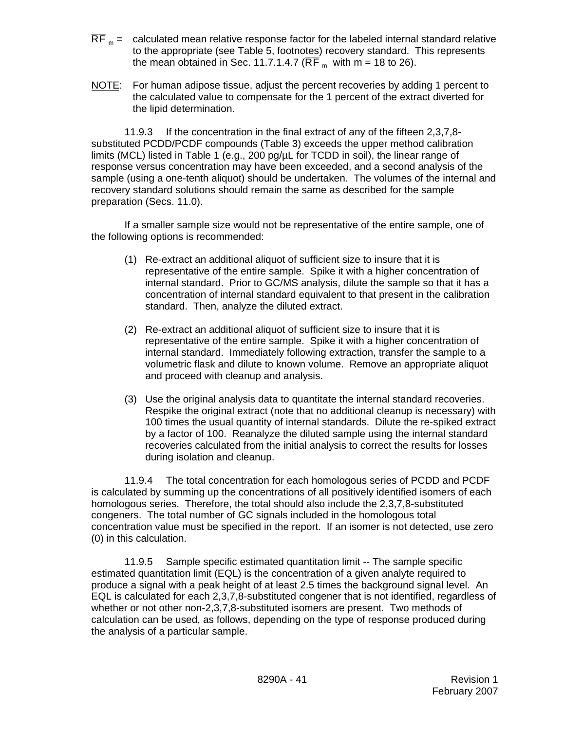- $\overline{RF}$  m = calculated mean relative response factor for the labeled internal standard relative to the appropriate (see Table 5, footnotes) recovery standard. This represents the mean obtained in Sec. 11.7.1.4.7 ( $\overline{\text{RF}}_{m}$  with m = 18 to 26).
- NOTE: For human adipose tissue, adjust the percent recoveries by adding 1 percent to the calculated value to compensate for the 1 percent of the extract diverted for the lipid determination.

11.9.3 If the concentration in the final extract of any of the fifteen 2,3,7,8 substituted PCDD/PCDF compounds (Table 3) exceeds the upper method calibration limits (MCL) listed in Table 1 (e.g., 200 pg/µL for TCDD in soil), the linear range of response versus concentration may have been exceeded, and a second analysis of the sample (using a one-tenth aliquot) should be undertaken. The volumes of the internal and recovery standard solutions should remain the same as described for the sample preparation (Secs. 11.0).

If a smaller sample size would not be representative of the entire sample, one of the following options is recommended:

- (1) Re-extract an additional aliquot of sufficient size to insure that it is representative of the entire sample. Spike it with a higher concentration of internal standard. Prior to GC/MS analysis, dilute the sample so that it has a concentration of internal standard equivalent to that present in the calibration standard. Then, analyze the diluted extract.
- (2) Re-extract an additional aliquot of sufficient size to insure that it is representative of the entire sample. Spike it with a higher concentration of internal standard. Immediately following extraction, transfer the sample to a volumetric flask and dilute to known volume. Remove an appropriate aliquot and proceed with cleanup and analysis.
- (3) Use the original analysis data to quantitate the internal standard recoveries. Respike the original extract (note that no additional cleanup is necessary) with 100 times the usual quantity of internal standards. Dilute the re-spiked extract by a factor of 100. Reanalyze the diluted sample using the internal standard recoveries calculated from the initial analysis to correct the results for losses during isolation and cleanup.

11.9.4 The total concentration for each homologous series of PCDD and PCDF is calculated by summing up the concentrations of all positively identified isomers of each homologous series. Therefore, the total should also include the 2,3,7,8-substituted congeners. The total number of GC signals included in the homologous total concentration value must be specified in the report. If an isomer is not detected, use zero (0) in this calculation.

11.9.5 Sample specific estimated quantitation limit -- The sample specific estimated quantitation limit (EQL) is the concentration of a given analyte required to produce a signal with a peak height of at least 2.5 times the background signal level. An EQL is calculated for each 2,3,7,8-substituted congener that is not identified, regardless of whether or not other non-2,3,7,8-substituted isomers are present. Two methods of calculation can be used, as follows, depending on the type of response produced during the analysis of a particular sample.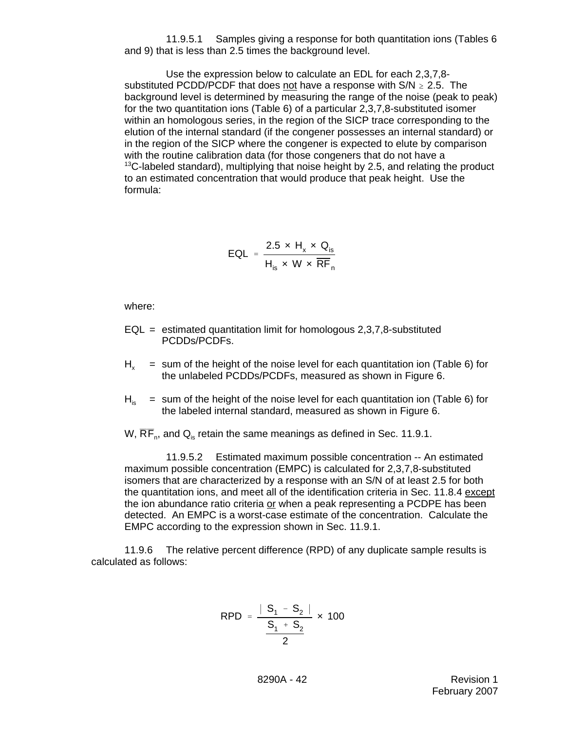11.9.5.1 Samples giving a response for both quantitation ions (Tables 6 and 9) that is less than 2.5 times the background level.

Use the expression below to calculate an EDL for each 2,3,7,8 substituted PCDD/PCDF that does not have a response with  $S/N \ge 2.5$ . The background level is determined by measuring the range of the noise (peak to peak) for the two quantitation ions (Table 6) of a particular 2,3,7,8-substituted isomer within an homologous series, in the region of the SICP trace corresponding to the elution of the internal standard (if the congener possesses an internal standard) or in the region of the SICP where the congener is expected to elute by comparison with the routine calibration data (for those congeners that do not have a  $13C$ -labeled standard), multiplying that noise height by 2.5, and relating the product to an estimated concentration that would produce that peak height. Use the formula:

$$
EQL = \frac{2.5 \times H_x \times Q_{is}}{H_{is} \times W \times \overline{RF}_n}
$$

where:

- $EQL =$  estimated quantitation limit for homologous 2,3,7,8-substituted PCDDs/PCDFs.
- $H<sub>v</sub>$  = sum of the height of the noise level for each quantitation ion (Table 6) for the unlabeled PCDDs/PCDFs, measured as shown in Figure 6.
- $H<sub>is</sub>$  = sum of the height of the noise level for each quantitation ion (Table 6) for the labeled internal standard, measured as shown in Figure 6.
- W,  $\overline{RF}_n$ , and  $Q_{is}$  retain the same meanings as defined in Sec. 11.9.1.

11.9.5.2 Estimated maximum possible concentration -- An estimated maximum possible concentration (EMPC) is calculated for 2,3,7,8-substituted isomers that are characterized by a response with an S/N of at least 2.5 for both the quantitation ions, and meet all of the identification criteria in Sec. 11.8.4 except the ion abundance ratio criteria or when a peak representing a PCDPE has been detected. An EMPC is a worst-case estimate of the concentration. Calculate the EMPC according to the expression shown in Sec. 11.9.1.

11.9.6 The relative percent difference (RPD) of any duplicate sample results is calculated as follows:

$$
\mathsf{RPD} = \frac{|S_1 - S_2|}{\frac{S_1 + S_2}{2}} \times 100
$$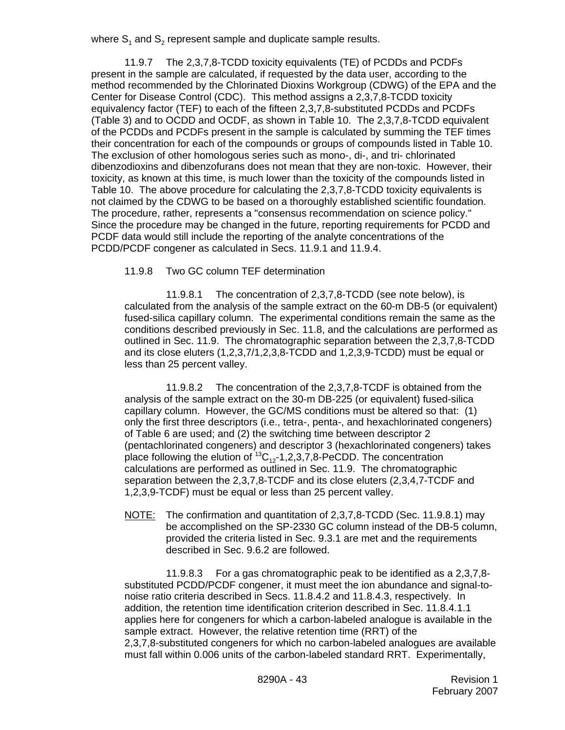where  $S_1$  and  $S_2$  represent sample and duplicate sample results.

11.9.7 The 2,3,7,8-TCDD toxicity equivalents (TE) of PCDDs and PCDFs present in the sample are calculated, if requested by the data user, according to the method recommended by the Chlorinated Dioxins Workgroup (CDWG) of the EPA and the Center for Disease Control (CDC). This method assigns a 2,3,7,8-TCDD toxicity equivalency factor (TEF) to each of the fifteen 2,3,7,8-substituted PCDDs and PCDFs (Table 3) and to OCDD and OCDF, as shown in Table 10. The 2,3,7,8-TCDD equivalent of the PCDDs and PCDFs present in the sample is calculated by summing the TEF times their concentration for each of the compounds or groups of compounds listed in Table 10. The exclusion of other homologous series such as mono-, di-, and tri- chlorinated dibenzodioxins and dibenzofurans does not mean that they are non-toxic. However, their toxicity, as known at this time, is much lower than the toxicity of the compounds listed in Table 10. The above procedure for calculating the 2,3,7,8-TCDD toxicity equivalents is not claimed by the CDWG to be based on a thoroughly established scientific foundation. The procedure, rather, represents a "consensus recommendation on science policy." Since the procedure may be changed in the future, reporting requirements for PCDD and PCDF data would still include the reporting of the analyte concentrations of the PCDD/PCDF congener as calculated in Secs. 11.9.1 and 11.9.4.

11.9.8 Two GC column TEF determination

11.9.8.1 The concentration of 2,3,7,8-TCDD (see note below), is calculated from the analysis of the sample extract on the 60-m DB-5 (or equivalent) fused-silica capillary column. The experimental conditions remain the same as the conditions described previously in Sec. 11.8, and the calculations are performed as outlined in Sec. 11.9. The chromatographic separation between the 2,3,7,8-TCDD and its close eluters (1,2,3,7/1,2,3,8-TCDD and 1,2,3,9-TCDD) must be equal or less than 25 percent valley.

11.9.8.2 The concentration of the 2,3,7,8-TCDF is obtained from the analysis of the sample extract on the 30-m DB-225 (or equivalent) fused-silica capillary column. However, the GC/MS conditions must be altered so that: (1) only the first three descriptors (i.e., tetra-, penta-, and hexachlorinated congeners) of Table 6 are used; and (2) the switching time between descriptor 2 (pentachlorinated congeners) and descriptor 3 (hexachlorinated congeners) takes place following the elution of  ${}^{13}C_{12}$ -1,2,3,7,8-PeCDD. The concentration calculations are performed as outlined in Sec. 11.9. The chromatographic separation between the 2,3,7,8-TCDF and its close eluters (2,3,4,7-TCDF and 1,2,3,9-TCDF) must be equal or less than 25 percent valley.

NOTE: The confirmation and quantitation of 2,3,7,8-TCDD (Sec. 11.9.8.1) may be accomplished on the SP-2330 GC column instead of the DB-5 column, provided the criteria listed in Sec. 9.3.1 are met and the requirements described in Sec. 9.6.2 are followed.

11.9.8.3 For a gas chromatographic peak to be identified as a 2,3,7,8 substituted PCDD/PCDF congener, it must meet the ion abundance and signal-tonoise ratio criteria described in Secs. 11.8.4.2 and 11.8.4.3, respectively. In addition, the retention time identification criterion described in Sec. 11.8.4.1.1 applies here for congeners for which a carbon-labeled analogue is available in the sample extract. However, the relative retention time (RRT) of the 2,3,7,8-substituted congeners for which no carbon-labeled analogues are available must fall within 0.006 units of the carbon-labeled standard RRT. Experimentally,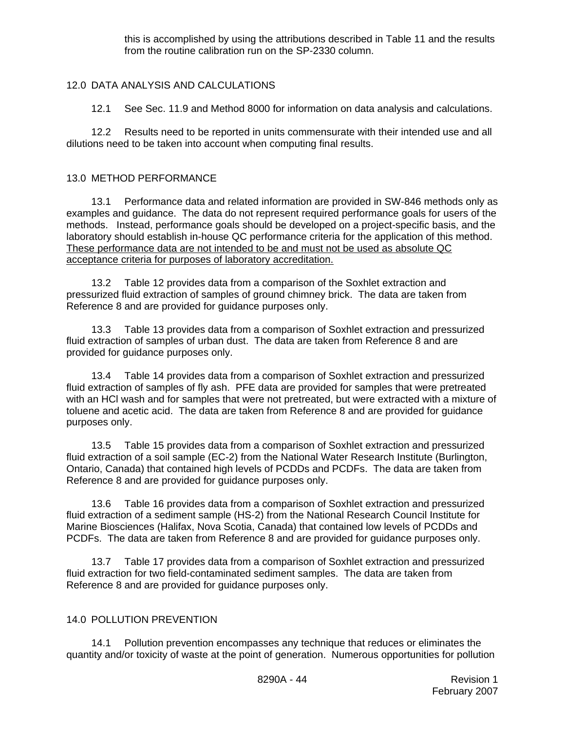this is accomplished by using the attributions described in Table 11 and the results from the routine calibration run on the SP-2330 column.

# 12.0 DATA ANALYSIS AND CALCULATIONS

12.1 See Sec. 11.9 and Method 8000 for information on data analysis and calculations.

12.2 Results need to be reported in units commensurate with their intended use and all dilutions need to be taken into account when computing final results.

# 13.0 METHOD PERFORMANCE

13.1 Performance data and related information are provided in SW-846 methods only as examples and guidance. The data do not represent required performance goals for users of the methods. Instead, performance goals should be developed on a project-specific basis, and the laboratory should establish in-house QC performance criteria for the application of this method. These performance data are not intended to be and must not be used as absolute QC acceptance criteria for purposes of laboratory accreditation.

13.2 Table 12 provides data from a comparison of the Soxhlet extraction and pressurized fluid extraction of samples of ground chimney brick. The data are taken from Reference 8 and are provided for guidance purposes only.

13.3 Table 13 provides data from a comparison of Soxhlet extraction and pressurized fluid extraction of samples of urban dust. The data are taken from Reference 8 and are provided for guidance purposes only.

13.4 Table 14 provides data from a comparison of Soxhlet extraction and pressurized fluid extraction of samples of fly ash. PFE data are provided for samples that were pretreated with an HCl wash and for samples that were not pretreated, but were extracted with a mixture of toluene and acetic acid. The data are taken from Reference 8 and are provided for guidance purposes only.

13.5 Table 15 provides data from a comparison of Soxhlet extraction and pressurized fluid extraction of a soil sample (EC-2) from the National Water Research Institute (Burlington, Ontario, Canada) that contained high levels of PCDDs and PCDFs. The data are taken from Reference 8 and are provided for guidance purposes only.

13.6 Table 16 provides data from a comparison of Soxhlet extraction and pressurized fluid extraction of a sediment sample (HS-2) from the National Research Council Institute for Marine Biosciences (Halifax, Nova Scotia, Canada) that contained low levels of PCDDs and PCDFs. The data are taken from Reference 8 and are provided for guidance purposes only.

13.7 Table 17 provides data from a comparison of Soxhlet extraction and pressurized fluid extraction for two field-contaminated sediment samples. The data are taken from Reference 8 and are provided for guidance purposes only.

### 14.0 POLLUTION PREVENTION

14.1 Pollution prevention encompasses any technique that reduces or eliminates the quantity and/or toxicity of waste at the point of generation. Numerous opportunities for pollution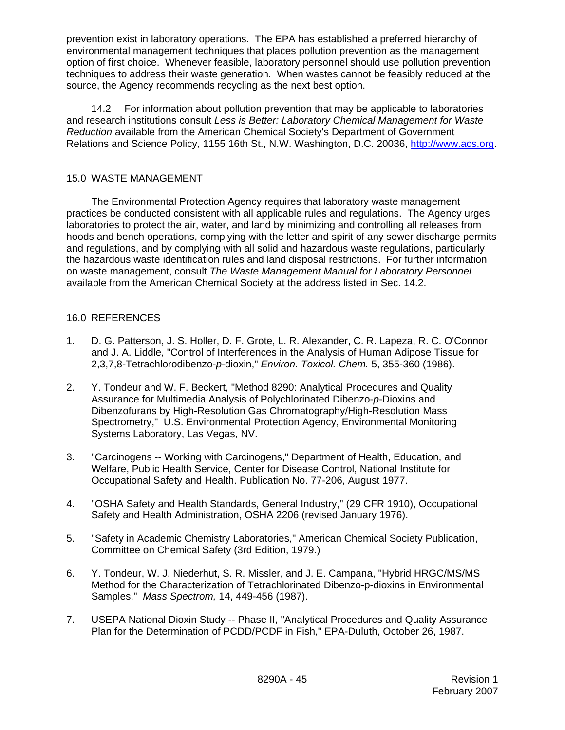prevention exist in laboratory operations. The EPA has established a preferred hierarchy of environmental management techniques that places pollution prevention as the management option of first choice. Whenever feasible, laboratory personnel should use pollution prevention techniques to address their waste generation. When wastes cannot be feasibly reduced at the source, the Agency recommends recycling as the next best option.

14.2 For information about pollution prevention that may be applicable to laboratories and research institutions consult *Less is Better: Laboratory Chemical Management for Waste Reduction* available from the American Chemical Society's Department of Government Relations and Science Policy, 1155 16th St., N.W. Washington, D.C. 20036, http://www.acs.org.

## 15.0 WASTE MANAGEMENT

The Environmental Protection Agency requires that laboratory waste management practices be conducted consistent with all applicable rules and regulations. The Agency urges laboratories to protect the air, water, and land by minimizing and controlling all releases from hoods and bench operations, complying with the letter and spirit of any sewer discharge permits and regulations, and by complying with all solid and hazardous waste regulations, particularly the hazardous waste identification rules and land disposal restrictions. For further information on waste management, consult *The Waste Management Manual for Laboratory Personnel* available from the American Chemical Society at the address listed in Sec. 14.2.

# 16.0 REFERENCES

- 1. D. G. Patterson, J. S. Holler, D. F. Grote, L. R. Alexander, C. R. Lapeza, R. C. O'Connor and J. A. Liddle, "Control of Interferences in the Analysis of Human Adipose Tissue for 2,3,7,8-Tetrachlorodibenzo-*p*-dioxin," *Environ. Toxicol. Chem.* 5, 355-360 (1986).
- 2. Y. Tondeur and W. F. Beckert, "Method 8290: Analytical Procedures and Quality Assurance for Multimedia Analysis of Polychlorinated Dibenzo-*p*-Dioxins and Dibenzofurans by High-Resolution Gas Chromatography/High-Resolution Mass Spectrometry," U.S. Environmental Protection Agency, Environmental Monitoring Systems Laboratory, Las Vegas, NV.
- 3. "Carcinogens -- Working with Carcinogens," Department of Health, Education, and Welfare, Public Health Service, Center for Disease Control, National Institute for Occupational Safety and Health. Publication No. 77-206, August 1977.
- 4. "OSHA Safety and Health Standards, General Industry," (29 CFR 1910), Occupational Safety and Health Administration, OSHA 2206 (revised January 1976).
- 5. "Safety in Academic Chemistry Laboratories," American Chemical Society Publication, Committee on Chemical Safety (3rd Edition, 1979.)
- 6. Y. Tondeur, W. J. Niederhut, S. R. Missler, and J. E. Campana, "Hybrid HRGC/MS/MS Method for the Characterization of Tetrachlorinated Dibenzo-p-dioxins in Environmental Samples," *Mass Spectrom,* 14, 449-456 (1987).
- 7. USEPA National Dioxin Study -- Phase II, "Analytical Procedures and Quality Assurance Plan for the Determination of PCDD/PCDF in Fish," EPA-Duluth, October 26, 1987.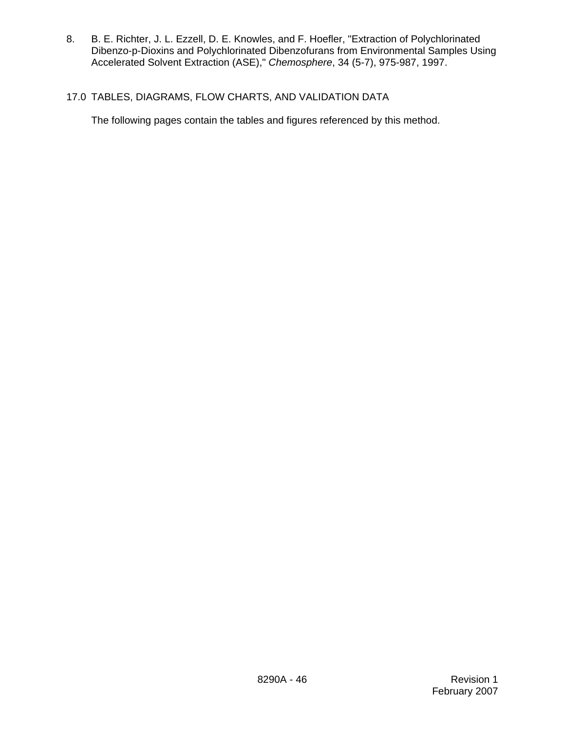8. B. E. Richter, J. L. Ezzell, D. E. Knowles, and F. Hoefler, "Extraction of Polychlorinated Dibenzo-p-Dioxins and Polychlorinated Dibenzofurans from Environmental Samples Using Accelerated Solvent Extraction (ASE)," *Chemosphere*, 34 (5-7), 975-987, 1997.

# 17.0 TABLES, DIAGRAMS, FLOW CHARTS, AND VALIDATION DATA

The following pages contain the tables and figures referenced by this method.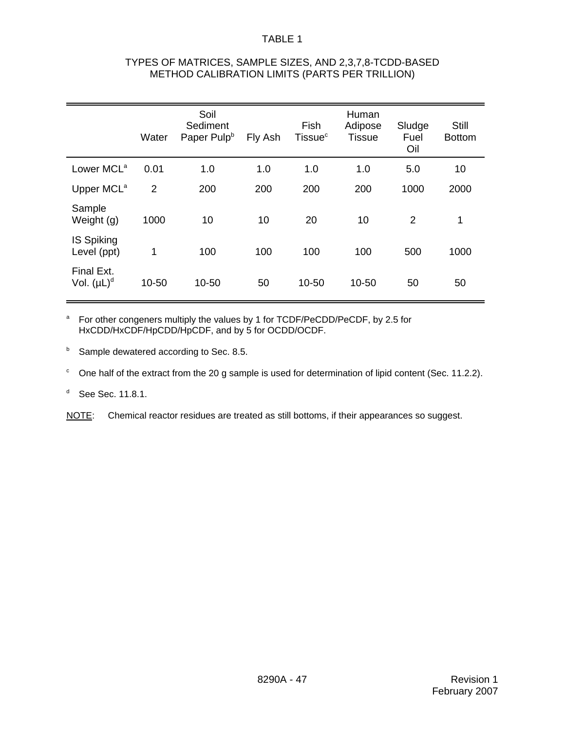| TYPES OF MATRICES, SAMPLE SIZES, AND 2,3,7,8-TCDD-BASED |
|---------------------------------------------------------|
| METHOD CALIBRATION LIMITS (PARTS PER TRILLION)          |

|                                  | Water          | Soil<br>Sediment<br>Paper Pulp <sup>b</sup> | Fly Ash | Fish<br>Tissue <sup>c</sup> | Human<br>Adipose<br><b>Tissue</b> | Sludge<br>Fuel<br>Oil | Still<br><b>Bottom</b> |
|----------------------------------|----------------|---------------------------------------------|---------|-----------------------------|-----------------------------------|-----------------------|------------------------|
| Lower MCL <sup>a</sup>           | 0.01           | 1.0                                         | 1.0     | 1.0                         | 1.0                               | 5.0                   | 10                     |
| Upper MCL <sup>a</sup>           | $\overline{2}$ | 200                                         | 200     | 200                         | 200                               | 1000                  | 2000                   |
| Sample<br>Weight (g)             | 1000           | 10                                          | 10      | 20                          | 10                                | $\overline{2}$        | $\mathbf{1}$           |
| <b>IS Spiking</b><br>Level (ppt) | 1              | 100                                         | 100     | 100                         | 100                               | 500                   | 1000                   |
| Final Ext.<br>Vol. $(\mu L)^d$   | 10-50          | 10-50                                       | 50      | 10-50                       | 10-50                             | 50                    | 50                     |

<sup>a</sup> For other congeners multiply the values by 1 for TCDF/PeCDD/PeCDF, by 2.5 for HxCDD/HxCDF/HpCDD/HpCDF, and by 5 for OCDD/OCDF.

**b** Sample dewatered according to Sec. 8.5.

 $\degree$  One half of the extract from the 20 g sample is used for determination of lipid content (Sec. 11.2.2).

<sup>d</sup> See Sec. 11.8.1.

NOTE: Chemical reactor residues are treated as still bottoms, if their appearances so suggest.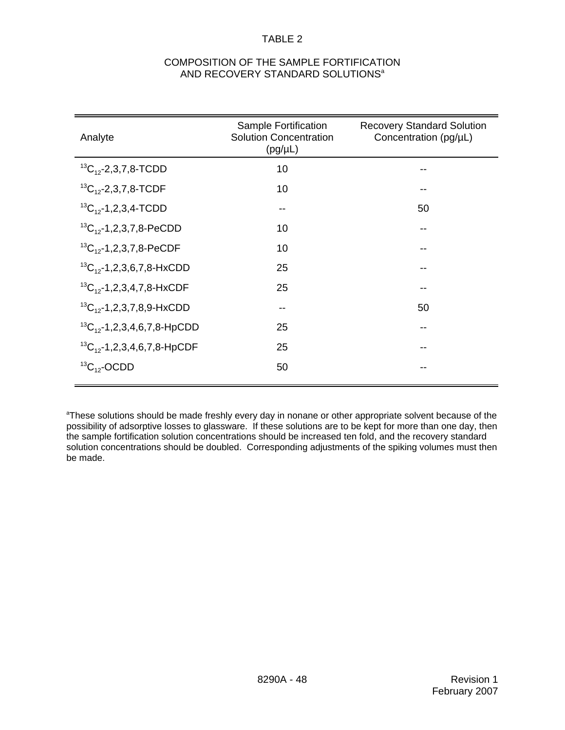# COMPOSITION OF THE SAMPLE FORTIFICATION AND RECOVERY STANDARD SOLUTIONS<sup>a</sup>

| Analyte                              | Sample Fortification<br><b>Solution Concentration</b><br>$(pg/\mu L)$ | <b>Recovery Standard Solution</b><br>Concentration (pg/µL) |
|--------------------------------------|-----------------------------------------------------------------------|------------------------------------------------------------|
| ${}^{13}C_{12}$ -2,3,7,8-TCDD        | 10                                                                    |                                                            |
| ${}^{13}C_{12}$ -2,3,7,8-TCDF        | 10                                                                    |                                                            |
| ${}^{13}C_{12}$ -1,2,3,4-TCDD        | --                                                                    | 50                                                         |
| ${}^{13}C_{12}$ -1,2,3,7,8-PeCDD     | 10                                                                    |                                                            |
| ${}^{13}C_{12}$ -1,2,3,7,8-PeCDF     | 10                                                                    |                                                            |
| ${}^{13}C_{12}$ -1,2,3,6,7,8-HxCDD   | 25                                                                    |                                                            |
| ${}^{13}C_{12}$ -1,2,3,4,7,8-HxCDF   | 25                                                                    |                                                            |
| ${}^{13}C_{12}$ -1,2,3,7,8,9-HxCDD   | --                                                                    | 50                                                         |
| ${}^{13}C_{12}$ -1,2,3,4,6,7,8-HpCDD | 25                                                                    |                                                            |
| ${}^{13}C_{12}$ -1,2,3,4,6,7,8-HpCDF | 25                                                                    |                                                            |
| ${}^{13}C_{12}$ -OCDD                | 50                                                                    |                                                            |

<sup>a</sup>These solutions should be made freshly every day in nonane or other appropriate solvent because of the possibility of adsorptive losses to glassware. If these solutions are to be kept for more than one day, then the sample fortification solution concentrations should be increased ten fold, and the recovery standard solution concentrations should be doubled. Corresponding adjustments of the spiking volumes must then be made.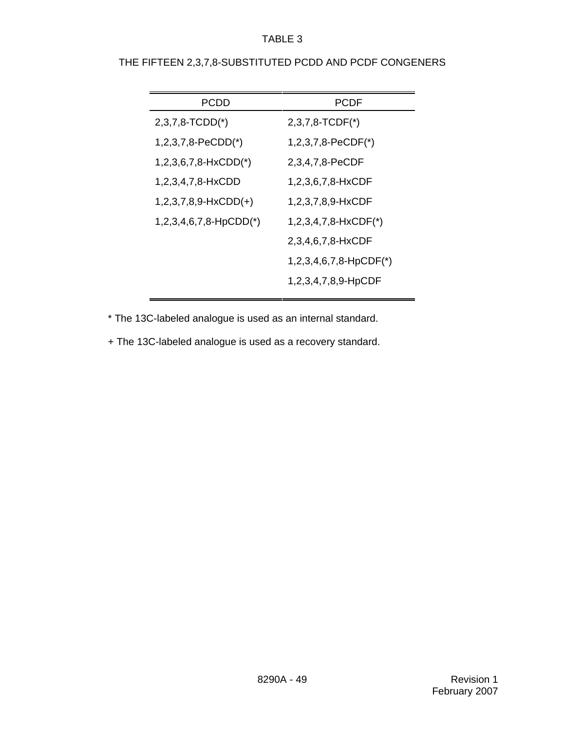| <b>PCDD</b>              | <b>PCDF</b>               |
|--------------------------|---------------------------|
| $2,3,7,8$ -TCDD(*)       | $2,3,7,8$ -TCDF $(*)$     |
| $1,2,3,7,8-PeCDD(*)$     | $1,2,3,7,8-PeCDF(*)$      |
| $1,2,3,6,7,8-HxCDD(*)$   | 2,3,4,7,8-PeCDF           |
| 1, 2, 3, 4, 7, 8-H x CDD | 1,2,3,6,7,8-HxCDF         |
| $1,2,3,7,8,9-HxCDD(+)$   | 1,2,3,7,8,9-HxCDF         |
| $1,2,3,4,6,7,8-HpCDD(*)$ | 1,2,3,4,7,8-HxCDF(*)      |
|                          | 2,3,4,6,7,8-HxCDF         |
|                          | $1,2,3,4,6,7,8$ -HpCDF(*) |
|                          | 1,2,3,4,7,8,9-HpCDF       |

\* The 13C-labeled analogue is used as an internal standard.

+ The 13C-labeled analogue is used as a recovery standard.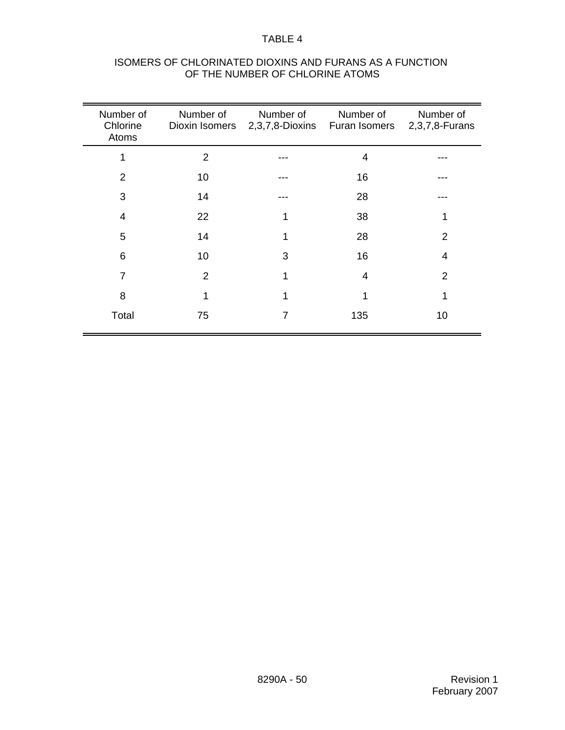| Number of<br>Chlorine<br>Atoms | Number of<br>Dioxin Isomers | Number of<br>2,3,7,8-Dioxins | Number of<br><b>Furan Isomers</b> | Number of<br>2,3,7,8-Furans |
|--------------------------------|-----------------------------|------------------------------|-----------------------------------|-----------------------------|
| 1                              | 2                           |                              | 4                                 |                             |
| $\overline{2}$                 | 10                          |                              | 16                                |                             |
| 3                              | 14                          |                              | 28                                |                             |
| 4                              | 22                          |                              | 38                                | 1                           |
| 5                              | 14                          |                              | 28                                | 2                           |
| 6                              | 10                          | 3                            | 16                                | 4                           |
| 7                              | $\overline{2}$              | 1                            | 4                                 | $\overline{2}$              |
| 8                              | 1                           | 1                            | 1                                 | 1                           |
| Total                          | 75                          | 7                            | 135                               | 10                          |

# ISOMERS OF CHLORINATED DIOXINS AND FURANS AS A FUNCTION OF THE NUMBER OF CHLORINE ATOMS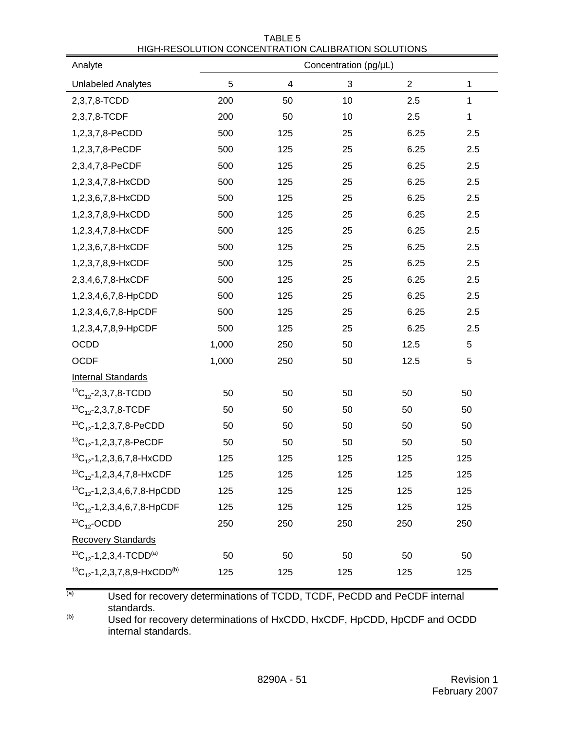| Analyte                                           | <u>HIGHTINEOOEO HON CONOENTINATION CALIDINATION OOEO HONO</u> |     | Concentration (pg/µL) |            |             |
|---------------------------------------------------|---------------------------------------------------------------|-----|-----------------------|------------|-------------|
| <b>Unlabeled Analytes</b>                         | 5                                                             | 4   | 3                     | $\sqrt{2}$ | $\mathbf 1$ |
| 2,3,7,8-TCDD                                      | 200                                                           | 50  | 10                    | 2.5        | $\mathbf 1$ |
| 2,3,7,8-TCDF                                      | 200                                                           | 50  | 10                    | 2.5        | $\mathbf 1$ |
| 1,2,3,7,8-PeCDD                                   | 500                                                           | 125 | 25                    | 6.25       | 2.5         |
| 1,2,3,7,8-PeCDF                                   | 500                                                           | 125 | 25                    | 6.25       | 2.5         |
| 2,3,4,7,8-PeCDF                                   | 500                                                           | 125 | 25                    | 6.25       | 2.5         |
| 1,2,3,4,7,8-HxCDD                                 | 500                                                           | 125 | 25                    | 6.25       | 2.5         |
| 1,2,3,6,7,8-HxCDD                                 | 500                                                           | 125 | 25                    | 6.25       | 2.5         |
| 1,2,3,7,8,9-HxCDD                                 | 500                                                           | 125 | 25                    | 6.25       | 2.5         |
| 1,2,3,4,7,8-HxCDF                                 | 500                                                           | 125 | 25                    | 6.25       | 2.5         |
| 1,2,3,6,7,8-HxCDF                                 | 500                                                           | 125 | 25                    | 6.25       | 2.5         |
| 1,2,3,7,8,9-HxCDF                                 | 500                                                           | 125 | 25                    | 6.25       | 2.5         |
| 2,3,4,6,7,8-HxCDF                                 | 500                                                           | 125 | 25                    | 6.25       | 2.5         |
| 1,2,3,4,6,7,8-HpCDD                               | 500                                                           | 125 | 25                    | 6.25       | 2.5         |
| 1,2,3,4,6,7,8-HpCDF                               | 500                                                           | 125 | 25                    | 6.25       | 2.5         |
| 1,2,3,4,7,8,9-HpCDF                               | 500                                                           | 125 | 25                    | 6.25       | 2.5         |
| OCDD                                              | 1,000                                                         | 250 | 50                    | 12.5       | 5           |
| <b>OCDF</b>                                       | 1,000                                                         | 250 | 50                    | 12.5       | 5           |
| <b>Internal Standards</b>                         |                                                               |     |                       |            |             |
| ${}^{13}C_{12}$ -2,3,7,8-TCDD                     | 50                                                            | 50  | 50                    | 50         | 50          |
| ${}^{13}C_{12}$ -2,3,7,8-TCDF                     | 50                                                            | 50  | 50                    | 50         | 50          |
| ${}^{13}C_{12}$ -1,2,3,7,8-PeCDD                  | 50                                                            | 50  | 50                    | 50         | 50          |
| ${}^{13}C_{12}$ -1,2,3,7,8-PeCDF                  | 50                                                            | 50  | 50                    | 50         | 50          |
| ${}^{13}C_{12}$ -1,2,3,6,7,8-HxCDD                | 125                                                           | 125 | 125                   | 125        | 125         |
| ${}^{13}C_{12}$ -1,2,3,4,7,8-HxCDF                | 125                                                           | 125 | 125                   | 125        | 125         |
| ${}^{13}C_{12}$ -1,2,3,4,6,7,8-HpCDD              | 125                                                           | 125 | 125                   | 125        | 125         |
| ${}^{13}C_{12}$ -1,2,3,4,6,7,8-HpCDF              | 125                                                           | 125 | 125                   | 125        | 125         |
| ${}^{13}C_{12}$ -OCDD                             | 250                                                           | 250 | 250                   | 250        | 250         |
| <b>Recovery Standards</b>                         |                                                               |     |                       |            |             |
| ${}^{13}C_{12}$ -1,2,3,4-TCDD <sup>(a)</sup>      | 50                                                            | 50  | 50                    | 50         | 50          |
| ${}^{13}C_{12}$ -1,2,3,7,8,9-HxCDD <sup>(b)</sup> | 125                                                           | 125 | 125                   | 125        | 125         |

TABLE 5 HIGH-RESOLUTION CONCENTRATION CALIBRATION SOLUTIONS

(a) Used for recovery determinations of TCDD, TCDF, PeCDD and PeCDF internal standards.

(b) Used for recovery determinations of HxCDD, HxCDF, HpCDD, HpCDF and OCDD internal standards.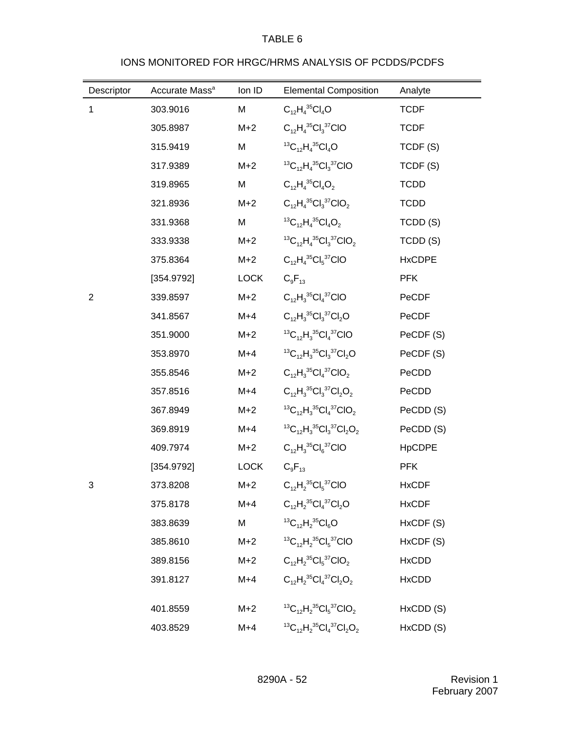# IONS MONITORED FOR HRGC/HRMS ANALYSIS OF PCDDS/PCDFS

| Descriptor     | Accurate Mass <sup>a</sup> | Ion ID      | <b>Elemental Composition</b>                                                 | Analyte       |
|----------------|----------------------------|-------------|------------------------------------------------------------------------------|---------------|
| 1              | 303.9016                   | M           | $C_{12}H_4^{35}Cl_4O$                                                        | <b>TCDF</b>   |
|                | 305.8987                   | $M+2$       | $C_{12}H_4^{35}Cl_3^{37}ClO$                                                 | <b>TCDF</b>   |
|                | 315.9419                   | M           | ${}^{13}C_{12}H_4{}^{35}Cl_4O$                                               | TCDF(S)       |
|                | 317.9389                   | $M+2$       | ${}^{13}C_{12}H_4{}^{35}Cl_3{}^{37}ClO$                                      | TCDF(S)       |
|                | 319.8965                   | M           | $C_{12}H_4^{35}Cl_4O_2$                                                      | <b>TCDD</b>   |
|                | 321.8936                   | $M+2$       | $C_{12}H_{4}^{35}Cl_{3}^{37}ClO_{2}$                                         | <b>TCDD</b>   |
|                | 331.9368                   | M           | ${}^{13}C_{12}H_4{}^{35}Cl_4O_2$                                             | TCDD (S)      |
|                | 333.9338                   | $M+2$       | ${}^{13}C_{12}H_4{}^{35}Cl_3{}^{37}ClO_2$                                    | TCDD (S)      |
|                | 375.8364                   | $M+2$       | $C_{12}H_4^{35}Cl_5^{37}ClO$                                                 | <b>HxCDPE</b> |
|                | [354.9792]                 | <b>LOCK</b> | $C_9F_{13}$                                                                  | <b>PFK</b>    |
| $\overline{2}$ | 339.8597                   | $M+2$       | $C_{12}H_3^{35}Cl_4^{37}ClO$                                                 | PeCDF         |
|                | 341.8567                   | $M+4$       | $C_{12}H_3^{35}Cl_3^{37}Cl_2O$                                               | PeCDF         |
|                | 351.9000                   | $M+2$       | ${}^{13}C_{12}H_3{}^{35}Cl_4{}^{37}ClO$                                      | PeCDF (S)     |
|                | 353.8970                   | $M+4$       | ${}^{13}C_{12}H_3{}^{35}Cl_3{}^{37}Cl_2O$                                    | PeCDF (S)     |
|                | 355.8546                   | $M+2$       | $C_{12}H_3^{35}Cl_4^{37}ClO_2$                                               | PeCDD         |
|                | 357.8516                   | $M+4$       | $C_{12}H_3^{35}Cl_3^{37}Cl_2O_2$                                             | PeCDD         |
|                | 367.8949                   | $M+2$       | ${}^{13}C_{12}H_3{}^{35}Cl_4{}^{37}ClO_2$                                    | PeCDD (S)     |
|                | 369.8919                   | $M+4$       | ${}^{13}C_{12}H_3{}^{35}Cl_3{}^{37}Cl_2O_2$                                  | PeCDD (S)     |
|                | 409.7974                   | $M+2$       | $C_{12}H_3^{35}Cl_6^{37}ClO$                                                 | <b>HpCDPE</b> |
|                | [354.9792]                 | <b>LOCK</b> | $C_9F_{13}$                                                                  | <b>PFK</b>    |
| 3              | 373.8208                   | $M+2$       | $C_{12}H_2^{35}Cl_5^{37}ClO$                                                 | <b>HxCDF</b>  |
|                | 375.8178                   | $M+4$       | $C_{12}H_2^{35}Cl_4^{37}Cl_2O$                                               | <b>HxCDF</b>  |
|                | 383.8639                   | M           | <sup>13</sup> C <sub>12</sub> H <sub>2</sub> <sup>35</sup> Cl <sub>6</sub> O | HxCDF (S)     |
|                | 385.8610                   | $M+2$       | ${}^{13}C_{12}H_2{}^{35}Cl_5{}^{37}ClO$                                      | HxCDF (S)     |
|                | 389.8156                   | $M+2$       | $C_{12}H_2^{35}Cl_5^{37}ClO_2$                                               | <b>HxCDD</b>  |
|                | 391.8127                   | $M+4$       | $C_{12}H_2^{35}Cl_4^{37}Cl_2O_2$                                             | <b>HxCDD</b>  |
|                | 401.8559                   | $M+2$       | ${}^{13}C_{12}H_2{}^{35}Cl_5{}^{37}ClO_2$                                    | HxCDD (S)     |
|                | 403.8529                   | $M+4$       | ${}^{13}C_{12}H_2{}^{35}Cl_4{}^{37}Cl_2O_2$                                  | HxCDD (S)     |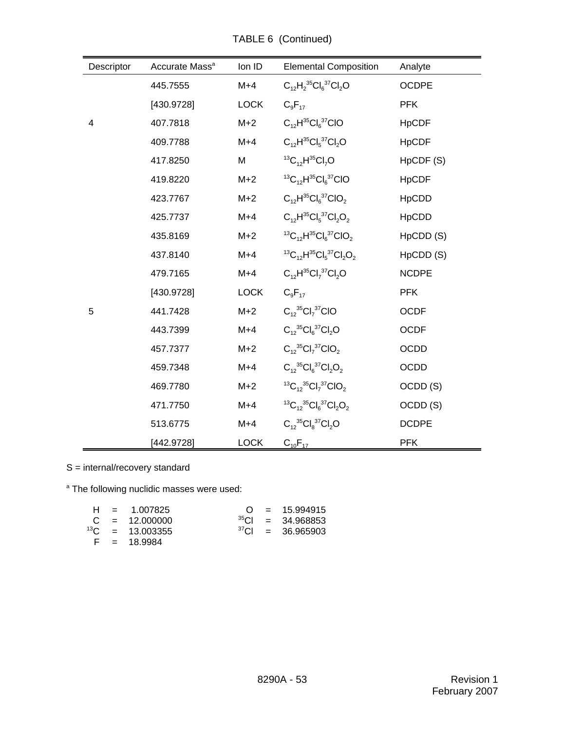| Descriptor | Accurate Mass <sup>a</sup> | Ion ID      | <b>Elemental Composition</b>                | Analyte             |
|------------|----------------------------|-------------|---------------------------------------------|---------------------|
|            | 445.7555                   | $M+4$       | $C_{12}H_2^{35}Cl_6^{37}Cl_2O$              | <b>OCDPE</b>        |
|            | [430.9728]                 | <b>LOCK</b> | $C_9F_{17}$                                 | <b>PFK</b>          |
| 4          | 407.7818                   | $M+2$       | $C_{12}H^{35}Cl_6^{37}ClO$                  | <b>HpCDF</b>        |
|            | 409.7788                   | $M+4$       | $C_{12}H^{35}Cl_{5}^{37}Cl_{2}O$            | <b>HpCDF</b>        |
|            | 417.8250                   | M           | ${}^{13}C_{12}H^{35}Cl_7O$                  | HpCDF (S)           |
|            | 419.8220                   | $M+2$       | ${}^{13}C_{12}H^{35}Cl_6{}^{37}ClO$         | <b>HpCDF</b>        |
|            | 423.7767                   | $M+2$       | $C_{12}H^{35}Cl_{6}^{37}ClO_{2}$            | <b>HpCDD</b>        |
|            | 425.7737                   | $M+4$       | $C_{12}H^{35}Cl_{5}^{37}Cl_{2}O_{2}$        | <b>HpCDD</b>        |
|            | 435.8169                   | $M+2$       | ${}^{13}C_{12}H^{35}Cl_{6}^{37}ClO_{2}$     | HpCDD (S)           |
|            | 437.8140                   | $M+4$       | ${}^{13}C_{12}H^{35}Cl_{5}^{37}Cl_{2}O_{2}$ | HpCDD (S)           |
|            | 479.7165                   | $M+4$       | $C_{12}H^{35}Cl_7^{37}Cl_2O$                | <b>NCDPE</b>        |
|            | [430.9728]                 | <b>LOCK</b> | $C_9F_{17}$                                 | <b>PFK</b>          |
| 5          | 441.7428                   | $M+2$       | $C_{12}^{35}Cl_7^{37}ClO$                   | <b>OCDF</b>         |
|            | 443.7399                   | $M+4$       | $C_{12}^{35}Cl_6^{37}Cl_2O$                 | <b>OCDF</b>         |
|            | 457.7377                   | $M+2$       | $C_{12}^{35}Cl_7^{37}ClO_2$                 | <b>OCDD</b>         |
|            | 459.7348                   | $M+4$       | $C_{12}^{35}Cl_6^{37}Cl_2O_2$               | <b>OCDD</b>         |
|            | 469.7780                   | $M+2$       | ${}^{13}C_{12} {}^{35}Cl_7 {}^{37}ClO_2$    | OCDD <sub>(S)</sub> |
|            | 471.7750                   | $M+4$       | ${}^{13}C_{12} {}^{35}Cl_6 {}^{37}Cl_2O_2$  | OCDD <sub>(S)</sub> |
|            | 513.6775                   | $M+4$       | $C_{12}^{35}Cl_{8}^{37}Cl_{2}O$             | <b>DCDPE</b>        |
|            | [442.9728]                 | <b>LOCK</b> | $C_{10}F_{17}$                              | <b>PFK</b>          |

TABLE 6 (Continued)

S = internal/recovery standard

<sup>a</sup> The following nuclidic masses were used:

|  | $H = 1.007825$              |  | $Q = 15.994915$        |
|--|-----------------------------|--|------------------------|
|  | $C = 12.000000$             |  | $^{35}$ CI = 34.968853 |
|  | <sup>13</sup> C = 13.003355 |  | $37$ CI = 36.965903    |
|  | $F = 18.9984$               |  |                        |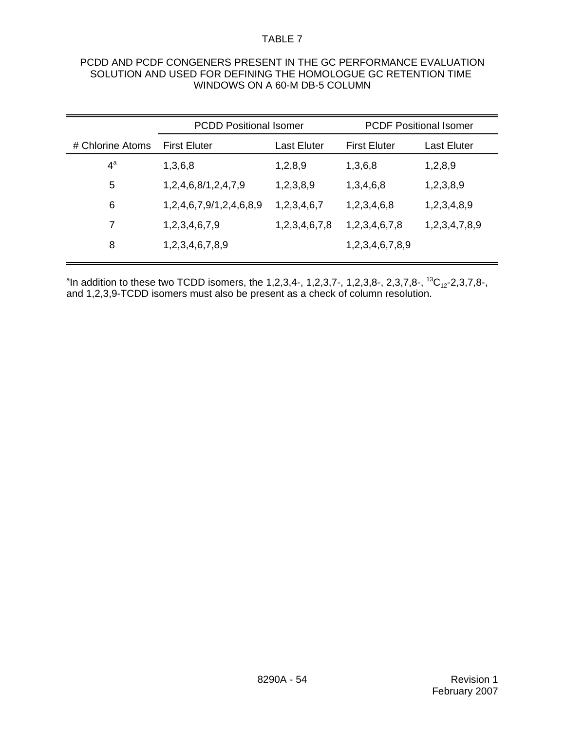#### PCDD AND PCDF CONGENERS PRESENT IN THE GC PERFORMANCE EVALUATION SOLUTION AND USED FOR DEFINING THE HOMOLOGUE GC RETENTION TIME WINDOWS ON A 60-M DB-5 COLUMN

|                  | <b>PCDD Positional Isomer</b> |               |                     | <b>PCDF Positional Isomer</b> |
|------------------|-------------------------------|---------------|---------------------|-------------------------------|
| # Chlorine Atoms | <b>First Eluter</b>           | Last Eluter   | <b>First Eluter</b> | Last Eluter                   |
| $4^a$            | 1,3,6,8                       | 1,2,8,9       | 1,3,6,8             | 1,2,8,9                       |
| 5                | 1,2,4,6,8/1,2,4,7,9           | 1,2,3,8,9     | 1,3,4,6,8           | 1,2,3,8,9                     |
| 6                | 1,2,4,6,7,9/1,2,4,6,8,9       | 1,2,3,4,6,7   | 1,2,3,4,6,8         | 1,2,3,4,8,9                   |
| 7                | 1,2,3,4,6,7,9                 | 1,2,3,4,6,7,8 | 1,2,3,4,6,7,8       | 1,2,3,4,7,8,9                 |
| 8                | 1,2,3,4,6,7,8,9               |               | 1,2,3,4,6,7,8,9     |                               |
|                  |                               |               |                     |                               |

 $\rm ^{a}$ In addition to these two TCDD isomers, the 1,2,3,4-, 1,2,3,7-, 1,2,3,8-, 2,3,7,8-,  $\rm ^{13}C_{12}$ -2,3,7,8-, and 1,2,3,9-TCDD isomers must also be present as a check of column resolution.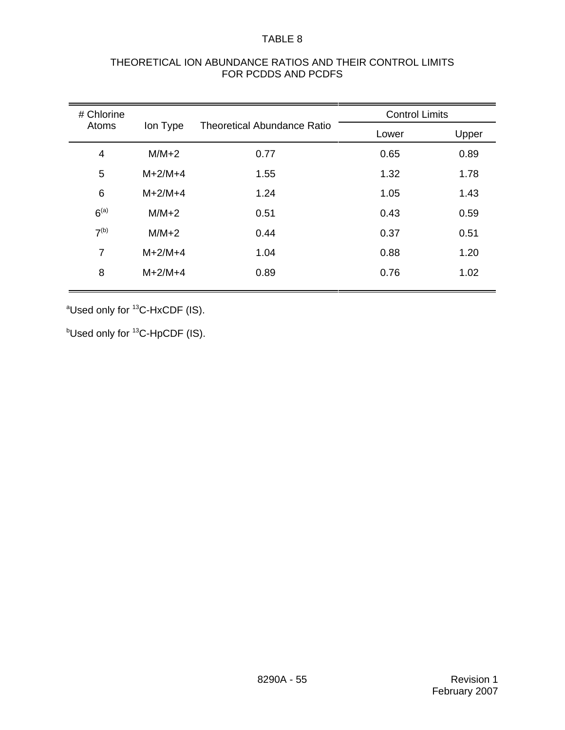| THEORETICAL ION ABUNDANCE RATIOS AND THEIR CONTROL LIMITS |
|-----------------------------------------------------------|
| FOR PCDDS AND PCDFS                                       |

| # Chlorine        |           |                                    | <b>Control Limits</b> |       |
|-------------------|-----------|------------------------------------|-----------------------|-------|
| Atoms<br>Ion Type |           | <b>Theoretical Abundance Ratio</b> | Lower                 | Upper |
| 4                 | $M/M+2$   | 0.77                               | 0.65                  | 0.89  |
| 5                 | $M+2/M+4$ | 1.55                               | 1.32                  | 1.78  |
| 6                 | $M+2/M+4$ | 1.24                               | 1.05                  | 1.43  |
| 6 <sup>(a)</sup>  | $M/M+2$   | 0.51                               | 0.43                  | 0.59  |
| 7 <sup>(b)</sup>  | $M/M+2$   | 0.44                               | 0.37                  | 0.51  |
| $\overline{7}$    | $M+2/M+4$ | 1.04                               | 0.88                  | 1.20  |
| 8                 | $M+2/M+4$ | 0.89                               | 0.76                  | 1.02  |
|                   |           |                                    |                       |       |

<sup>a</sup>Used only for <sup>13</sup>C-HxCDF (IS).

 $^{\rm b}$ Used only for  $^{13}$ C-HpCDF (IS).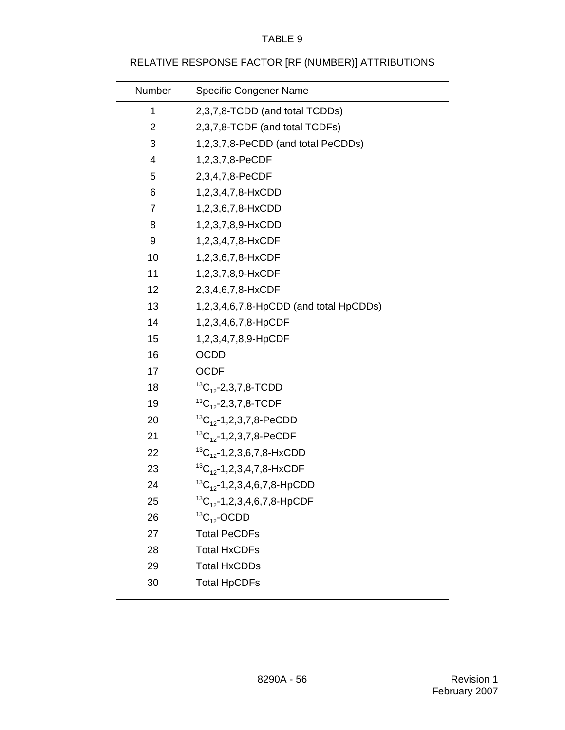# RELATIVE RESPONSE FACTOR [RF (NUMBER)] ATTRIBUTIONS

| Number         | <b>Specific Congener Name</b>          |
|----------------|----------------------------------------|
| 1              | 2,3,7,8-TCDD (and total TCDDs)         |
| $\overline{2}$ | 2,3,7,8-TCDF (and total TCDFs)         |
| 3              | 1,2,3,7,8-PeCDD (and total PeCDDs)     |
| 4              | 1,2,3,7,8-PeCDF                        |
| 5              | 2,3,4,7,8-PeCDF                        |
| 6              | 1,2,3,4,7,8-HxCDD                      |
| $\overline{7}$ | 1,2,3,6,7,8-HxCDD                      |
| 8              | 1,2,3,7,8,9-HxCDD                      |
| 9              | 1,2,3,4,7,8-HxCDF                      |
| 10             | 1,2,3,6,7,8-HxCDF                      |
| 11             | 1,2,3,7,8,9-HxCDF                      |
| 12             | 2,3,4,6,7,8-HxCDF                      |
| 13             | 1,2,3,4,6,7,8-HpCDD (and total HpCDDs) |
| 14             | 1,2,3,4,6,7,8-HpCDF                    |
| 15             | 1,2,3,4,7,8,9-HpCDF                    |
| 16             | <b>OCDD</b>                            |
| 17             | <b>OCDF</b>                            |
| 18             | ${}^{13}C_{12}$ -2,3,7,8-TCDD          |
| 19             | ${}^{13}C_{12}$ -2,3,7,8-TCDF          |
| 20             | ${}^{13}C_{12}$ -1,2,3,7,8-PeCDD       |
| 21             | ${}^{13}C_{12}$ -1,2,3,7,8-PeCDF       |
| 22             | ${}^{13}C_{12}$ -1,2,3,6,7,8-HxCDD     |
| 23             | ${}^{13}C_{12}$ -1,2,3,4,7,8-HxCDF     |
| 24             | ${}^{13}C_{12}$ -1,2,3,4,6,7,8-HpCDD   |
| 25             | ${}^{13}C_{12}$ -1,2,3,4,6,7,8-HpCDF   |
| 26             | ${}^{13}C_{12}$ -OCDD                  |
| 27             | <b>Total PeCDFs</b>                    |
| 28             | <b>Total HxCDFs</b>                    |
| 29             | <b>Total HxCDDs</b>                    |
| 30             | <b>Total HpCDFs</b>                    |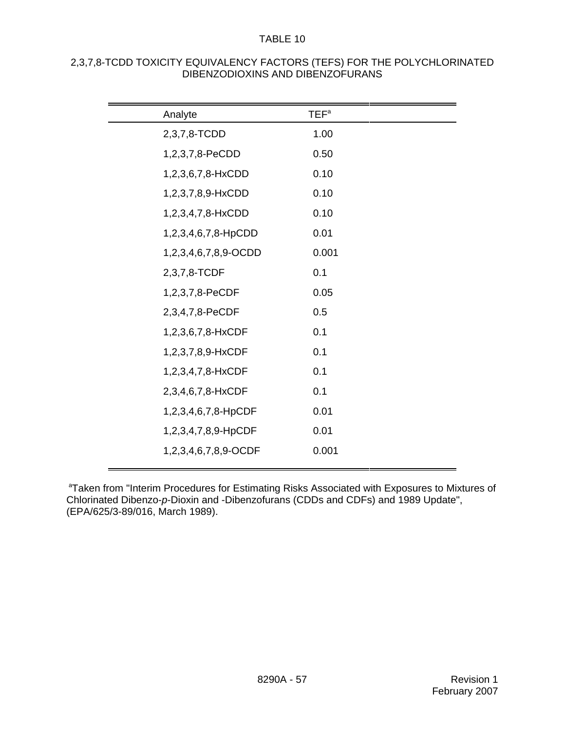| Analyte              | TEF <sup>a</sup> |  |
|----------------------|------------------|--|
| 2,3,7,8-TCDD         | 1.00             |  |
| 1,2,3,7,8-PeCDD      | 0.50             |  |
| 1,2,3,6,7,8-HxCDD    | 0.10             |  |
| 1,2,3,7,8,9-HxCDD    | 0.10             |  |
| 1,2,3,4,7,8-HxCDD    | 0.10             |  |
| 1,2,3,4,6,7,8-HpCDD  | 0.01             |  |
| 1,2,3,4,6,7,8,9-OCDD | 0.001            |  |
| 2,3,7,8-TCDF         | 0.1              |  |
| 1,2,3,7,8-PeCDF      | 0.05             |  |
| 2,3,4,7,8-PeCDF      | 0.5              |  |
| 1,2,3,6,7,8-HxCDF    | 0.1              |  |
| 1,2,3,7,8,9-HxCDF    | 0.1              |  |
| 1,2,3,4,7,8-HxCDF    | 0.1              |  |
| 2,3,4,6,7,8-HxCDF    | 0.1              |  |
| 1,2,3,4,6,7,8-HpCDF  | 0.01             |  |
| 1,2,3,4,7,8,9-HpCDF  | 0.01             |  |
| 1,2,3,4,6,7,8,9-OCDF | 0.001            |  |
|                      |                  |  |

#### 2,3,7,8-TCDD TOXICITY EQUIVALENCY FACTORS (TEFS) FOR THE POLYCHLORINATED DIBENZODIOXINS AND DIBENZOFURANS

<sup>a</sup>Taken from "Interim Procedures for Estimating Risks Associated with Exposures to Mixtures of Chlorinated Dibenzo-*p*-Dioxin and -Dibenzofurans (CDDs and CDFs) and 1989 Update", (EPA/625/3-89/016, March 1989).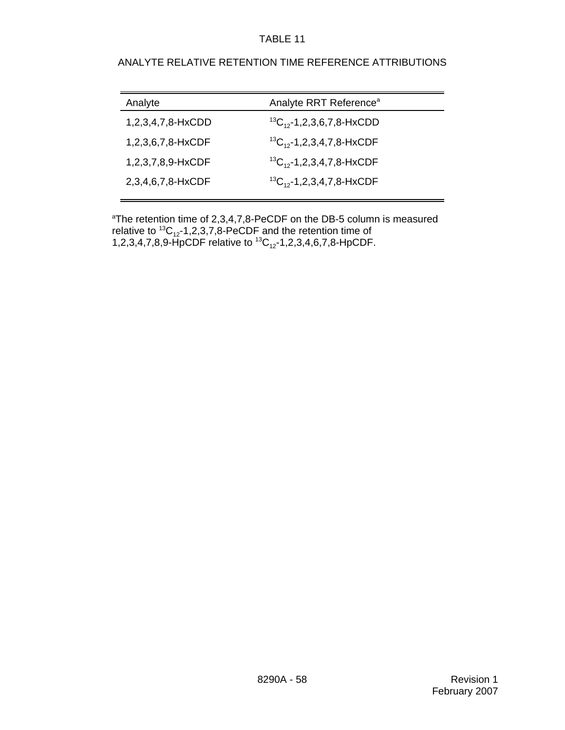## ANALYTE RELATIVE RETENTION TIME REFERENCE ATTRIBUTIONS

| Analyte           | Analyte RRT Reference <sup>a</sup> |
|-------------------|------------------------------------|
| 1,2,3,4,7,8-HxCDD | ${}^{13}C_{12}$ -1,2,3,6,7,8-HxCDD |
| 1,2,3,6,7,8-HxCDF | ${}^{13}C_{12}$ -1,2,3,4,7,8-HxCDF |
| 1,2,3,7,8,9-HxCDF | ${}^{13}C_{12}$ -1,2,3,4,7,8-HxCDF |
| 2,3,4,6,7,8-HxCDF | ${}^{13}C_{12}$ -1,2,3,4,7,8-HxCDF |
|                   |                                    |

<sup>a</sup>The retention time of 2,3,4,7,8-PeCDF on the DB-5 column is measured relative to  $^{13}C_{12}$ -1,2,3,7,8-PeCDF and the retention time of 1,2,3,4,7,8,9-HpCDF relative to  ${}^{13}C_{12}$ -1,2,3,4,6,7,8-HpCDF.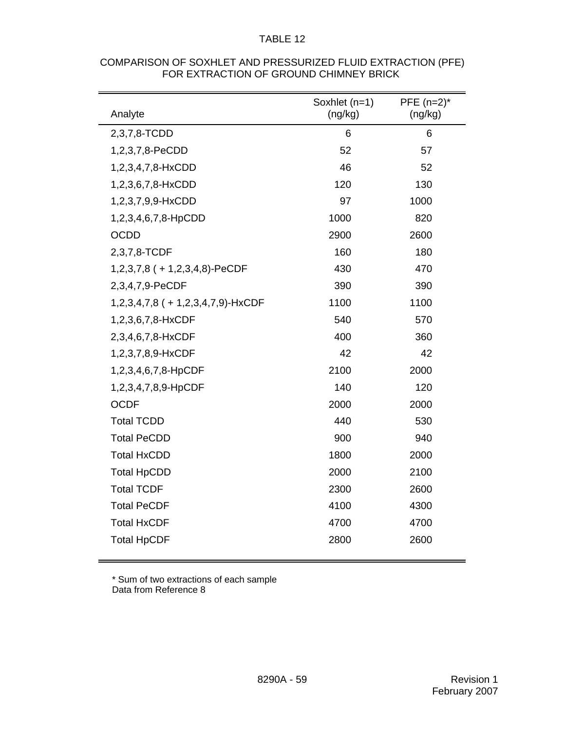| Analyte                            | Soxhlet (n=1)<br>(ng/kg) | PFE $(n=2)^*$<br>(ng/kg) |
|------------------------------------|--------------------------|--------------------------|
| 2,3,7,8-TCDD                       | 6                        | 6                        |
| 1,2,3,7,8-PeCDD                    | 52                       | 57                       |
| 1,2,3,4,7,8-HxCDD                  | 46                       | 52                       |
| 1,2,3,6,7,8-HxCDD                  | 120                      | 130                      |
| 1,2,3,7,9,9-HxCDD                  | 97                       | 1000                     |
| 1,2,3,4,6,7,8-HpCDD                | 1000                     | 820                      |
| <b>OCDD</b>                        | 2900                     | 2600                     |
| 2,3,7,8-TCDF                       | 160                      | 180                      |
| $1,2,3,7,8$ ( + 1,2,3,4,8)-PeCDF   | 430                      | 470                      |
| 2,3,4,7,9-PeCDF                    | 390                      | 390                      |
| 1,2,3,4,7,8 ( + 1,2,3,4,7,9)-HxCDF | 1100                     | 1100                     |
| 1,2,3,6,7,8-HxCDF                  | 540                      | 570                      |
| 2,3,4,6,7,8-HxCDF                  | 400                      | 360                      |
| 1,2,3,7,8,9-HxCDF                  | 42                       | 42                       |
| 1,2,3,4,6,7,8-HpCDF                | 2100                     | 2000                     |
| 1,2,3,4,7,8,9-HpCDF                | 140                      | 120                      |
| <b>OCDF</b>                        | 2000                     | 2000                     |
| <b>Total TCDD</b>                  | 440                      | 530                      |
| <b>Total PeCDD</b>                 | 900                      | 940                      |
| <b>Total HxCDD</b>                 | 1800                     | 2000                     |
| <b>Total HpCDD</b>                 | 2000                     | 2100                     |
| <b>Total TCDF</b>                  | 2300                     | 2600                     |
| <b>Total PeCDF</b>                 | 4100                     | 4300                     |
| <b>Total HxCDF</b>                 | 4700                     | 4700                     |
| <b>Total HpCDF</b>                 | 2800                     | 2600                     |

#### COMPARISON OF SOXHLET AND PRESSURIZED FLUID EXTRACTION (PFE) FOR EXTRACTION OF GROUND CHIMNEY BRICK

\* Sum of two extractions of each sample Data from Reference 8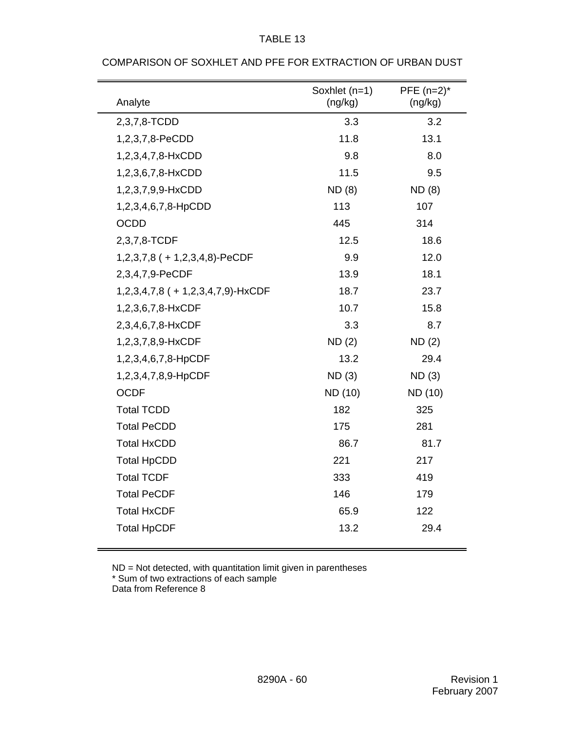| Analyte                              | Soxhlet (n=1)<br>(ng/kg) | PFE $(n=2)^*$<br>(ng/kg) |
|--------------------------------------|--------------------------|--------------------------|
| 2,3,7,8-TCDD                         | 3.3                      | 3.2                      |
| 1,2,3,7,8-PeCDD                      | 11.8                     | 13.1                     |
| 1,2,3,4,7,8-HxCDD                    | 9.8                      | 8.0                      |
| 1,2,3,6,7,8-HxCDD                    | 11.5                     | 9.5                      |
| 1,2,3,7,9,9-HxCDD                    | <b>ND</b> (8)            | <b>ND</b> (8)            |
| 1,2,3,4,6,7,8-HpCDD                  | 113                      | 107                      |
| <b>OCDD</b>                          | 445                      | 314                      |
| 2,3,7,8-TCDF                         | 12.5                     | 18.6                     |
| $1,2,3,7,8$ ( + 1,2,3,4,8)-PeCDF     | 9.9                      | 12.0                     |
| 2,3,4,7,9-PeCDF                      | 13.9                     | 18.1                     |
| $1,2,3,4,7,8$ ( + 1,2,3,4,7,9)-HxCDF | 18.7                     | 23.7                     |
| 1,2,3,6,7,8-HxCDF                    | 10.7                     | 15.8                     |
| 2,3,4,6,7,8-HxCDF                    | 3.3                      | 8.7                      |
| 1,2,3,7,8,9-HxCDF                    | ND(2)                    | <b>ND(2)</b>             |
| 1,2,3,4,6,7,8-HpCDF                  | 13.2                     | 29.4                     |
| 1,2,3,4,7,8,9-HpCDF                  | ND(3)                    | ND(3)                    |
| <b>OCDF</b>                          | ND (10)                  | ND (10)                  |
| <b>Total TCDD</b>                    | 182                      | 325                      |
| <b>Total PeCDD</b>                   | 175                      | 281                      |
| <b>Total HxCDD</b>                   | 86.7                     | 81.7                     |
| <b>Total HpCDD</b>                   | 221                      | 217                      |
| <b>Total TCDF</b>                    | 333                      | 419                      |
| <b>Total PeCDF</b>                   | 146                      | 179                      |
| <b>Total HxCDF</b>                   | 65.9                     | 122                      |
| <b>Total HpCDF</b>                   | 13.2                     | 29.4                     |

#### COMPARISON OF SOXHLET AND PFE FOR EXTRACTION OF URBAN DUST

TABLE 13

ND = Not detected, with quantitation limit given in parentheses \* Sum of two extractions of each sample Data from Reference 8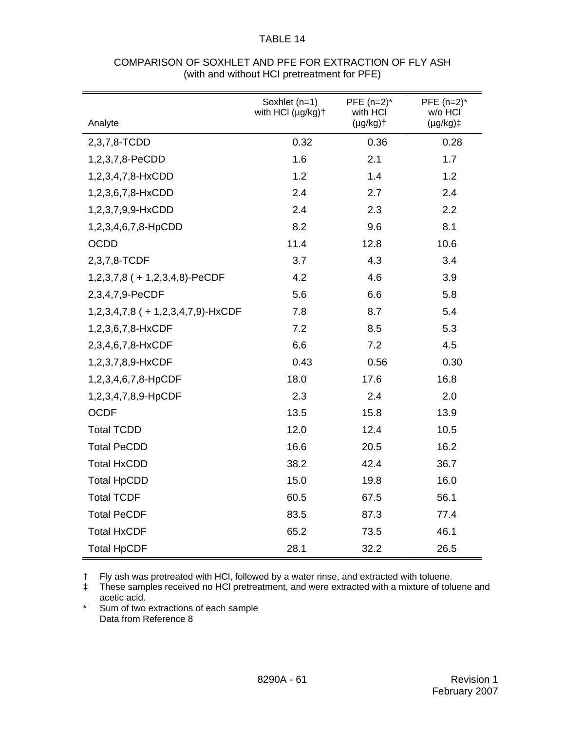| Analyte                              | Soxhlet (n=1)<br>with HCI (µg/kg)+ | PFE $(n=2)^*$<br>with HCI<br>$(\mu g/kg)$ | PFE $(n=2)^*$<br>w/o HCI<br>$(\mu g/kg)$ ‡ |
|--------------------------------------|------------------------------------|-------------------------------------------|--------------------------------------------|
| 2,3,7,8-TCDD                         | 0.32                               | 0.36                                      | 0.28                                       |
| 1,2,3,7,8-PeCDD                      | 1.6                                | 2.1                                       | 1.7                                        |
| 1,2,3,4,7,8-HxCDD                    | 1.2                                | 1.4                                       | 1.2                                        |
| 1,2,3,6,7,8-HxCDD                    | 2.4                                | 2.7                                       | 2.4                                        |
| 1,2,3,7,9,9-HxCDD                    | 2.4                                | 2.3                                       | 2.2                                        |
| 1,2,3,4,6,7,8-HpCDD                  | 8.2                                | 9.6                                       | 8.1                                        |
| <b>OCDD</b>                          | 11.4                               | 12.8                                      | 10.6                                       |
| 2,3,7,8-TCDF                         | 3.7                                | 4.3                                       | 3.4                                        |
| $1,2,3,7,8$ (+1,2,3,4,8)-PeCDF       | 4.2                                | 4.6                                       | 3.9                                        |
| 2,3,4,7,9-PeCDF                      | 5.6                                | 6.6                                       | 5.8                                        |
| $1,2,3,4,7,8$ ( + 1,2,3,4,7,9)-HxCDF | 7.8                                | 8.7                                       | 5.4                                        |
| 1,2,3,6,7,8-HxCDF                    | 7.2                                | 8.5                                       | 5.3                                        |
| 2,3,4,6,7,8-HxCDF                    | 6.6                                | 7.2                                       | 4.5                                        |
| 1,2,3,7,8,9-HxCDF                    | 0.43                               | 0.56                                      | 0.30                                       |
| 1,2,3,4,6,7,8-HpCDF                  | 18.0                               | 17.6                                      | 16.8                                       |
| 1,2,3,4,7,8,9-HpCDF                  | 2.3                                | 2.4                                       | 2.0                                        |
| <b>OCDF</b>                          | 13.5                               | 15.8                                      | 13.9                                       |
| <b>Total TCDD</b>                    | 12.0                               | 12.4                                      | 10.5                                       |
| <b>Total PeCDD</b>                   | 16.6                               | 20.5                                      | 16.2                                       |
| <b>Total HxCDD</b>                   | 38.2                               | 42.4                                      | 36.7                                       |
| <b>Total HpCDD</b>                   | 15.0                               | 19.8                                      | 16.0                                       |
| <b>Total TCDF</b>                    | 60.5                               | 67.5                                      | 56.1                                       |
| <b>Total PeCDF</b>                   | 83.5                               | 87.3                                      | 77.4                                       |
| <b>Total HxCDF</b>                   | 65.2                               | 73.5                                      | 46.1                                       |
| <b>Total HpCDF</b>                   | 28.1                               | 32.2                                      | 26.5                                       |

# COMPARISON OF SOXHLET AND PFE FOR EXTRACTION OF FLY ASH (with and without HCI pretreatment for PFE)

† Fly ash was pretreated with HCl, followed by a water rinse, and extracted with toluene.

‡ These samples received no HCl pretreatment, and were extracted with a mixture of toluene and acetic acid.

\* Sum of two extractions of each sample Data from Reference 8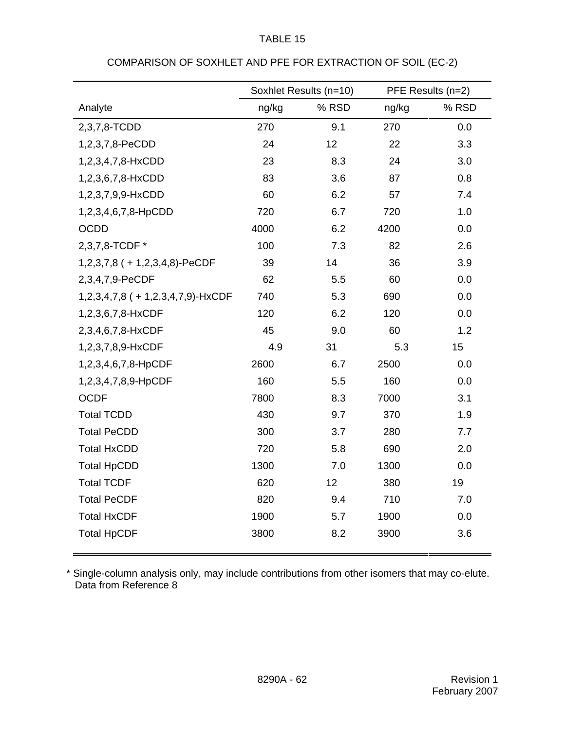|                                      | Soxhlet Results (n=10) |       | PFE Results (n=2) |       |
|--------------------------------------|------------------------|-------|-------------------|-------|
| Analyte                              | ng/kg                  | % RSD | ng/kg             | % RSD |
| 2,3,7,8-TCDD                         | 270                    | 9.1   | 270               | 0.0   |
| 1,2,3,7,8-PeCDD                      | 24                     | 12    | 22                | 3.3   |
| 1,2,3,4,7,8-HxCDD                    | 23                     | 8.3   | 24                | 3.0   |
| 1,2,3,6,7,8-HxCDD                    | 83                     | 3.6   | 87                | 0.8   |
| 1,2,3,7,9,9-HxCDD                    | 60                     | 6.2   | 57                | 7.4   |
| 1,2,3,4,6,7,8-HpCDD                  | 720                    | 6.7   | 720               | 1.0   |
| <b>OCDD</b>                          | 4000                   | 6.2   | 4200              | 0.0   |
| 2,3,7,8-TCDF *                       | 100                    | 7.3   | 82                | 2.6   |
| $1,2,3,7,8$ ( + 1,2,3,4,8)-PeCDF     | 39                     | 14    | 36                | 3.9   |
| 2,3,4,7,9-PeCDF                      | 62                     | 5.5   | 60                | 0.0   |
| $1,2,3,4,7,8$ ( + 1,2,3,4,7,9)-HxCDF | 740                    | 5.3   | 690               | 0.0   |
| 1,2,3,6,7,8-HxCDF                    | 120                    | 6.2   | 120               | 0.0   |
| 2,3,4,6,7,8-HxCDF                    | 45                     | 9.0   | 60                | 1.2   |
| 1,2,3,7,8,9-HxCDF                    | 4.9                    | 31    | 5.3               | 15    |
| 1,2,3,4,6,7,8-HpCDF                  | 2600                   | 6.7   | 2500              | 0.0   |
| 1,2,3,4,7,8,9-HpCDF                  | 160                    | 5.5   | 160               | 0.0   |
| <b>OCDF</b>                          | 7800                   | 8.3   | 7000              | 3.1   |
| <b>Total TCDD</b>                    | 430                    | 9.7   | 370               | 1.9   |
| <b>Total PeCDD</b>                   | 300                    | 3.7   | 280               | 7.7   |
| <b>Total HxCDD</b>                   | 720                    | 5.8   | 690               | 2.0   |
| <b>Total HpCDD</b>                   | 1300                   | 7.0   | 1300              | 0.0   |
| <b>Total TCDF</b>                    | 620                    | 12    | 380               | 19    |
| <b>Total PeCDF</b>                   | 820                    | 9.4   | 710               | 7.0   |
| <b>Total HxCDF</b>                   | 1900                   | 5.7   | 1900              | 0.0   |
| <b>Total HpCDF</b>                   | 3800                   | 8.2   | 3900              | 3.6   |

# COMPARISON OF SOXHLET AND PFE FOR EXTRACTION OF SOIL (EC-2)

\* Single-column analysis only, may include contributions from other isomers that may co-elute. Data from Reference 8

Ë.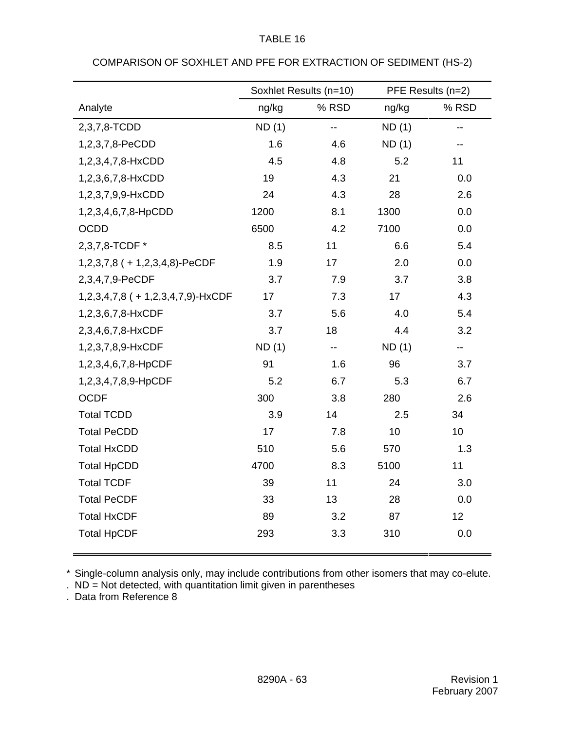|                                      | Soxhlet Results (n=10) |       | PFE Results (n=2) |       |
|--------------------------------------|------------------------|-------|-------------------|-------|
| Analyte                              | ng/kg                  | % RSD | ng/kg             | % RSD |
| 2,3,7,8-TCDD                         | ND(1)                  | --    | ND(1)             | --    |
| 1,2,3,7,8-PeCDD                      | 1.6                    | 4.6   | ND(1)             | --    |
| 1,2,3,4,7,8-HxCDD                    | 4.5                    | 4.8   | 5.2               | 11    |
| 1,2,3,6,7,8-HxCDD                    | 19                     | 4.3   | 21                | 0.0   |
| 1,2,3,7,9,9-HxCDD                    | 24                     | 4.3   | 28                | 2.6   |
| 1,2,3,4,6,7,8-HpCDD                  | 1200                   | 8.1   | 1300              | 0.0   |
| OCDD                                 | 6500                   | 4.2   | 7100              | 0.0   |
| 2,3,7,8-TCDF *                       | 8.5                    | 11    | 6.6               | 5.4   |
| $1,2,3,7,8$ ( + 1,2,3,4,8)-PeCDF     | 1.9                    | 17    | 2.0               | 0.0   |
| 2,3,4,7,9-PeCDF                      | 3.7                    | 7.9   | 3.7               | 3.8   |
| $1,2,3,4,7,8$ ( + 1,2,3,4,7,9)-HxCDF | 17                     | 7.3   | 17                | 4.3   |
| 1,2,3,6,7,8-HxCDF                    | 3.7                    | 5.6   | 4.0               | 5.4   |
| 2,3,4,6,7,8-HxCDF                    | 3.7                    | 18    | 4.4               | 3.2   |
| 1,2,3,7,8,9-HxCDF                    | ND(1)                  | $-$   | ND(1)             | --    |
| 1,2,3,4,6,7,8-HpCDF                  | 91                     | 1.6   | 96                | 3.7   |
| 1,2,3,4,7,8,9-HpCDF                  | 5.2                    | 6.7   | 5.3               | 6.7   |
| <b>OCDF</b>                          | 300                    | 3.8   | 280               | 2.6   |
| <b>Total TCDD</b>                    | 3.9                    | 14    | 2.5               | 34    |
| <b>Total PeCDD</b>                   | 17                     | 7.8   | 10                | 10    |
| <b>Total HxCDD</b>                   | 510                    | 5.6   | 570               | 1.3   |
| <b>Total HpCDD</b>                   | 4700                   | 8.3   | 5100              | 11    |
| <b>Total TCDF</b>                    | 39                     | 11    | 24                | 3.0   |
| <b>Total PeCDF</b>                   | 33                     | 13    | 28                | 0.0   |
| <b>Total HxCDF</b>                   | 89                     | 3.2   | 87                | 12    |
| <b>Total HpCDF</b>                   | 293                    | 3.3   | 310               | 0.0   |

# COMPARISON OF SOXHLET AND PFE FOR EXTRACTION OF SEDIMENT (HS-2)

\* Single-column analysis only, may include contributions from other isomers that may co-elute.

. Data from Reference 8

<sup>.</sup> ND = Not detected, with quantitation limit given in parentheses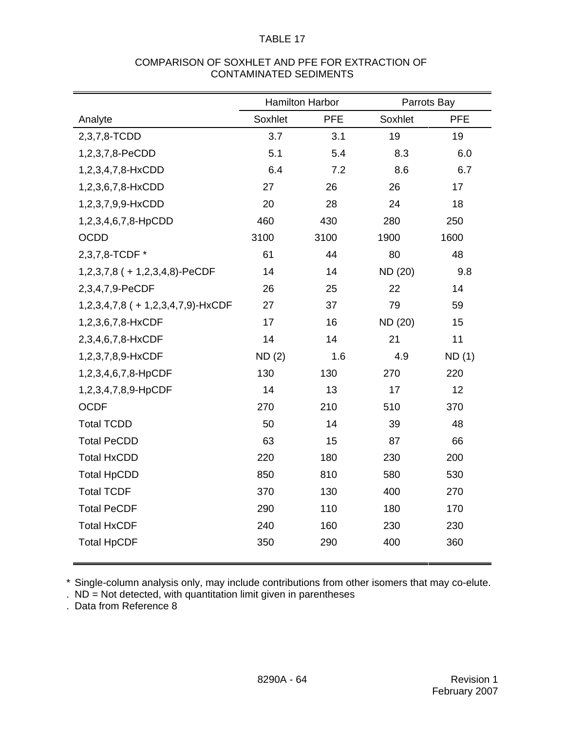## COMPARISON OF SOXHLET AND PFE FOR EXTRACTION OF CONTAMINATED SEDIMENTS

|                                   | <b>Hamilton Harbor</b> |            | Parrots Bay |            |
|-----------------------------------|------------------------|------------|-------------|------------|
| Analyte                           | Soxhlet                | <b>PFE</b> | Soxhlet     | <b>PFE</b> |
| 2,3,7,8-TCDD                      | 3.7                    | 3.1        | 19          | 19         |
| 1,2,3,7,8-PeCDD                   | 5.1                    | 5.4        | 8.3         | 6.0        |
| 1,2,3,4,7,8-HxCDD                 | 6.4                    | 7.2        | 8.6         | 6.7        |
| 1,2,3,6,7,8-HxCDD                 | 27                     | 26         | 26          | 17         |
| 1,2,3,7,9,9-HxCDD                 | 20                     | 28         | 24          | 18         |
| 1,2,3,4,6,7,8-HpCDD               | 460                    | 430        | 280         | 250        |
| <b>OCDD</b>                       | 3100                   | 3100       | 1900        | 1600       |
| 2,3,7,8-TCDF *                    | 61                     | 44         | 80          | 48         |
| $1,2,3,7,8$ ( + 1,2,3,4,8)-PeCDF  | 14                     | 14         | ND (20)     | 9.8        |
| 2,3,4,7,9-PeCDF                   | 26                     | 25         | 22          | 14         |
| 1,2,3,4,7,8 (+ 1,2,3,4,7,9)-HxCDF | 27                     | 37         | 79          | 59         |
| 1,2,3,6,7,8-HxCDF                 | 17                     | 16         | ND (20)     | 15         |
| 2,3,4,6,7,8-HxCDF                 | 14                     | 14         | 21          | 11         |
| 1,2,3,7,8,9-HxCDF                 | ND(2)                  | 1.6        | 4.9         | ND(1)      |
| 1,2,3,4,6,7,8-HpCDF               | 130                    | 130        | 270         | 220        |
| 1,2,3,4,7,8,9-HpCDF               | 14                     | 13         | 17          | 12         |
| <b>OCDF</b>                       | 270                    | 210        | 510         | 370        |
| <b>Total TCDD</b>                 | 50                     | 14         | 39          | 48         |
| <b>Total PeCDD</b>                | 63                     | 15         | 87          | 66         |
| <b>Total HxCDD</b>                | 220                    | 180        | 230         | 200        |
| <b>Total HpCDD</b>                | 850                    | 810        | 580         | 530        |
| <b>Total TCDF</b>                 | 370                    | 130        | 400         | 270        |
| <b>Total PeCDF</b>                | 290                    | 110        | 180         | 170        |
| <b>Total HxCDF</b>                | 240                    | 160        | 230         | 230        |
| <b>Total HpCDF</b>                | 350                    | 290        | 400         | 360        |
|                                   |                        |            |             |            |

\* Single-column analysis only, may include contributions from other isomers that may co-elute.

. Data from Reference 8

<sup>.</sup> ND = Not detected, with quantitation limit given in parentheses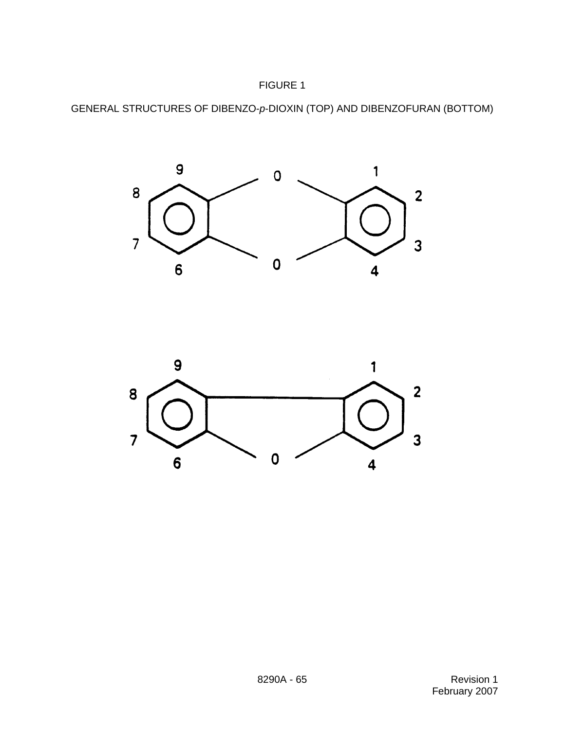





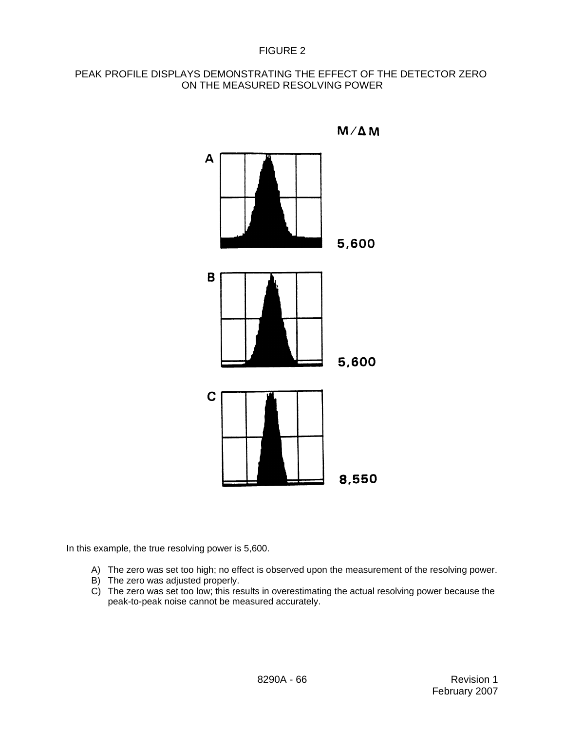## FIGURE 2

# PEAK PROFILE DISPLAYS DEMONSTRATING THE EFFECT OF THE DETECTOR ZERO ON THE MEASURED RESOLVING POWER



 $M/\Delta M$ 

In this example, the true resolving power is 5,600.

- A) The zero was set too high; no effect is observed upon the measurement of the resolving power.
- B) The zero was adjusted properly.
- C) The zero was set too low; this results in overestimating the actual resolving power because the peak-to-peak noise cannot be measured accurately.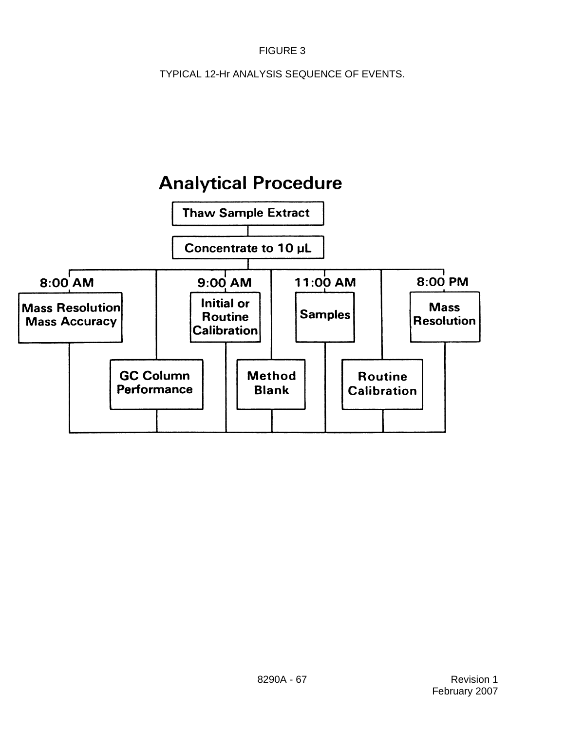# FIGURE 3

TYPICAL 12-Hr ANALYSIS SEQUENCE OF EVENTS.

# **Analytical Procedure**

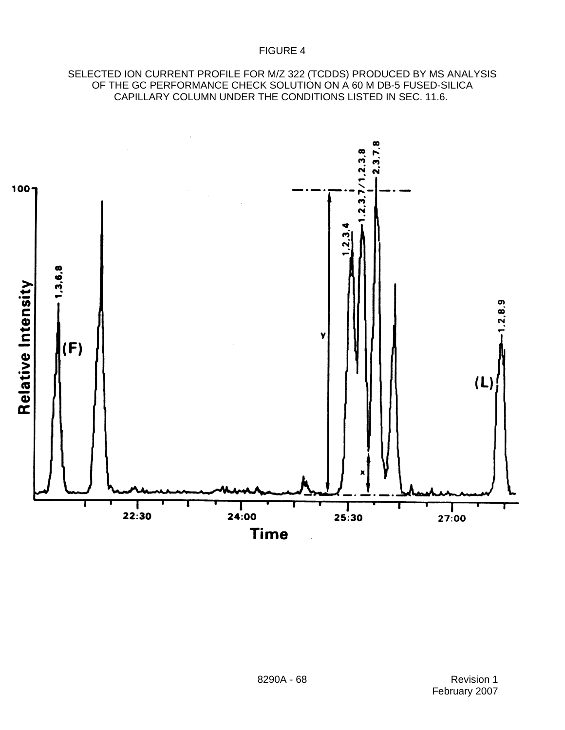## SELECTED ION CURRENT PROFILE FOR M/Z 322 (TCDDS) PRODUCED BY MS ANALYSIS OF THE GC PERFORMANCE CHECK SOLUTION ON A 60 M DB-5 FUSED-SILICA CAPILLARY COLUMN UNDER THE CONDITIONS LISTED IN SEC. 11.6.

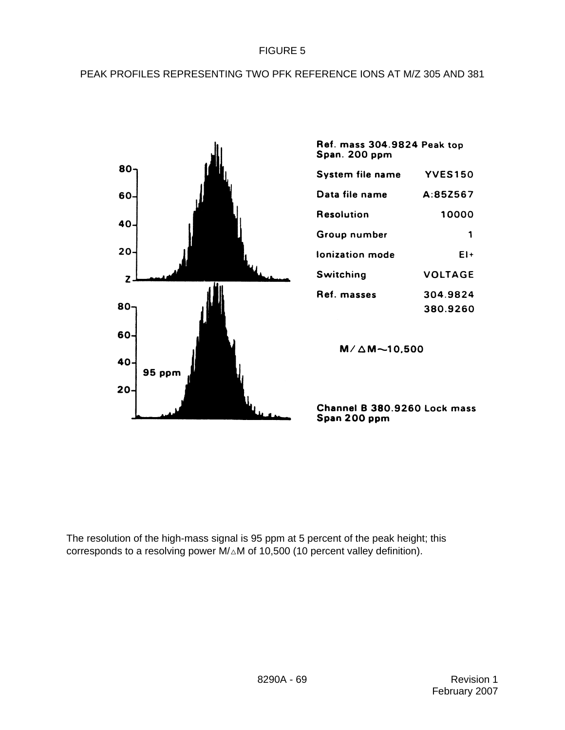## FIGURE 5

# PEAK PROFILES REPRESENTING TWO PFK REFERENCE IONS AT M/Z 305 AND 381



| Span. 200 ppm    |                |
|------------------|----------------|
| System file name | <b>YVES150</b> |
| Data file name   | A:85Z567       |
| Resolution       | 10000          |
| Group number     | 1              |
| Ionization mode  | EI+            |
| Switching        | VOLTAGE        |
| Ref. masses      | 304.9824       |
|                  | 380.9260       |

Ref. mass 304.9824 Peak top

 $M/\Delta M$  ~10,500

Channel B 380.9260 Lock mass Span 200 ppm

The resolution of the high-mass signal is 95 ppm at 5 percent of the peak height; this corresponds to a resolving power  $M/\Delta M$  of 10,500 (10 percent valley definition).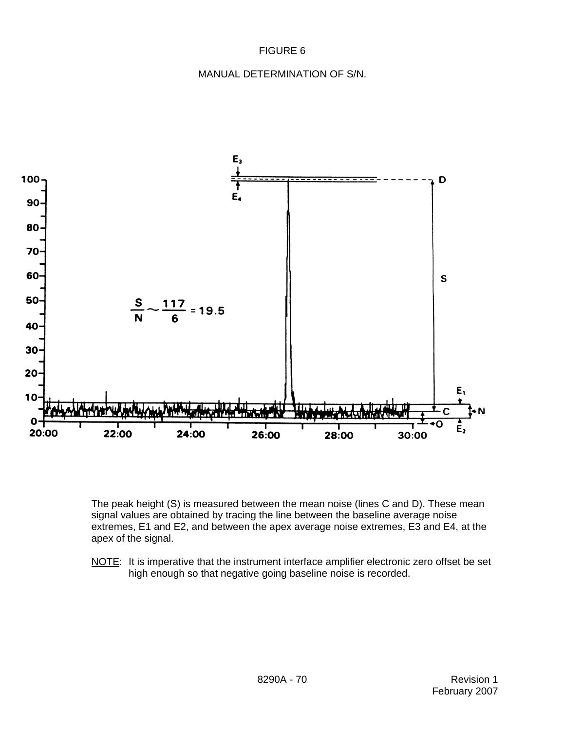# FIGURE 6

#### MANUAL DETERMINATION OF S/N.



The peak height (S) is measured between the mean noise (lines C and D). These mean signal values are obtained by tracing the line between the baseline average noise extremes, E1 and E2, and between the apex average noise extremes, E3 and E4, at the apex of the signal.

NOTE: It is imperative that the instrument interface amplifier electronic zero offset be set high enough so that negative going baseline noise is recorded.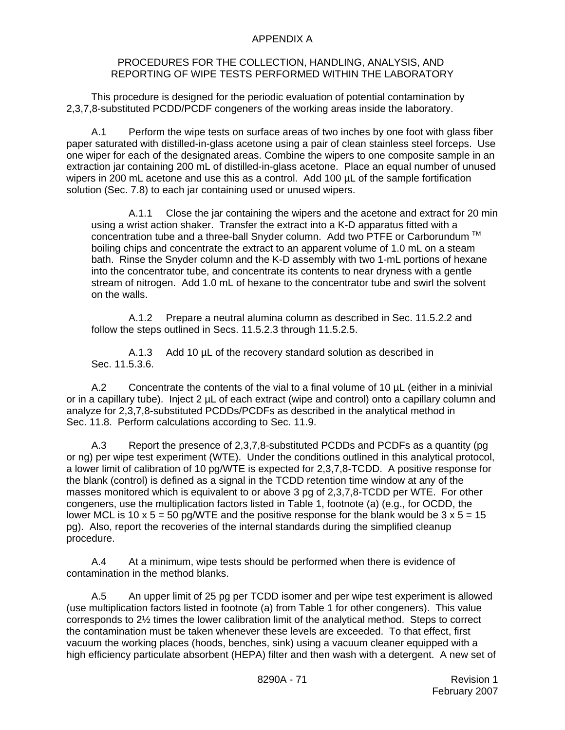#### APPENDIX A

#### PROCEDURES FOR THE COLLECTION, HANDLING, ANALYSIS, AND REPORTING OF WIPE TESTS PERFORMED WITHIN THE LABORATORY

This procedure is designed for the periodic evaluation of potential contamination by 2,3,7,8-substituted PCDD/PCDF congeners of the working areas inside the laboratory.

A.1 Perform the wipe tests on surface areas of two inches by one foot with glass fiber paper saturated with distilled-in-glass acetone using a pair of clean stainless steel forceps. Use one wiper for each of the designated areas. Combine the wipers to one composite sample in an extraction jar containing 200 mL of distilled-in-glass acetone. Place an equal number of unused wipers in 200 mL acetone and use this as a control. Add 100 µL of the sample fortification solution (Sec. 7.8) to each jar containing used or unused wipers.

A.1.1 Close the jar containing the wipers and the acetone and extract for 20 min using a wrist action shaker. Transfer the extract into a K-D apparatus fitted with a concentration tube and a three-ball Snyder column. Add two PTFE or Carborundum<sup>™</sup> boiling chips and concentrate the extract to an apparent volume of 1.0 mL on a steam bath. Rinse the Snyder column and the K-D assembly with two 1-mL portions of hexane into the concentrator tube, and concentrate its contents to near dryness with a gentle stream of nitrogen. Add 1.0 mL of hexane to the concentrator tube and swirl the solvent on the walls.

A.1.2 Prepare a neutral alumina column as described in Sec. 11.5.2.2 and follow the steps outlined in Secs. 11.5.2.3 through 11.5.2.5.

A.1.3 Add 10 µL of the recovery standard solution as described in Sec. 11.5.3.6.

A.2 Concentrate the contents of the vial to a final volume of 10 µL (either in a minivial or in a capillary tube). Inject 2 µL of each extract (wipe and control) onto a capillary column and analyze for 2,3,7,8-substituted PCDDs/PCDFs as described in the analytical method in Sec. 11.8. Perform calculations according to Sec. 11.9.

A.3 Report the presence of 2,3,7,8-substituted PCDDs and PCDFs as a quantity (pg or ng) per wipe test experiment (WTE). Under the conditions outlined in this analytical protocol, a lower limit of calibration of 10 pg/WTE is expected for 2,3,7,8-TCDD. A positive response for the blank (control) is defined as a signal in the TCDD retention time window at any of the masses monitored which is equivalent to or above 3 pg of 2,3,7,8-TCDD per WTE. For other congeners, use the multiplication factors listed in Table 1, footnote (a) (e.g., for OCDD, the lower MCL is 10 x 5 = 50 pg/WTE and the positive response for the blank would be  $3 \times 5 = 15$ pg). Also, report the recoveries of the internal standards during the simplified cleanup procedure.

A.4 At a minimum, wipe tests should be performed when there is evidence of contamination in the method blanks.

A.5 An upper limit of 25 pg per TCDD isomer and per wipe test experiment is allowed (use multiplication factors listed in footnote (a) from Table 1 for other congeners). This value corresponds to 2½ times the lower calibration limit of the analytical method. Steps to correct the contamination must be taken whenever these levels are exceeded. To that effect, first vacuum the working places (hoods, benches, sink) using a vacuum cleaner equipped with a high efficiency particulate absorbent (HEPA) filter and then wash with a detergent. A new set of